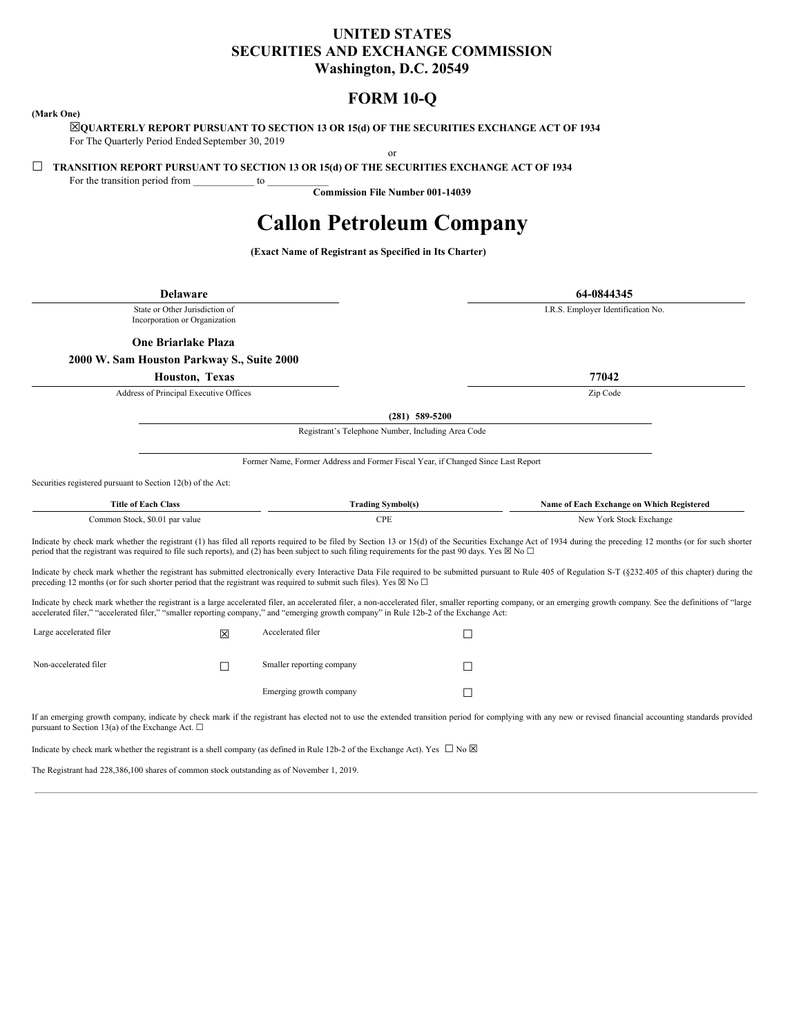# **UNITED STATES SECURITIES AND EXCHANGE COMMISSION Washington, D.C. 20549**

# **FORM 10-Q**

### <span id="page-0-0"></span>**(Mark One)**

☒**QUARTERLY REPORT PURSUANT TO SECTION 13 OR 15(d) OF THE SECURITIES EXCHANGE ACT OF 1934** For The Quarterly Period Ended September 30, 2019

or

☐ **TRANSITION REPORT PURSUANT TO SECTION 13 OR 15(d) OF THE SECURITIES EXCHANGE ACT OF 1934**

For the transition period from \_\_\_\_\_\_\_\_\_\_\_\_ to \_\_\_\_\_\_\_\_\_\_\_\_

**Commission File Number 001-14039**

# **Callon Petroleum Company**

**(Exact Name of Registrant as Specified in Its Charter)**

| <b>Delaware</b>                                                                                                                                                     |                       |                                                                                  | 64-0844345                                                                                                                                                                                                         |  |
|---------------------------------------------------------------------------------------------------------------------------------------------------------------------|-----------------------|----------------------------------------------------------------------------------|--------------------------------------------------------------------------------------------------------------------------------------------------------------------------------------------------------------------|--|
| State or Other Jurisdiction of<br>Incorporation or Organization                                                                                                     |                       |                                                                                  | I.R.S. Employer Identification No.                                                                                                                                                                                 |  |
| <b>One Briarlake Plaza</b>                                                                                                                                          |                       |                                                                                  |                                                                                                                                                                                                                    |  |
| 2000 W. Sam Houston Parkway S., Suite 2000                                                                                                                          |                       |                                                                                  |                                                                                                                                                                                                                    |  |
|                                                                                                                                                                     | <b>Houston, Texas</b> |                                                                                  | 77042                                                                                                                                                                                                              |  |
| Address of Principal Executive Offices                                                                                                                              |                       |                                                                                  | Zip Code                                                                                                                                                                                                           |  |
|                                                                                                                                                                     |                       |                                                                                  | $(281)$ 589-5200                                                                                                                                                                                                   |  |
|                                                                                                                                                                     |                       | Registrant's Telephone Number, Including Area Code                               |                                                                                                                                                                                                                    |  |
|                                                                                                                                                                     |                       | Former Name, Former Address and Former Fiscal Year, if Changed Since Last Report |                                                                                                                                                                                                                    |  |
| Securities registered pursuant to Section 12(b) of the Act:                                                                                                         |                       |                                                                                  |                                                                                                                                                                                                                    |  |
| <b>Title of Each Class</b>                                                                                                                                          |                       | <b>Trading Symbol(s)</b>                                                         | Name of Each Exchange on Which Registered                                                                                                                                                                          |  |
| Common Stock, \$0.01 par value                                                                                                                                      |                       | <b>CPE</b>                                                                       | New York Stock Exchange                                                                                                                                                                                            |  |
| period that the registrant was required to file such reports), and (2) has been subject to such filing requirements for the past 90 days. Yes $\boxtimes$ No $\Box$ |                       |                                                                                  | Indicate by check mark whether the registrant (1) has filed all reports required to be filed by Section 13 or 15(d) of the Securities Exchange Act of 1934 during the preceding 12 months (or for such shorter     |  |
| preceding 12 months (or for such shorter period that the registrant was required to submit such files). Yes $\boxtimes$ No $\Box$                                   |                       |                                                                                  | Indicate by check mark whether the registrant has submitted electronically every Interactive Data File required to be submitted pursuant to Rule 405 of Regulation S-T (§232.405 of this chapter) during the       |  |
| accelerated filer," "accelerated filer," "smaller reporting company," and "emerging growth company" in Rule 12b-2 of the Exchange Act:                              |                       |                                                                                  | Indicate by check mark whether the registrant is a large accelerated filer, an accelerated filer, a non-accelerated filer, smaller reporting company, or an emerging growth company. See the definitions of "large |  |
| Large accelerated filer                                                                                                                                             | 冈                     | Accelerated filer                                                                | П                                                                                                                                                                                                                  |  |
| Non-accelerated filer                                                                                                                                               | П                     | Smaller reporting company                                                        |                                                                                                                                                                                                                    |  |
|                                                                                                                                                                     |                       | Emerging growth company                                                          | П                                                                                                                                                                                                                  |  |
| pursuant to Section 13(a) of the Exchange Act. $\Box$                                                                                                               |                       |                                                                                  | If an emerging growth company, indicate by check mark if the registrant has elected not to use the extended transition period for complying with any new or revised financial accounting standards provided        |  |
| Indicate by check mark whether the registrant is a shell company (as defined in Rule 12b-2 of the Exchange Act). Yes $\Box$ No $\boxtimes$                          |                       |                                                                                  |                                                                                                                                                                                                                    |  |

The Registrant had 228,386,100 shares of common stock outstanding as of November 1, 2019.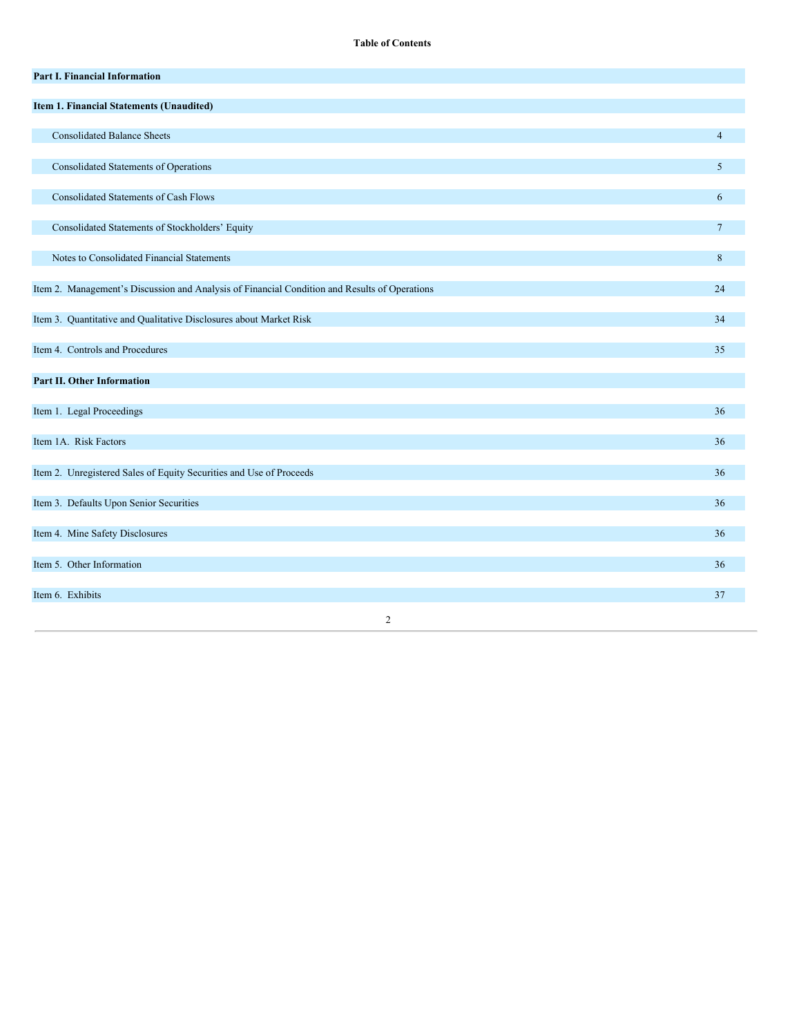**Table of Contents**

| Part I. Financial Information                                                                 |                 |
|-----------------------------------------------------------------------------------------------|-----------------|
| Item 1. Financial Statements (Unaudited)                                                      |                 |
| <b>Consolidated Balance Sheets</b>                                                            | $\overline{4}$  |
| <b>Consolidated Statements of Operations</b>                                                  | 5               |
| <b>Consolidated Statements of Cash Flows</b>                                                  | 6               |
| Consolidated Statements of Stockholders' Equity                                               | $7\overline{ }$ |
| Notes to Consolidated Financial Statements                                                    | 8               |
| Item 2. Management's Discussion and Analysis of Financial Condition and Results of Operations | 24              |
| Item 3. Quantitative and Qualitative Disclosures about Market Risk                            | 34              |
| Item 4. Controls and Procedures                                                               | 35              |
| Part II. Other Information                                                                    |                 |
| Item 1. Legal Proceedings                                                                     | 36              |
| Item 1A. Risk Factors                                                                         | 36              |
| Item 2. Unregistered Sales of Equity Securities and Use of Proceeds                           | 36              |
| Item 3. Defaults Upon Senior Securities                                                       | 36              |
| Item 4. Mine Safety Disclosures                                                               | 36              |
| Item 5. Other Information                                                                     | 36              |
| Item 6. Exhibits                                                                              | 37              |
| $\overline{c}$                                                                                |                 |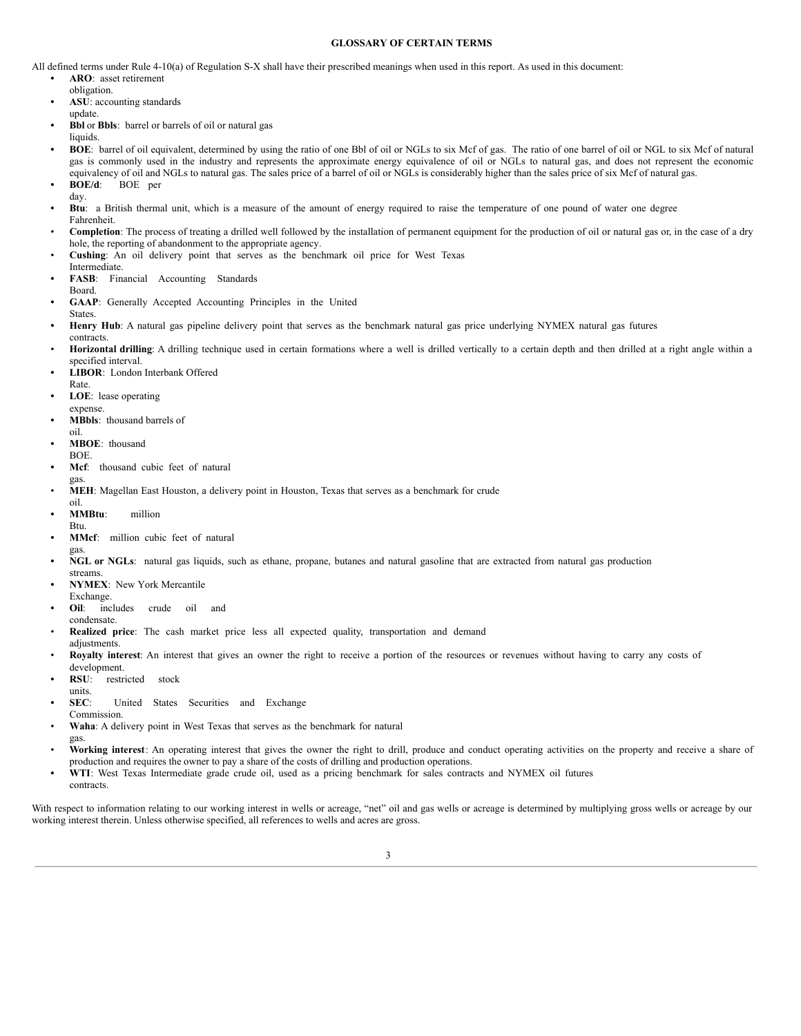### **GLOSSARY OF CERTAIN TERMS**

All defined terms under Rule 4-10(a) of Regulation S-X shall have their prescribed meanings when used in this report. As used in this document:

**• ARO**: asset retirement

- obligation.
- **• ASU**: accounting standards update.
- **• Bbl** or **Bbls**: barrel or barrels of oil or natural gas
- liquids.
- **• BOE**: barrel of oil equivalent, determined by using the ratio of one Bbl of oil or NGLs to six Mcf of gas. The ratio of one barrel of oil or NGL to six Mcf of natural gas is commonly used in the industry and represents the approximate energy equivalence of oil or NGLs to natural gas, and does not represent the economic equivalency of oil and NGLs to natural gas. The sales price of a barrel of oil or NGLs is considerably higher than the sales price of six Mcf of natural gas.
- **• BOE/d**: BOE per
- day.
- **• Btu**: a British thermal unit, which is a measure of the amount of energy required to raise the temperature of one pound of water one degree Fahrenheit.
- **Completion**: The process of treating a drilled well followed by the installation of permanent equipment for the production of oil or natural gas or, in the case of a dry hole, the reporting of abandonment to the appropriate agency.
- **Cushing**: An oil delivery point that serves as the benchmark oil price for West Texas
- Intermediate.
- **• FASB**: Financial Accounting Standards Board.
- **• GAAP**: Generally Accepted Accounting Principles in the United
- States. **• Henry Hub**: A natural gas pipeline delivery point that serves as the benchmark natural gas price underlying NYMEX natural gas futures
- contracts. Horizontal drilling: A drilling technique used in certain formations where a well is drilled vertically to a certain depth and then drilled at a right angle within a specified interval.
- **• LIBOR**: London Interbank Offered Rate.
- **• LOE**: lease operating
- expense.
- **• MBbls**: thousand barrels of oil.
- **• MBOE**: thousand
- BOE.
- **• Mcf**: thousand cubic feet of natural
- gas. • **MEH**: Magellan East Houston, a delivery point in Houston, Texas that serves as a benchmark for crude
- oil. **• MMBtu**: million
- Btu.

gas.

- **• MMcf**: million cubic feet of natural
- **• NGL or NGLs**: natural gas liquids, such as ethane, propane, butanes and natural gasoline that are extracted from natural gas production
- streams. **• NYMEX**: New York Mercantile
- Exchange. **Oil:** includes crude oil and
- condensate.

adjustments.

- **Realized price**: The cash market price less all expected quality, transportation and demand
- **Royalty interest**: An interest that gives an owner the right to receive a portion of the resources or revenues without having to carry any costs of development.
- **• RSU**: restricted stock
- units.
- **SEC:** United States Securities and Exchange
- Commission.
- **Waha**: A delivery point in West Texas that serves as the benchmark for natural gas.
- Working interest: An operating interest that gives the owner the right to drill, produce and conduct operating activities on the property and receive a share of production and requires the owner to pay a share of the costs of drilling and production operations.
- **• WTI**: West Texas Intermediate grade crude oil, used as a pricing benchmark for sales contracts and NYMEX oil futures contracts.

With respect to information relating to our working interest in wells or acreage, "net" oil and gas wells or acreage is determined by multiplying gross wells or acreage by our working interest therein. Unless otherwise specified, all references to wells and acres are gross.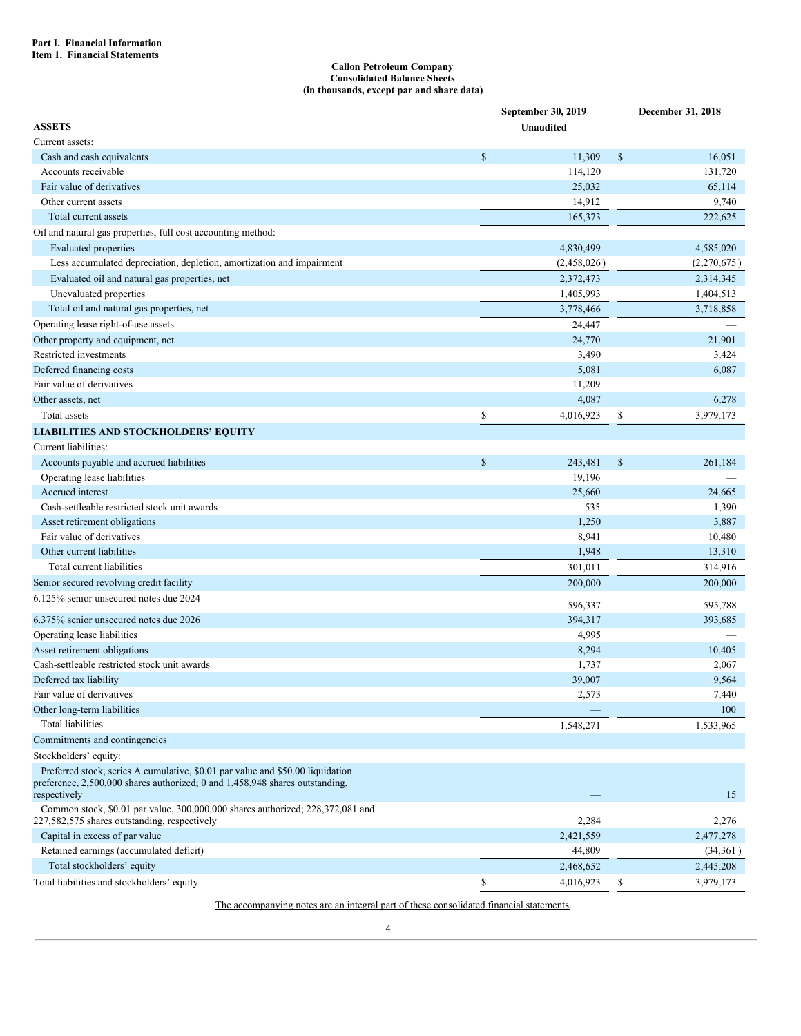### **Callon Petroleum Company Consolidated Balance Sheets (in thousands, except par and share data)**

|                                                                                                                                |              | September 30, 2019 |             | December 31, 2018 |
|--------------------------------------------------------------------------------------------------------------------------------|--------------|--------------------|-------------|-------------------|
| <b>ASSETS</b>                                                                                                                  |              | <b>Unaudited</b>   |             |                   |
| Current assets:                                                                                                                |              |                    |             |                   |
| Cash and cash equivalents                                                                                                      | $\mathbb{S}$ | 11,309             | $\mathbb S$ | 16,051            |
| Accounts receivable                                                                                                            |              | 114,120            |             | 131,720           |
| Fair value of derivatives                                                                                                      |              | 25,032             |             | 65,114            |
| Other current assets                                                                                                           |              | 14,912             |             | 9,740             |
| Total current assets                                                                                                           |              | 165,373            |             | 222,625           |
| Oil and natural gas properties, full cost accounting method:                                                                   |              |                    |             |                   |
| <b>Evaluated</b> properties                                                                                                    |              | 4,830,499          |             | 4,585,020         |
| Less accumulated depreciation, depletion, amortization and impairment                                                          |              | (2,458,026)        |             | (2,270,675)       |
| Evaluated oil and natural gas properties, net                                                                                  |              | 2,372,473          |             | 2,314,345         |
| Unevaluated properties                                                                                                         |              | 1,405,993          |             | 1,404,513         |
| Total oil and natural gas properties, net                                                                                      |              | 3,778,466          |             | 3,718,858         |
| Operating lease right-of-use assets                                                                                            |              | 24,447             |             |                   |
| Other property and equipment, net                                                                                              |              | 24,770             |             | 21,901            |
| Restricted investments                                                                                                         |              | 3,490              |             | 3,424             |
| Deferred financing costs                                                                                                       |              | 5,081              |             | 6,087             |
| Fair value of derivatives                                                                                                      |              | 11,209             |             |                   |
| Other assets, net                                                                                                              |              | 4,087              |             | 6,278             |
| Total assets                                                                                                                   | \$           | 4,016,923          | \$          | 3,979,173         |
| <b>LIABILITIES AND STOCKHOLDERS' EQUITY</b>                                                                                    |              |                    |             |                   |
| Current liabilities:                                                                                                           |              |                    |             |                   |
| Accounts payable and accrued liabilities                                                                                       | $\mathbb{S}$ | 243,481            | $\mathbb S$ | 261,184           |
| Operating lease liabilities                                                                                                    |              | 19,196             |             |                   |
| Accrued interest                                                                                                               |              | 25,660             |             | 24,665            |
| Cash-settleable restricted stock unit awards                                                                                   |              | 535                |             | 1,390             |
| Asset retirement obligations                                                                                                   |              | 1,250              |             | 3,887             |
| Fair value of derivatives                                                                                                      |              | 8,941              |             | 10,480            |
| Other current liabilities                                                                                                      |              | 1,948              |             | 13,310            |
| Total current liabilities                                                                                                      |              | 301,011            |             | 314,916           |
| Senior secured revolving credit facility                                                                                       |              | 200,000            |             | 200,000           |
| 6.125% senior unsecured notes due 2024                                                                                         |              |                    |             |                   |
|                                                                                                                                |              | 596,337            |             | 595,788           |
| 6.375% senior unsecured notes due 2026                                                                                         |              | 394,317            |             | 393,685           |
| Operating lease liabilities                                                                                                    |              | 4,995              |             |                   |
| Asset retirement obligations<br>Cash-settleable restricted stock unit awards                                                   |              | 8,294<br>1,737     |             | 10,405<br>2,067   |
| Deferred tax liability                                                                                                         |              | 39,007             |             | 9,564             |
| Fair value of derivatives                                                                                                      |              |                    |             |                   |
| Other long-term liabilities                                                                                                    |              | 2,573              |             | 7,440<br>100      |
| <b>Total liabilities</b>                                                                                                       |              | 1,548,271          |             | 1,533,965         |
| Commitments and contingencies                                                                                                  |              |                    |             |                   |
| Stockholders' equity:                                                                                                          |              |                    |             |                   |
| Preferred stock, series A cumulative, \$0.01 par value and \$50.00 liquidation                                                 |              |                    |             |                   |
| preference, 2,500,000 shares authorized; 0 and 1,458,948 shares outstanding,<br>respectively                                   |              |                    |             | 15                |
| Common stock, \$0.01 par value, 300,000,000 shares authorized; 228,372,081 and<br>227,582,575 shares outstanding, respectively |              | 2,284              |             | 2,276             |
| Capital in excess of par value                                                                                                 |              | 2,421,559          |             | 2,477,278         |
| Retained earnings (accumulated deficit)                                                                                        |              | 44,809             |             | (34,361)          |
| Total stockholders' equity                                                                                                     |              | 2,468,652          |             | 2,445,208         |
| Total liabilities and stockholders' equity                                                                                     | \$           | 4,016,923          | \$          | 3,979,173         |

The accompanying notes are an integral part of these consolidated financial statements.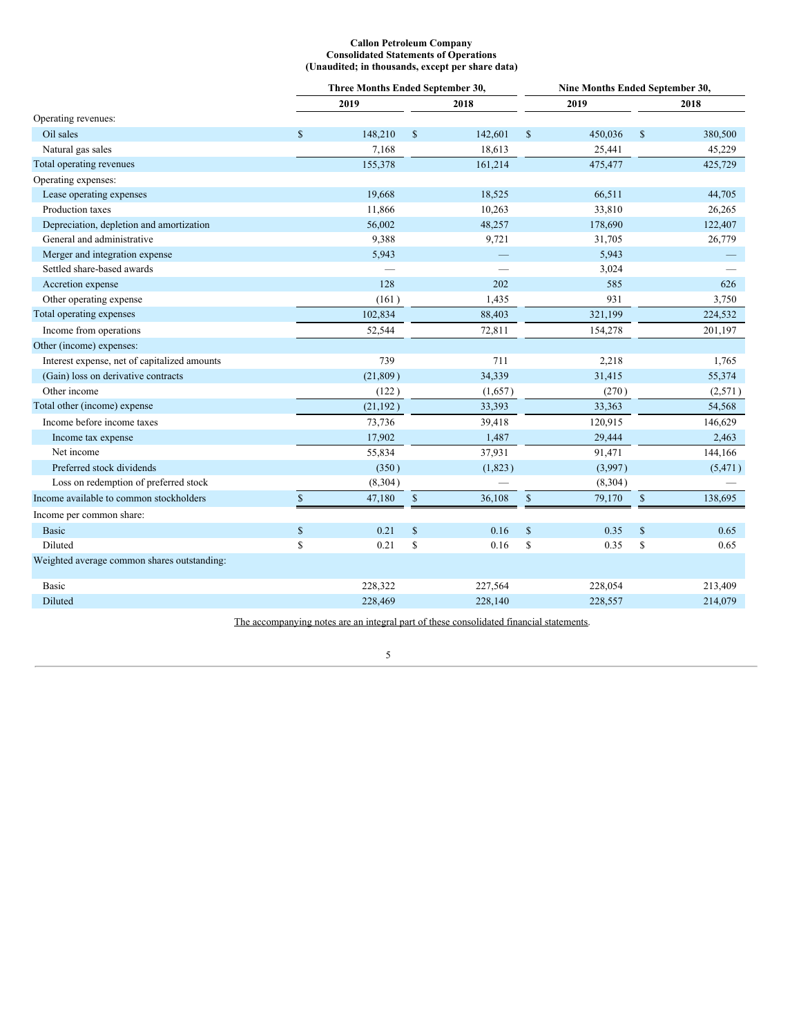### **Callon Petroleum Company Consolidated Statements of Operations (Unaudited; in thousands, except per share data)**

|                                              | Three Months Ended September 30, |           |              |                   | Nine Months Ended September 30, |         |               |          |  |
|----------------------------------------------|----------------------------------|-----------|--------------|-------------------|---------------------------------|---------|---------------|----------|--|
|                                              |                                  | 2019      |              | 2018              |                                 | 2019    |               | 2018     |  |
| Operating revenues:                          |                                  |           |              |                   |                                 |         |               |          |  |
| Oil sales                                    | $\mathbb{S}$                     | 148,210   | $\mathbb{S}$ | 142,601           | $\$$                            | 450,036 | $\$$          | 380,500  |  |
| Natural gas sales                            |                                  | 7,168     |              | 18,613            |                                 | 25,441  |               | 45,229   |  |
| Total operating revenues                     |                                  | 155,378   |              | 161,214           |                                 | 475,477 |               | 425,729  |  |
| Operating expenses:                          |                                  |           |              |                   |                                 |         |               |          |  |
| Lease operating expenses                     |                                  | 19,668    |              | 18,525            |                                 | 66,511  |               | 44,705   |  |
| Production taxes                             |                                  | 11,866    |              | 10,263            |                                 | 33,810  |               | 26,265   |  |
| Depreciation, depletion and amortization     |                                  | 56,002    |              | 48,257            |                                 | 178,690 |               | 122,407  |  |
| General and administrative                   |                                  | 9,388     |              | 9,721             |                                 | 31,705  |               | 26,779   |  |
| Merger and integration expense               |                                  | 5,943     |              | $\qquad \qquad -$ |                                 | 5,943   |               |          |  |
| Settled share-based awards                   |                                  |           |              |                   |                                 | 3,024   |               |          |  |
| Accretion expense                            |                                  | 128       |              | 202               |                                 | 585     |               | 626      |  |
| Other operating expense                      |                                  | (161)     |              | 1,435             |                                 | 931     |               | 3,750    |  |
| Total operating expenses                     |                                  | 102,834   |              | 88,403            |                                 | 321,199 |               | 224,532  |  |
| Income from operations                       |                                  | 52,544    |              | 72,811            |                                 | 154,278 |               | 201,197  |  |
| Other (income) expenses:                     |                                  |           |              |                   |                                 |         |               |          |  |
| Interest expense, net of capitalized amounts |                                  | 739       |              | 711               |                                 | 2,218   |               | 1,765    |  |
| (Gain) loss on derivative contracts          |                                  | (21, 809) |              | 34,339            |                                 | 31,415  |               | 55,374   |  |
| Other income                                 |                                  | (122)     |              | (1,657)           |                                 | (270)   |               | (2,571)  |  |
| Total other (income) expense                 |                                  | (21, 192) |              | 33,393            |                                 | 33,363  |               | 54,568   |  |
| Income before income taxes                   |                                  | 73,736    |              | 39,418            |                                 | 120,915 |               | 146,629  |  |
| Income tax expense                           |                                  | 17,902    |              | 1,487             |                                 | 29,444  |               | 2,463    |  |
| Net income                                   |                                  | 55,834    |              | 37,931            |                                 | 91,471  |               | 144,166  |  |
| Preferred stock dividends                    |                                  | (350)     |              | (1,823)           |                                 | (3,997) |               | (5, 471) |  |
| Loss on redemption of preferred stock        |                                  | (8,304)   |              |                   |                                 | (8,304) |               |          |  |
| Income available to common stockholders      | $\mathbb{S}$                     | 47,180    | $\mathbb{S}$ | 36,108            | $\sqrt{\ }$                     | 79,170  | $\mathbb{S}$  | 138,695  |  |
| Income per common share:                     |                                  |           |              |                   |                                 |         |               |          |  |
| <b>Basic</b>                                 | \$                               | 0.21      | $\$$         | 0.16              | $\mathbb{S}$                    | 0.35    | $\mathsf{\$}$ | 0.65     |  |
| <b>Diluted</b>                               | \$                               | 0.21      | \$           | 0.16              | \$                              | 0.35    | \$            | 0.65     |  |
| Weighted average common shares outstanding:  |                                  |           |              |                   |                                 |         |               |          |  |
| Basic                                        |                                  | 228,322   |              | 227,564           |                                 | 228,054 |               | 213,409  |  |
| Diluted                                      |                                  | 228,469   |              | 228,140           |                                 | 228,557 |               | 214,079  |  |
|                                              |                                  |           |              |                   |                                 |         |               |          |  |

The accompanying notes are an integral part of these consolidated financial statements.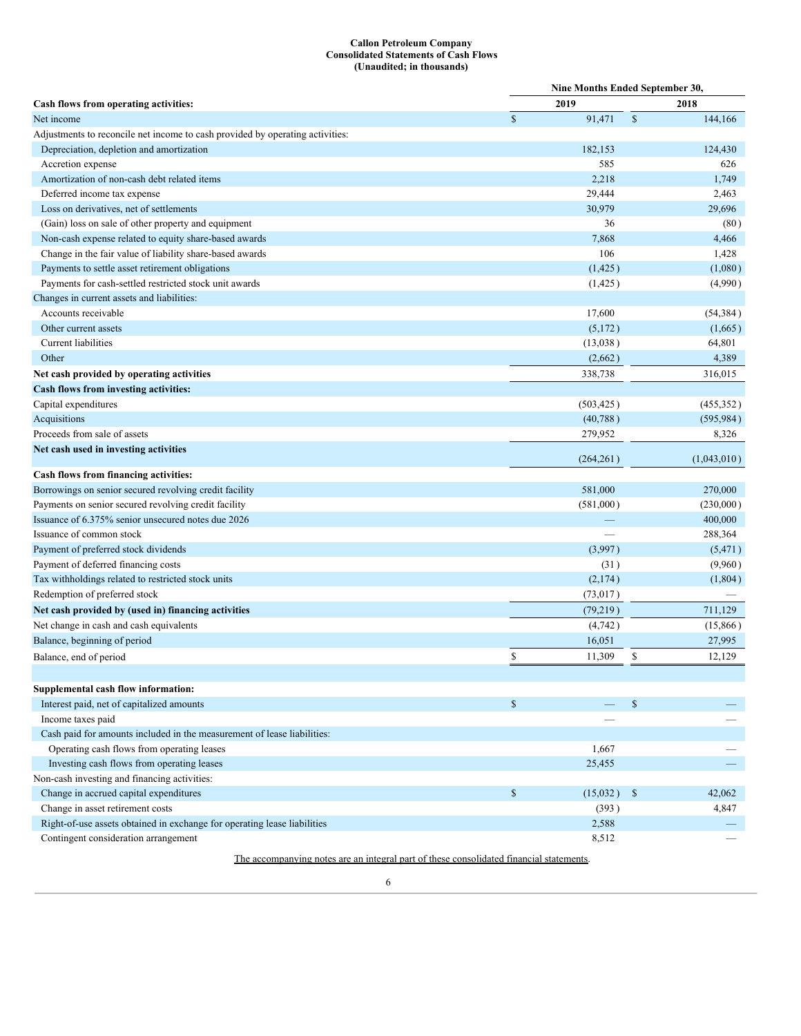### **Callon Petroleum Company Consolidated Statements of Cash Flows (Unaudited; in thousands)**

| 2019<br>2018<br>Cash flows from operating activities:<br>$\mathcal{S}$<br>$\mathbb{S}$<br>91,471<br>144,166<br>Net income<br>Adjustments to reconcile net income to cash provided by operating activities:<br>Depreciation, depletion and amortization<br>182,153<br>124,430<br>585<br>626<br>Accretion expense<br>Amortization of non-cash debt related items<br>2,218<br>1,749<br>Deferred income tax expense<br>29,444<br>2,463<br>Loss on derivatives, net of settlements<br>30,979<br>29,696<br>(Gain) loss on sale of other property and equipment<br>36<br>(80)<br>Non-cash expense related to equity share-based awards<br>7,868<br>4,466<br>Change in the fair value of liability share-based awards<br>106<br>1,428<br>Payments to settle asset retirement obligations<br>(1, 425)<br>(1,080)<br>Payments for cash-settled restricted stock unit awards<br>(4,990)<br>(1, 425)<br>Changes in current assets and liabilities:<br>Accounts receivable<br>17,600<br>(54, 384)<br>Other current assets<br>(5,172)<br>(1,665)<br>Current liabilities<br>(13,038)<br>64,801<br>Other<br>4,389<br>(2,662)<br>338,738<br>Net cash provided by operating activities<br>316,015<br>Cash flows from investing activities:<br>Capital expenditures<br>(503, 425)<br>(455, 352)<br>Acquisitions<br>(40, 788)<br>(595, 984)<br>Proceeds from sale of assets<br>279,952<br>8,326<br>Net cash used in investing activities<br>(264, 261)<br>(1,043,010)<br>Cash flows from financing activities:<br>Borrowings on senior secured revolving credit facility<br>581,000<br>270,000<br>Payments on senior secured revolving credit facility<br>(581,000)<br>(230,000)<br>Issuance of 6.375% senior unsecured notes due 2026<br>400,000<br>Issuance of common stock<br>288,364<br>Payment of preferred stock dividends<br>(3,997)<br>(5, 471)<br>Payment of deferred financing costs<br>(31)<br>(9,960)<br>Tax withholdings related to restricted stock units<br>(2,174)<br>(1,804)<br>Redemption of preferred stock<br>(73, 017)<br>711,129<br>Net cash provided by (used in) financing activities<br>(79,219)<br>Net change in cash and cash equivalents<br>(4,742)<br>(15,866)<br>Balance, beginning of period<br>16,051<br>27,995<br>\$<br>\$<br>11,309<br>Balance, end of period<br>12,129<br>Supplemental cash flow information:<br>$\mathbb{S}$<br>Interest paid, net of capitalized amounts<br>\$<br>Income taxes paid<br>Cash paid for amounts included in the measurement of lease liabilities:<br>Operating cash flows from operating leases<br>1,667<br>Investing cash flows from operating leases<br>25,455<br>Non-cash investing and financing activities:<br>Change in accrued capital expenditures<br>$\mathbb{S}$<br>(15,032)<br>\$<br>42,062<br>Change in asset retirement costs<br>(393)<br>4,847<br>Right-of-use assets obtained in exchange for operating lease liabilities<br>2,588<br>Contingent consideration arrangement<br>8,512 |  | Nine Months Ended September 30, |  |  |  |  |  |  |
|--------------------------------------------------------------------------------------------------------------------------------------------------------------------------------------------------------------------------------------------------------------------------------------------------------------------------------------------------------------------------------------------------------------------------------------------------------------------------------------------------------------------------------------------------------------------------------------------------------------------------------------------------------------------------------------------------------------------------------------------------------------------------------------------------------------------------------------------------------------------------------------------------------------------------------------------------------------------------------------------------------------------------------------------------------------------------------------------------------------------------------------------------------------------------------------------------------------------------------------------------------------------------------------------------------------------------------------------------------------------------------------------------------------------------------------------------------------------------------------------------------------------------------------------------------------------------------------------------------------------------------------------------------------------------------------------------------------------------------------------------------------------------------------------------------------------------------------------------------------------------------------------------------------------------------------------------------------------------------------------------------------------------------------------------------------------------------------------------------------------------------------------------------------------------------------------------------------------------------------------------------------------------------------------------------------------------------------------------------------------------------------------------------------------------------------------------------------------------------------------------------------------------------------------------------------------------------------------------------------------------------------------------------------------------------------------------------------------------------------------------------------------------------------------------------------------------------------------------------------------------------------------------------------------------------------------------|--|---------------------------------|--|--|--|--|--|--|
|                                                                                                                                                                                                                                                                                                                                                                                                                                                                                                                                                                                                                                                                                                                                                                                                                                                                                                                                                                                                                                                                                                                                                                                                                                                                                                                                                                                                                                                                                                                                                                                                                                                                                                                                                                                                                                                                                                                                                                                                                                                                                                                                                                                                                                                                                                                                                                                                                                                                                                                                                                                                                                                                                                                                                                                                                                                                                                                                                  |  |                                 |  |  |  |  |  |  |
|                                                                                                                                                                                                                                                                                                                                                                                                                                                                                                                                                                                                                                                                                                                                                                                                                                                                                                                                                                                                                                                                                                                                                                                                                                                                                                                                                                                                                                                                                                                                                                                                                                                                                                                                                                                                                                                                                                                                                                                                                                                                                                                                                                                                                                                                                                                                                                                                                                                                                                                                                                                                                                                                                                                                                                                                                                                                                                                                                  |  |                                 |  |  |  |  |  |  |
|                                                                                                                                                                                                                                                                                                                                                                                                                                                                                                                                                                                                                                                                                                                                                                                                                                                                                                                                                                                                                                                                                                                                                                                                                                                                                                                                                                                                                                                                                                                                                                                                                                                                                                                                                                                                                                                                                                                                                                                                                                                                                                                                                                                                                                                                                                                                                                                                                                                                                                                                                                                                                                                                                                                                                                                                                                                                                                                                                  |  |                                 |  |  |  |  |  |  |
|                                                                                                                                                                                                                                                                                                                                                                                                                                                                                                                                                                                                                                                                                                                                                                                                                                                                                                                                                                                                                                                                                                                                                                                                                                                                                                                                                                                                                                                                                                                                                                                                                                                                                                                                                                                                                                                                                                                                                                                                                                                                                                                                                                                                                                                                                                                                                                                                                                                                                                                                                                                                                                                                                                                                                                                                                                                                                                                                                  |  |                                 |  |  |  |  |  |  |
|                                                                                                                                                                                                                                                                                                                                                                                                                                                                                                                                                                                                                                                                                                                                                                                                                                                                                                                                                                                                                                                                                                                                                                                                                                                                                                                                                                                                                                                                                                                                                                                                                                                                                                                                                                                                                                                                                                                                                                                                                                                                                                                                                                                                                                                                                                                                                                                                                                                                                                                                                                                                                                                                                                                                                                                                                                                                                                                                                  |  |                                 |  |  |  |  |  |  |
|                                                                                                                                                                                                                                                                                                                                                                                                                                                                                                                                                                                                                                                                                                                                                                                                                                                                                                                                                                                                                                                                                                                                                                                                                                                                                                                                                                                                                                                                                                                                                                                                                                                                                                                                                                                                                                                                                                                                                                                                                                                                                                                                                                                                                                                                                                                                                                                                                                                                                                                                                                                                                                                                                                                                                                                                                                                                                                                                                  |  |                                 |  |  |  |  |  |  |
|                                                                                                                                                                                                                                                                                                                                                                                                                                                                                                                                                                                                                                                                                                                                                                                                                                                                                                                                                                                                                                                                                                                                                                                                                                                                                                                                                                                                                                                                                                                                                                                                                                                                                                                                                                                                                                                                                                                                                                                                                                                                                                                                                                                                                                                                                                                                                                                                                                                                                                                                                                                                                                                                                                                                                                                                                                                                                                                                                  |  |                                 |  |  |  |  |  |  |
|                                                                                                                                                                                                                                                                                                                                                                                                                                                                                                                                                                                                                                                                                                                                                                                                                                                                                                                                                                                                                                                                                                                                                                                                                                                                                                                                                                                                                                                                                                                                                                                                                                                                                                                                                                                                                                                                                                                                                                                                                                                                                                                                                                                                                                                                                                                                                                                                                                                                                                                                                                                                                                                                                                                                                                                                                                                                                                                                                  |  |                                 |  |  |  |  |  |  |
|                                                                                                                                                                                                                                                                                                                                                                                                                                                                                                                                                                                                                                                                                                                                                                                                                                                                                                                                                                                                                                                                                                                                                                                                                                                                                                                                                                                                                                                                                                                                                                                                                                                                                                                                                                                                                                                                                                                                                                                                                                                                                                                                                                                                                                                                                                                                                                                                                                                                                                                                                                                                                                                                                                                                                                                                                                                                                                                                                  |  |                                 |  |  |  |  |  |  |
|                                                                                                                                                                                                                                                                                                                                                                                                                                                                                                                                                                                                                                                                                                                                                                                                                                                                                                                                                                                                                                                                                                                                                                                                                                                                                                                                                                                                                                                                                                                                                                                                                                                                                                                                                                                                                                                                                                                                                                                                                                                                                                                                                                                                                                                                                                                                                                                                                                                                                                                                                                                                                                                                                                                                                                                                                                                                                                                                                  |  |                                 |  |  |  |  |  |  |
|                                                                                                                                                                                                                                                                                                                                                                                                                                                                                                                                                                                                                                                                                                                                                                                                                                                                                                                                                                                                                                                                                                                                                                                                                                                                                                                                                                                                                                                                                                                                                                                                                                                                                                                                                                                                                                                                                                                                                                                                                                                                                                                                                                                                                                                                                                                                                                                                                                                                                                                                                                                                                                                                                                                                                                                                                                                                                                                                                  |  |                                 |  |  |  |  |  |  |
|                                                                                                                                                                                                                                                                                                                                                                                                                                                                                                                                                                                                                                                                                                                                                                                                                                                                                                                                                                                                                                                                                                                                                                                                                                                                                                                                                                                                                                                                                                                                                                                                                                                                                                                                                                                                                                                                                                                                                                                                                                                                                                                                                                                                                                                                                                                                                                                                                                                                                                                                                                                                                                                                                                                                                                                                                                                                                                                                                  |  |                                 |  |  |  |  |  |  |
|                                                                                                                                                                                                                                                                                                                                                                                                                                                                                                                                                                                                                                                                                                                                                                                                                                                                                                                                                                                                                                                                                                                                                                                                                                                                                                                                                                                                                                                                                                                                                                                                                                                                                                                                                                                                                                                                                                                                                                                                                                                                                                                                                                                                                                                                                                                                                                                                                                                                                                                                                                                                                                                                                                                                                                                                                                                                                                                                                  |  |                                 |  |  |  |  |  |  |
|                                                                                                                                                                                                                                                                                                                                                                                                                                                                                                                                                                                                                                                                                                                                                                                                                                                                                                                                                                                                                                                                                                                                                                                                                                                                                                                                                                                                                                                                                                                                                                                                                                                                                                                                                                                                                                                                                                                                                                                                                                                                                                                                                                                                                                                                                                                                                                                                                                                                                                                                                                                                                                                                                                                                                                                                                                                                                                                                                  |  |                                 |  |  |  |  |  |  |
|                                                                                                                                                                                                                                                                                                                                                                                                                                                                                                                                                                                                                                                                                                                                                                                                                                                                                                                                                                                                                                                                                                                                                                                                                                                                                                                                                                                                                                                                                                                                                                                                                                                                                                                                                                                                                                                                                                                                                                                                                                                                                                                                                                                                                                                                                                                                                                                                                                                                                                                                                                                                                                                                                                                                                                                                                                                                                                                                                  |  |                                 |  |  |  |  |  |  |
|                                                                                                                                                                                                                                                                                                                                                                                                                                                                                                                                                                                                                                                                                                                                                                                                                                                                                                                                                                                                                                                                                                                                                                                                                                                                                                                                                                                                                                                                                                                                                                                                                                                                                                                                                                                                                                                                                                                                                                                                                                                                                                                                                                                                                                                                                                                                                                                                                                                                                                                                                                                                                                                                                                                                                                                                                                                                                                                                                  |  |                                 |  |  |  |  |  |  |
|                                                                                                                                                                                                                                                                                                                                                                                                                                                                                                                                                                                                                                                                                                                                                                                                                                                                                                                                                                                                                                                                                                                                                                                                                                                                                                                                                                                                                                                                                                                                                                                                                                                                                                                                                                                                                                                                                                                                                                                                                                                                                                                                                                                                                                                                                                                                                                                                                                                                                                                                                                                                                                                                                                                                                                                                                                                                                                                                                  |  |                                 |  |  |  |  |  |  |
|                                                                                                                                                                                                                                                                                                                                                                                                                                                                                                                                                                                                                                                                                                                                                                                                                                                                                                                                                                                                                                                                                                                                                                                                                                                                                                                                                                                                                                                                                                                                                                                                                                                                                                                                                                                                                                                                                                                                                                                                                                                                                                                                                                                                                                                                                                                                                                                                                                                                                                                                                                                                                                                                                                                                                                                                                                                                                                                                                  |  |                                 |  |  |  |  |  |  |
|                                                                                                                                                                                                                                                                                                                                                                                                                                                                                                                                                                                                                                                                                                                                                                                                                                                                                                                                                                                                                                                                                                                                                                                                                                                                                                                                                                                                                                                                                                                                                                                                                                                                                                                                                                                                                                                                                                                                                                                                                                                                                                                                                                                                                                                                                                                                                                                                                                                                                                                                                                                                                                                                                                                                                                                                                                                                                                                                                  |  |                                 |  |  |  |  |  |  |
|                                                                                                                                                                                                                                                                                                                                                                                                                                                                                                                                                                                                                                                                                                                                                                                                                                                                                                                                                                                                                                                                                                                                                                                                                                                                                                                                                                                                                                                                                                                                                                                                                                                                                                                                                                                                                                                                                                                                                                                                                                                                                                                                                                                                                                                                                                                                                                                                                                                                                                                                                                                                                                                                                                                                                                                                                                                                                                                                                  |  |                                 |  |  |  |  |  |  |
|                                                                                                                                                                                                                                                                                                                                                                                                                                                                                                                                                                                                                                                                                                                                                                                                                                                                                                                                                                                                                                                                                                                                                                                                                                                                                                                                                                                                                                                                                                                                                                                                                                                                                                                                                                                                                                                                                                                                                                                                                                                                                                                                                                                                                                                                                                                                                                                                                                                                                                                                                                                                                                                                                                                                                                                                                                                                                                                                                  |  |                                 |  |  |  |  |  |  |
|                                                                                                                                                                                                                                                                                                                                                                                                                                                                                                                                                                                                                                                                                                                                                                                                                                                                                                                                                                                                                                                                                                                                                                                                                                                                                                                                                                                                                                                                                                                                                                                                                                                                                                                                                                                                                                                                                                                                                                                                                                                                                                                                                                                                                                                                                                                                                                                                                                                                                                                                                                                                                                                                                                                                                                                                                                                                                                                                                  |  |                                 |  |  |  |  |  |  |
|                                                                                                                                                                                                                                                                                                                                                                                                                                                                                                                                                                                                                                                                                                                                                                                                                                                                                                                                                                                                                                                                                                                                                                                                                                                                                                                                                                                                                                                                                                                                                                                                                                                                                                                                                                                                                                                                                                                                                                                                                                                                                                                                                                                                                                                                                                                                                                                                                                                                                                                                                                                                                                                                                                                                                                                                                                                                                                                                                  |  |                                 |  |  |  |  |  |  |
|                                                                                                                                                                                                                                                                                                                                                                                                                                                                                                                                                                                                                                                                                                                                                                                                                                                                                                                                                                                                                                                                                                                                                                                                                                                                                                                                                                                                                                                                                                                                                                                                                                                                                                                                                                                                                                                                                                                                                                                                                                                                                                                                                                                                                                                                                                                                                                                                                                                                                                                                                                                                                                                                                                                                                                                                                                                                                                                                                  |  |                                 |  |  |  |  |  |  |
|                                                                                                                                                                                                                                                                                                                                                                                                                                                                                                                                                                                                                                                                                                                                                                                                                                                                                                                                                                                                                                                                                                                                                                                                                                                                                                                                                                                                                                                                                                                                                                                                                                                                                                                                                                                                                                                                                                                                                                                                                                                                                                                                                                                                                                                                                                                                                                                                                                                                                                                                                                                                                                                                                                                                                                                                                                                                                                                                                  |  |                                 |  |  |  |  |  |  |
|                                                                                                                                                                                                                                                                                                                                                                                                                                                                                                                                                                                                                                                                                                                                                                                                                                                                                                                                                                                                                                                                                                                                                                                                                                                                                                                                                                                                                                                                                                                                                                                                                                                                                                                                                                                                                                                                                                                                                                                                                                                                                                                                                                                                                                                                                                                                                                                                                                                                                                                                                                                                                                                                                                                                                                                                                                                                                                                                                  |  |                                 |  |  |  |  |  |  |
|                                                                                                                                                                                                                                                                                                                                                                                                                                                                                                                                                                                                                                                                                                                                                                                                                                                                                                                                                                                                                                                                                                                                                                                                                                                                                                                                                                                                                                                                                                                                                                                                                                                                                                                                                                                                                                                                                                                                                                                                                                                                                                                                                                                                                                                                                                                                                                                                                                                                                                                                                                                                                                                                                                                                                                                                                                                                                                                                                  |  |                                 |  |  |  |  |  |  |
|                                                                                                                                                                                                                                                                                                                                                                                                                                                                                                                                                                                                                                                                                                                                                                                                                                                                                                                                                                                                                                                                                                                                                                                                                                                                                                                                                                                                                                                                                                                                                                                                                                                                                                                                                                                                                                                                                                                                                                                                                                                                                                                                                                                                                                                                                                                                                                                                                                                                                                                                                                                                                                                                                                                                                                                                                                                                                                                                                  |  |                                 |  |  |  |  |  |  |
|                                                                                                                                                                                                                                                                                                                                                                                                                                                                                                                                                                                                                                                                                                                                                                                                                                                                                                                                                                                                                                                                                                                                                                                                                                                                                                                                                                                                                                                                                                                                                                                                                                                                                                                                                                                                                                                                                                                                                                                                                                                                                                                                                                                                                                                                                                                                                                                                                                                                                                                                                                                                                                                                                                                                                                                                                                                                                                                                                  |  |                                 |  |  |  |  |  |  |
|                                                                                                                                                                                                                                                                                                                                                                                                                                                                                                                                                                                                                                                                                                                                                                                                                                                                                                                                                                                                                                                                                                                                                                                                                                                                                                                                                                                                                                                                                                                                                                                                                                                                                                                                                                                                                                                                                                                                                                                                                                                                                                                                                                                                                                                                                                                                                                                                                                                                                                                                                                                                                                                                                                                                                                                                                                                                                                                                                  |  |                                 |  |  |  |  |  |  |
|                                                                                                                                                                                                                                                                                                                                                                                                                                                                                                                                                                                                                                                                                                                                                                                                                                                                                                                                                                                                                                                                                                                                                                                                                                                                                                                                                                                                                                                                                                                                                                                                                                                                                                                                                                                                                                                                                                                                                                                                                                                                                                                                                                                                                                                                                                                                                                                                                                                                                                                                                                                                                                                                                                                                                                                                                                                                                                                                                  |  |                                 |  |  |  |  |  |  |
|                                                                                                                                                                                                                                                                                                                                                                                                                                                                                                                                                                                                                                                                                                                                                                                                                                                                                                                                                                                                                                                                                                                                                                                                                                                                                                                                                                                                                                                                                                                                                                                                                                                                                                                                                                                                                                                                                                                                                                                                                                                                                                                                                                                                                                                                                                                                                                                                                                                                                                                                                                                                                                                                                                                                                                                                                                                                                                                                                  |  |                                 |  |  |  |  |  |  |
|                                                                                                                                                                                                                                                                                                                                                                                                                                                                                                                                                                                                                                                                                                                                                                                                                                                                                                                                                                                                                                                                                                                                                                                                                                                                                                                                                                                                                                                                                                                                                                                                                                                                                                                                                                                                                                                                                                                                                                                                                                                                                                                                                                                                                                                                                                                                                                                                                                                                                                                                                                                                                                                                                                                                                                                                                                                                                                                                                  |  |                                 |  |  |  |  |  |  |
|                                                                                                                                                                                                                                                                                                                                                                                                                                                                                                                                                                                                                                                                                                                                                                                                                                                                                                                                                                                                                                                                                                                                                                                                                                                                                                                                                                                                                                                                                                                                                                                                                                                                                                                                                                                                                                                                                                                                                                                                                                                                                                                                                                                                                                                                                                                                                                                                                                                                                                                                                                                                                                                                                                                                                                                                                                                                                                                                                  |  |                                 |  |  |  |  |  |  |
|                                                                                                                                                                                                                                                                                                                                                                                                                                                                                                                                                                                                                                                                                                                                                                                                                                                                                                                                                                                                                                                                                                                                                                                                                                                                                                                                                                                                                                                                                                                                                                                                                                                                                                                                                                                                                                                                                                                                                                                                                                                                                                                                                                                                                                                                                                                                                                                                                                                                                                                                                                                                                                                                                                                                                                                                                                                                                                                                                  |  |                                 |  |  |  |  |  |  |
|                                                                                                                                                                                                                                                                                                                                                                                                                                                                                                                                                                                                                                                                                                                                                                                                                                                                                                                                                                                                                                                                                                                                                                                                                                                                                                                                                                                                                                                                                                                                                                                                                                                                                                                                                                                                                                                                                                                                                                                                                                                                                                                                                                                                                                                                                                                                                                                                                                                                                                                                                                                                                                                                                                                                                                                                                                                                                                                                                  |  |                                 |  |  |  |  |  |  |
|                                                                                                                                                                                                                                                                                                                                                                                                                                                                                                                                                                                                                                                                                                                                                                                                                                                                                                                                                                                                                                                                                                                                                                                                                                                                                                                                                                                                                                                                                                                                                                                                                                                                                                                                                                                                                                                                                                                                                                                                                                                                                                                                                                                                                                                                                                                                                                                                                                                                                                                                                                                                                                                                                                                                                                                                                                                                                                                                                  |  |                                 |  |  |  |  |  |  |
|                                                                                                                                                                                                                                                                                                                                                                                                                                                                                                                                                                                                                                                                                                                                                                                                                                                                                                                                                                                                                                                                                                                                                                                                                                                                                                                                                                                                                                                                                                                                                                                                                                                                                                                                                                                                                                                                                                                                                                                                                                                                                                                                                                                                                                                                                                                                                                                                                                                                                                                                                                                                                                                                                                                                                                                                                                                                                                                                                  |  |                                 |  |  |  |  |  |  |
|                                                                                                                                                                                                                                                                                                                                                                                                                                                                                                                                                                                                                                                                                                                                                                                                                                                                                                                                                                                                                                                                                                                                                                                                                                                                                                                                                                                                                                                                                                                                                                                                                                                                                                                                                                                                                                                                                                                                                                                                                                                                                                                                                                                                                                                                                                                                                                                                                                                                                                                                                                                                                                                                                                                                                                                                                                                                                                                                                  |  |                                 |  |  |  |  |  |  |
|                                                                                                                                                                                                                                                                                                                                                                                                                                                                                                                                                                                                                                                                                                                                                                                                                                                                                                                                                                                                                                                                                                                                                                                                                                                                                                                                                                                                                                                                                                                                                                                                                                                                                                                                                                                                                                                                                                                                                                                                                                                                                                                                                                                                                                                                                                                                                                                                                                                                                                                                                                                                                                                                                                                                                                                                                                                                                                                                                  |  |                                 |  |  |  |  |  |  |
|                                                                                                                                                                                                                                                                                                                                                                                                                                                                                                                                                                                                                                                                                                                                                                                                                                                                                                                                                                                                                                                                                                                                                                                                                                                                                                                                                                                                                                                                                                                                                                                                                                                                                                                                                                                                                                                                                                                                                                                                                                                                                                                                                                                                                                                                                                                                                                                                                                                                                                                                                                                                                                                                                                                                                                                                                                                                                                                                                  |  |                                 |  |  |  |  |  |  |
|                                                                                                                                                                                                                                                                                                                                                                                                                                                                                                                                                                                                                                                                                                                                                                                                                                                                                                                                                                                                                                                                                                                                                                                                                                                                                                                                                                                                                                                                                                                                                                                                                                                                                                                                                                                                                                                                                                                                                                                                                                                                                                                                                                                                                                                                                                                                                                                                                                                                                                                                                                                                                                                                                                                                                                                                                                                                                                                                                  |  |                                 |  |  |  |  |  |  |
|                                                                                                                                                                                                                                                                                                                                                                                                                                                                                                                                                                                                                                                                                                                                                                                                                                                                                                                                                                                                                                                                                                                                                                                                                                                                                                                                                                                                                                                                                                                                                                                                                                                                                                                                                                                                                                                                                                                                                                                                                                                                                                                                                                                                                                                                                                                                                                                                                                                                                                                                                                                                                                                                                                                                                                                                                                                                                                                                                  |  |                                 |  |  |  |  |  |  |
|                                                                                                                                                                                                                                                                                                                                                                                                                                                                                                                                                                                                                                                                                                                                                                                                                                                                                                                                                                                                                                                                                                                                                                                                                                                                                                                                                                                                                                                                                                                                                                                                                                                                                                                                                                                                                                                                                                                                                                                                                                                                                                                                                                                                                                                                                                                                                                                                                                                                                                                                                                                                                                                                                                                                                                                                                                                                                                                                                  |  |                                 |  |  |  |  |  |  |
|                                                                                                                                                                                                                                                                                                                                                                                                                                                                                                                                                                                                                                                                                                                                                                                                                                                                                                                                                                                                                                                                                                                                                                                                                                                                                                                                                                                                                                                                                                                                                                                                                                                                                                                                                                                                                                                                                                                                                                                                                                                                                                                                                                                                                                                                                                                                                                                                                                                                                                                                                                                                                                                                                                                                                                                                                                                                                                                                                  |  |                                 |  |  |  |  |  |  |
|                                                                                                                                                                                                                                                                                                                                                                                                                                                                                                                                                                                                                                                                                                                                                                                                                                                                                                                                                                                                                                                                                                                                                                                                                                                                                                                                                                                                                                                                                                                                                                                                                                                                                                                                                                                                                                                                                                                                                                                                                                                                                                                                                                                                                                                                                                                                                                                                                                                                                                                                                                                                                                                                                                                                                                                                                                                                                                                                                  |  |                                 |  |  |  |  |  |  |
|                                                                                                                                                                                                                                                                                                                                                                                                                                                                                                                                                                                                                                                                                                                                                                                                                                                                                                                                                                                                                                                                                                                                                                                                                                                                                                                                                                                                                                                                                                                                                                                                                                                                                                                                                                                                                                                                                                                                                                                                                                                                                                                                                                                                                                                                                                                                                                                                                                                                                                                                                                                                                                                                                                                                                                                                                                                                                                                                                  |  |                                 |  |  |  |  |  |  |
|                                                                                                                                                                                                                                                                                                                                                                                                                                                                                                                                                                                                                                                                                                                                                                                                                                                                                                                                                                                                                                                                                                                                                                                                                                                                                                                                                                                                                                                                                                                                                                                                                                                                                                                                                                                                                                                                                                                                                                                                                                                                                                                                                                                                                                                                                                                                                                                                                                                                                                                                                                                                                                                                                                                                                                                                                                                                                                                                                  |  |                                 |  |  |  |  |  |  |
|                                                                                                                                                                                                                                                                                                                                                                                                                                                                                                                                                                                                                                                                                                                                                                                                                                                                                                                                                                                                                                                                                                                                                                                                                                                                                                                                                                                                                                                                                                                                                                                                                                                                                                                                                                                                                                                                                                                                                                                                                                                                                                                                                                                                                                                                                                                                                                                                                                                                                                                                                                                                                                                                                                                                                                                                                                                                                                                                                  |  |                                 |  |  |  |  |  |  |
|                                                                                                                                                                                                                                                                                                                                                                                                                                                                                                                                                                                                                                                                                                                                                                                                                                                                                                                                                                                                                                                                                                                                                                                                                                                                                                                                                                                                                                                                                                                                                                                                                                                                                                                                                                                                                                                                                                                                                                                                                                                                                                                                                                                                                                                                                                                                                                                                                                                                                                                                                                                                                                                                                                                                                                                                                                                                                                                                                  |  |                                 |  |  |  |  |  |  |

The accompanying notes are an integral part of these consolidated financial statements.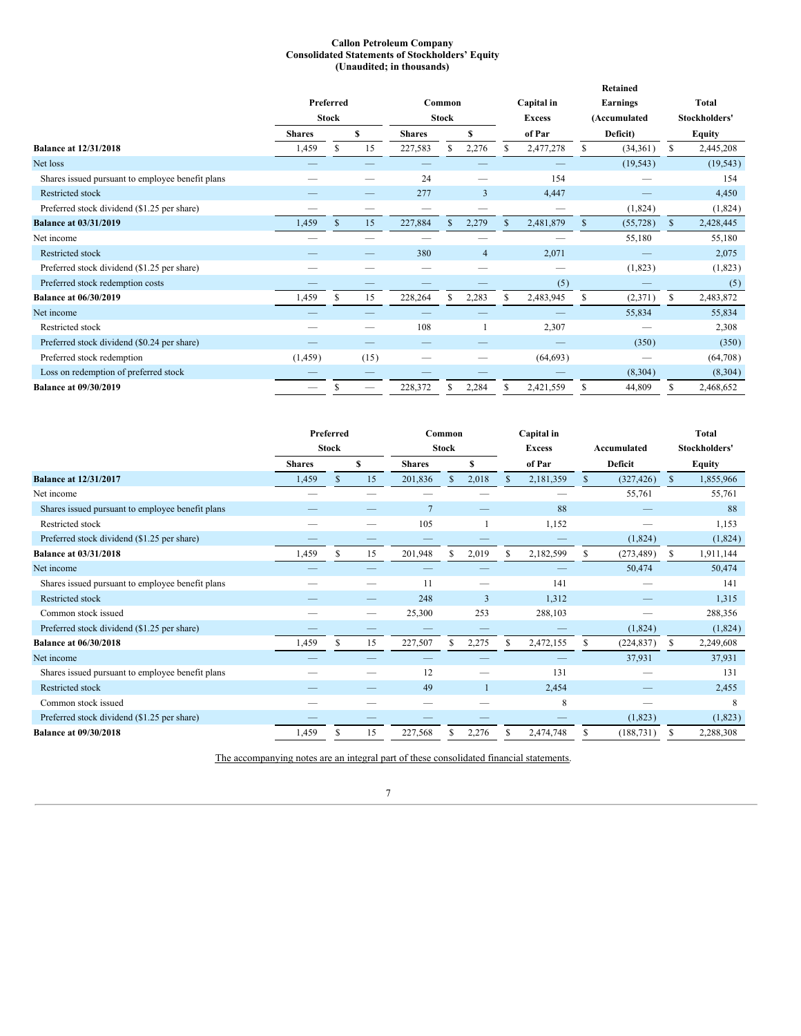### **Callon Petroleum Company Consolidated Statements of Stockholders' Equity (Unaudited; in thousands)**

|                                                  |               |              |      |               |              |                | Retained |               |          |                 |               |              |
|--------------------------------------------------|---------------|--------------|------|---------------|--------------|----------------|----------|---------------|----------|-----------------|---------------|--------------|
|                                                  |               | Preferred    |      |               | Common       |                |          | Capital in    |          | <b>Earnings</b> |               | <b>Total</b> |
|                                                  |               | <b>Stock</b> |      |               | <b>Stock</b> |                |          | <b>Excess</b> |          | (Accumulated    | Stockholders' |              |
|                                                  | <b>Shares</b> | S            |      | <b>Shares</b> |              | \$             |          | of Par        | Deficit) |                 | <b>Equity</b> |              |
| <b>Balance at 12/31/2018</b>                     | 1,459         | S            | 15   | 227,583       |              | 2,276          |          | 2,477,278     |          | (34,361)        | \$            | 2,445,208    |
| Net loss                                         |               |              |      |               |              |                |          |               |          | (19, 543)       |               | (19, 543)    |
| Shares issued pursuant to employee benefit plans |               |              |      | 24            |              |                |          | 154           |          |                 |               | 154          |
| Restricted stock                                 |               |              |      | 277           |              | 3              |          | 4,447         |          |                 |               | 4,450        |
| Preferred stock dividend (\$1.25 per share)      |               |              |      |               |              |                |          |               |          | (1,824)         |               | (1,824)      |
| <b>Balance at 03/31/2019</b>                     | 1,459         | S.           | 15   | 227,884       |              | 2,279          |          | 2,481,879     | S.       | (55, 728)       | $\mathbb{S}$  | 2,428,445    |
| Net income                                       |               |              |      |               |              |                |          |               |          | 55,180          |               | 55,180       |
| Restricted stock                                 |               |              |      | 380           |              | $\overline{4}$ |          | 2,071         |          |                 |               | 2,075        |
| Preferred stock dividend (\$1.25 per share)      |               |              |      |               |              | --             |          |               |          | (1,823)         |               | (1,823)      |
| Preferred stock redemption costs                 |               |              |      |               |              |                |          | (5)           |          |                 |               | (5)          |
| <b>Balance at 06/30/2019</b>                     | 1,459         | S            | 15   | 228,264       |              | 2,283          | \$.      | 2,483,945     | S        | (2,371)         | \$            | 2,483,872    |
| Net income                                       |               |              |      |               |              |                |          |               |          | 55,834          |               | 55,834       |
| Restricted stock                                 |               |              |      | 108           |              |                |          | 2,307         |          |                 |               | 2,308        |
| Preferred stock dividend (\$0.24 per share)      |               |              |      |               |              |                |          |               |          | (350)           |               | (350)        |
| Preferred stock redemption                       | (1, 459)      |              | (15) |               |              |                |          | (64, 693)     |          | --              |               | (64,708)     |
| Loss on redemption of preferred stock            |               |              |      |               |              |                |          |               |          | (8,304)         |               | (8, 304)     |
| <b>Balance at 09/30/2019</b>                     |               |              |      | 228,372       |              | 2,284          |          | 2,421,559     | S        | 44,809          | S             | 2,468,652    |
|                                                  |               |              |      |               |              |                |          |               |          |                 |               |              |

|                                                  | Preferred     |              |    | Common        |              |                | Capital in |               |              |            | <b>Total</b>  |           |
|--------------------------------------------------|---------------|--------------|----|---------------|--------------|----------------|------------|---------------|--------------|------------|---------------|-----------|
|                                                  |               | <b>Stock</b> |    |               | <b>Stock</b> |                |            | <b>Excess</b> | Accumulated  |            | Stockholders' |           |
|                                                  | <b>Shares</b> |              | S  | <b>Shares</b> |              | S              |            | of Par        | Deficit      |            | <b>Equity</b> |           |
| <b>Balance at 12/31/2017</b>                     | 1,459         | $\mathbb{S}$ | 15 | 201,836       | $\mathbb{S}$ | 2,018          | \$         | 2,181,359     | $\mathbb{S}$ | (327, 426) | \$            | 1,855,966 |
| Net income                                       |               |              |    |               |              |                |            |               |              | 55,761     |               | 55,761    |
| Shares issued pursuant to employee benefit plans |               |              |    |               |              |                |            | 88            |              |            |               | 88        |
| Restricted stock                                 |               |              |    | 105           |              |                |            | 1,152         |              |            |               | 1,153     |
| Preferred stock dividend (\$1.25 per share)      |               |              |    |               |              |                |            |               |              | (1,824)    |               | (1,824)   |
| <b>Balance at 03/31/2018</b>                     | 1,459         | \$           | 15 | 201,948       | \$.          | 2,019          | S.         | 2,182,599     | S.           | (273, 489) | \$            | 1,911,144 |
| Net income                                       |               |              |    |               |              |                |            |               |              | 50,474     |               | 50,474    |
| Shares issued pursuant to employee benefit plans |               |              |    | 11            |              |                |            | 141           |              |            |               | 141       |
| <b>Restricted stock</b>                          |               |              |    | 248           |              | $\overline{3}$ |            | 1,312         |              |            |               | 1,315     |
| Common stock issued                              |               |              |    | 25,300        |              | 253            |            | 288,103       |              |            |               | 288,356   |
| Preferred stock dividend (\$1.25 per share)      |               |              |    |               |              |                |            |               |              | (1,824)    |               | (1,824)   |
| <b>Balance at 06/30/2018</b>                     | 1,459         | £.           | 15 | 227,507       |              | 2,275          | S          | 2,472,155     |              | (224, 837) | S.            | 2,249,608 |
| Net income                                       |               |              |    |               |              |                |            |               |              | 37,931     |               | 37,931    |
| Shares issued pursuant to employee benefit plans |               |              |    | 12            |              |                |            | 131           |              |            |               | 131       |
| <b>Restricted stock</b>                          |               |              |    | 49            |              |                |            | 2,454         |              |            |               | 2,455     |
| Common stock issued                              |               |              |    | $\sim$        |              |                |            | 8             |              |            |               | 8         |
| Preferred stock dividend (\$1.25 per share)      |               |              |    |               |              |                |            |               |              | (1,823)    |               | (1,823)   |
| <b>Balance at 09/30/2018</b>                     | 1,459         | S            | 15 | 227,568       |              | 2,276          | S          | 2,474,748     | S            | (188, 731) | S             | 2,288,308 |

The accompanying notes are an integral part of these consolidated financial statements.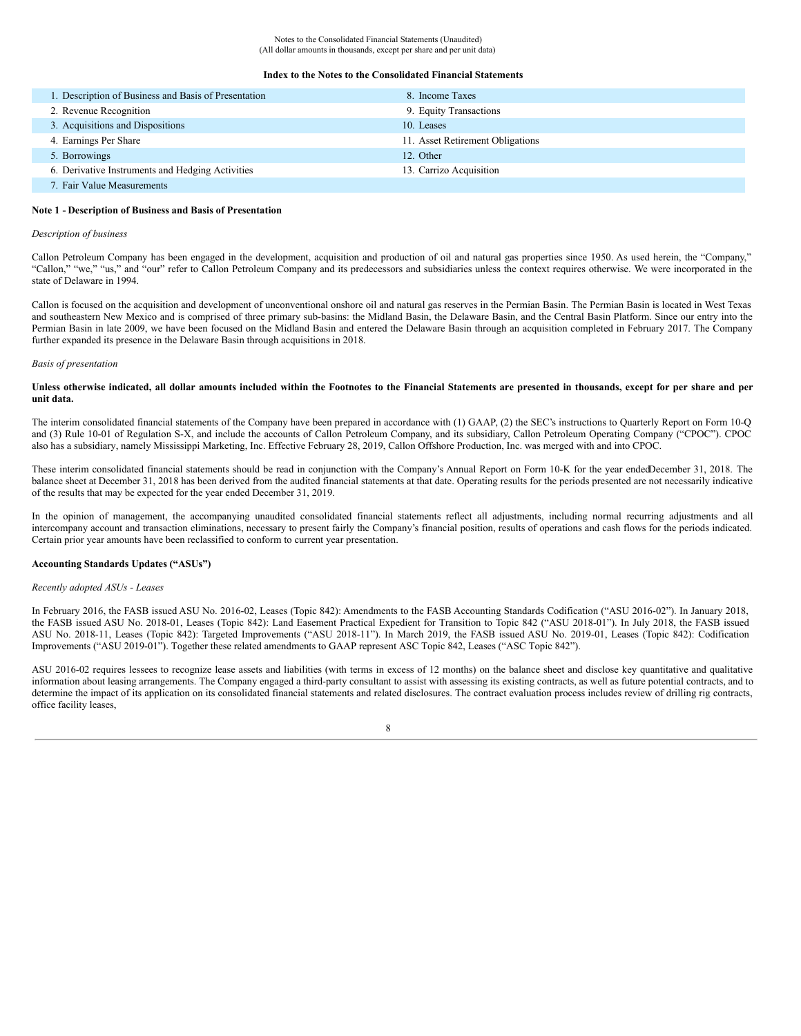#### **Index to the Notes to the Consolidated Financial Statements**

| 1. Description of Business and Basis of Presentation | 8. Income Taxes                  |
|------------------------------------------------------|----------------------------------|
| 2. Revenue Recognition                               | 9. Equity Transactions           |
| 3. Acquisitions and Dispositions                     | 10. Leases                       |
| 4. Earnings Per Share                                | 11. Asset Retirement Obligations |
| 5. Borrowings                                        | 12. Other                        |
| 6. Derivative Instruments and Hedging Activities     | 13. Carrizo Acquisition          |
| 7. Fair Value Measurements                           |                                  |

### **Note 1 - Description of Business and Basis of Presentation**

#### *Description of business*

Callon Petroleum Company has been engaged in the development, acquisition and production of oil and natural gas properties since 1950. As used herein, the "Company," "Callon," "we," "us," and "our" refer to Callon Petroleum Company and its predecessors and subsidiaries unless the context requires otherwise. We were incorporated in the state of Delaware in 1994.

Callon is focused on the acquisition and development of unconventional onshore oil and natural gas reserves in the Permian Basin. The Permian Basin is located in West Texas and southeastern New Mexico and is comprised of three primary sub-basins: the Midland Basin, the Delaware Basin, and the Central Basin Platform. Since our entry into the Permian Basin in late 2009, we have been focused on the Midland Basin and entered the Delaware Basin through an acquisition completed in February 2017. The Company further expanded its presence in the Delaware Basin through acquisitions in 2018.

#### *Basis of presentation*

### Unless otherwise indicated, all dollar amounts included within the Footnotes to the Financial Statements are presented in thousands, except for per share and per **unit data.**

The interim consolidated financial statements of the Company have been prepared in accordance with (1) GAAP, (2) the SEC's instructions to Quarterly Report on Form 10-Q and (3) Rule 10-01 of Regulation S-X, and include the accounts of Callon Petroleum Company, and its subsidiary, Callon Petroleum Operating Company ("CPOC"). CPOC also has a subsidiary, namely Mississippi Marketing, Inc. Effective February 28, 2019, Callon Offshore Production, Inc. was merged with and into CPOC.

These interim consolidated financial statements should be read in conjunction with the Company's Annual Report on Form 10-K for the year endedDecember 31, 2018. The balance sheet at December 31, 2018 has been derived from the audited financial statements at that date. Operating results for the periods presented are not necessarily indicative of the results that may be expected for the year ended December 31, 2019.

In the opinion of management, the accompanying unaudited consolidated financial statements reflect all adjustments, including normal recurring adjustments and all intercompany account and transaction eliminations, necessary to present fairly the Company's financial position, results of operations and cash flows for the periods indicated. Certain prior year amounts have been reclassified to conform to current year presentation.

### **Accounting Standards Updates ("ASUs")**

### *Recently adopted ASUs - Leases*

In February 2016, the FASB issued ASU No. 2016-02, Leases (Topic 842): Amendments to the FASB Accounting Standards Codification ("ASU 2016-02"). In January 2018, the FASB issued ASU No. 2018-01, Leases (Topic 842): Land Easement Practical Expedient for Transition to Topic 842 ("ASU 2018-01"). In July 2018, the FASB issued ASU No. 2018-11, Leases (Topic 842): Targeted Improvements ("ASU 2018-11"). In March 2019, the FASB issued ASU No. 2019-01, Leases (Topic 842): Codification Improvements ("ASU 2019-01"). Together these related amendments to GAAP represent ASC Topic 842, Leases ("ASC Topic 842").

ASU 2016-02 requires lessees to recognize lease assets and liabilities (with terms in excess of 12 months) on the balance sheet and disclose key quantitative and qualitative information about leasing arrangements. The Company engaged a third-party consultant to assist with assessing its existing contracts, as well as future potential contracts, and to determine the impact of its application on its consolidated financial statements and related disclosures. The contract evaluation process includes review of drilling rig contracts, office facility leases,

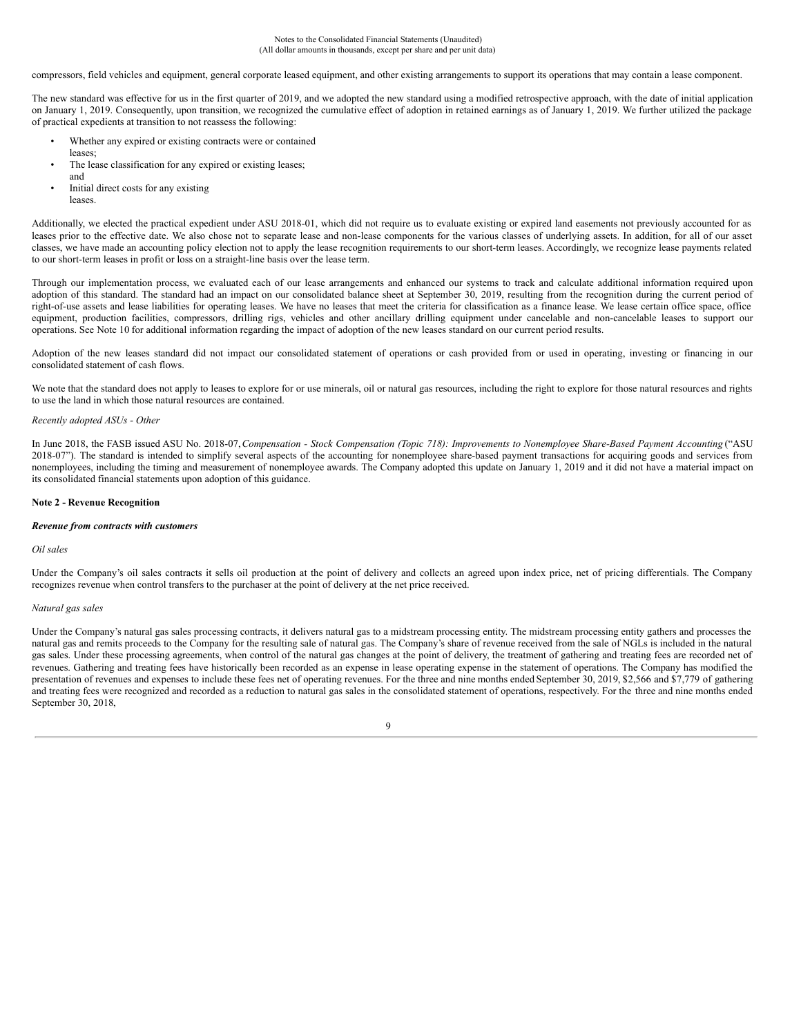Notes to the Consolidated Financial Statements (Unaudited) (All dollar amounts in thousands, except per share and per unit data)

compressors, field vehicles and equipment, general corporate leased equipment, and other existing arrangements to support its operations that may contain a lease component.

The new standard was effective for us in the first quarter of 2019, and we adopted the new standard using a modified retrospective approach, with the date of initial application on January 1, 2019. Consequently, upon transition, we recognized the cumulative effect of adoption in retained earnings as of January 1, 2019. We further utilized the package of practical expedients at transition to not reassess the following:

- Whether any expired or existing contracts were or contained
- leases;
- The lease classification for any expired or existing leases;
- and Initial direct costs for any existing
- leases.

Additionally, we elected the practical expedient under ASU 2018-01, which did not require us to evaluate existing or expired land easements not previously accounted for as leases prior to the effective date. We also chose not to separate lease and non-lease components for the various classes of underlying assets. In addition, for all of our asset classes, we have made an accounting policy election not to apply the lease recognition requirements to our short-term leases. Accordingly, we recognize lease payments related to our short-term leases in profit or loss on a straight-line basis over the lease term.

Through our implementation process, we evaluated each of our lease arrangements and enhanced our systems to track and calculate additional information required upon adoption of this standard. The standard had an impact on our consolidated balance sheet at September 30, 2019, resulting from the recognition during the current period of right-of-use assets and lease liabilities for operating leases. We have no leases that meet the criteria for classification as a finance lease. We lease certain office space, office equipment, production facilities, compressors, drilling rigs, vehicles and other ancillary drilling equipment under cancelable and non-cancelable leases to support our operations. See Note 10 for additional information regarding the impact of adoption of the new leases standard on our current period results.

Adoption of the new leases standard did not impact our consolidated statement of operations or cash provided from or used in operating, investing or financing in our consolidated statement of cash flows.

We note that the standard does not apply to leases to explore for or use minerals, oil or natural gas resources, including the right to explore for those natural resources and rights to use the land in which those natural resources are contained.

### *Recently adopted ASUs - Other*

In June 2018, the FASB issued ASU No. 2018-07, Compensation - Stock Compensation (Topic 718): Improvements to Nonemployee Share-Based Payment Accounting ("ASU 2018-07"). The standard is intended to simplify several aspects of the accounting for nonemployee share-based payment transactions for acquiring goods and services from nonemployees, including the timing and measurement of nonemployee awards. The Company adopted this update on January 1, 2019 and it did not have a material impact on its consolidated financial statements upon adoption of this guidance.

### **Note 2 - Revenue Recognition**

#### *Revenue from contracts with customers*

#### *Oil sales*

Under the Company's oil sales contracts it sells oil production at the point of delivery and collects an agreed upon index price, net of pricing differentials. The Company recognizes revenue when control transfers to the purchaser at the point of delivery at the net price received.

### *Natural gas sales*

Under the Company's natural gas sales processing contracts, it delivers natural gas to a midstream processing entity. The midstream processing entity gathers and processes the natural gas and remits proceeds to the Company for the resulting sale of natural gas. The Company's share of revenue received from the sale of NGLs is included in the natural gas sales. Under these processing agreements, when control of the natural gas changes at the point of delivery, the treatment of gathering and treating fees are recorded net of revenues. Gathering and treating fees have historically been recorded as an expense in lease operating expense in the statement of operations. The Company has modified the presentation of revenues and expenses to include these fees net of operating revenues. For the three and nine months ended September 30, 2019, \$2,566 and \$7,779 of gathering and treating fees were recognized and recorded as a reduction to natural gas sales in the consolidated statement of operations, respectively. For the three and nine months ended September 30, 2018,

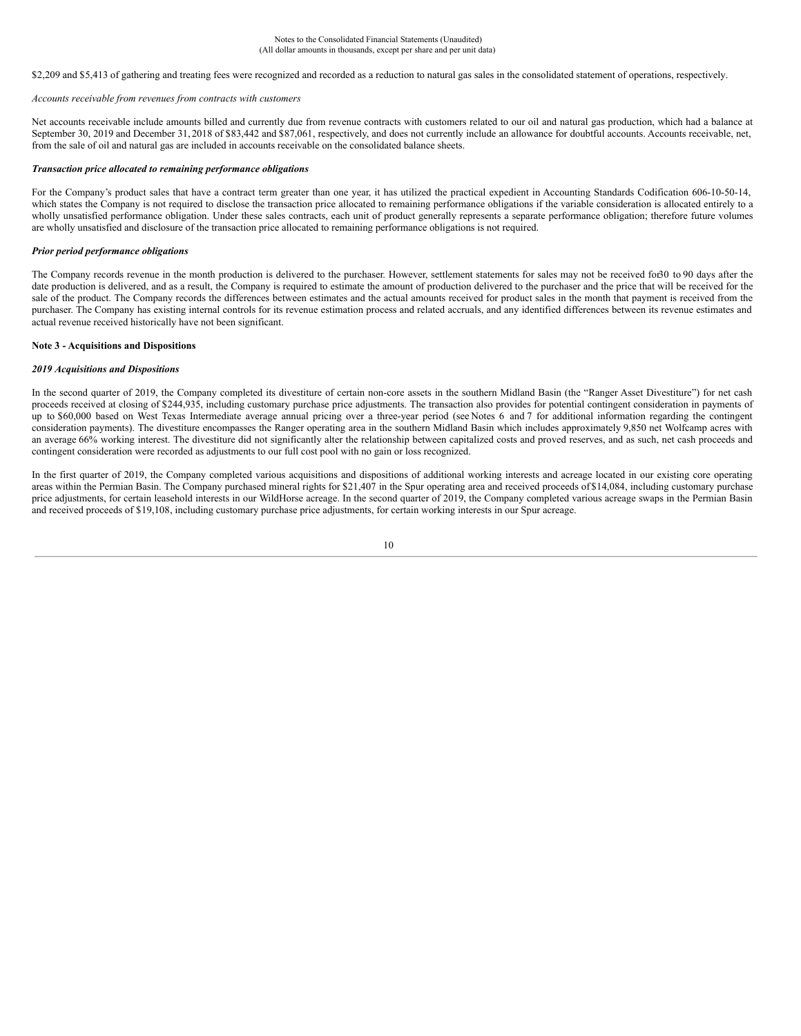\$2,209 and \$5,413 of gathering and treating fees were recognized and recorded as a reduction to natural gas sales in the consolidated statement of operations, respectively.

#### *Accounts receivable from revenues from contracts with customers*

Net accounts receivable include amounts billed and currently due from revenue contracts with customers related to our oil and natural gas production, which had a balance at September 30, 2019 and December 31, 2018 of \$83,442 and \$87,061, respectively, and does not currently include an allowance for doubtful accounts. Accounts receivable, net, from the sale of oil and natural gas are included in accounts receivable on the consolidated balance sheets.

### *Transaction price allocated to remaining performance obligations*

For the Company's product sales that have a contract term greater than one year, it has utilized the practical expedient in Accounting Standards Codification 606-10-50-14, which states the Company is not required to disclose the transaction price allocated to remaining performance obligations if the variable consideration is allocated entirely to a wholly unsatisfied performance obligation. Under these sales contracts, each unit of product generally represents a separate performance obligation; therefore future volumes are wholly unsatisfied and disclosure of the transaction price allocated to remaining performance obligations is not required.

### *Prior period performance obligations*

The Company records revenue in the month production is delivered to the purchaser. However, settlement statements for sales may not be received for30 to 90 days after the date production is delivered, and as a result, the Company is required to estimate the amount of production delivered to the purchaser and the price that will be received for the sale of the product. The Company records the differences between estimates and the actual amounts received for product sales in the month that payment is received from the purchaser. The Company has existing internal controls for its revenue estimation process and related accruals, and any identified differences between its revenue estimates and actual revenue received historically have not been significant.

### **Note 3 - Acquisitions and Dispositions**

### *2019 Acquisitions and Dispositions*

In the second quarter of 2019, the Company completed its divestiture of certain non-core assets in the southern Midland Basin (the "Ranger Asset Divestiture") for net cash proceeds received at closing of \$244,935, including customary purchase price adjustments. The transaction also provides for potential contingent consideration in payments of up to \$60,000 based on West Texas Intermediate average annual pricing over a three-year period (see Notes 6 and 7 for additional information regarding the contingent consideration payments). The divestiture encompasses the Ranger operating area in the southern Midland Basin which includes approximately 9,850 net Wolfcamp acres with an average 66% working interest. The divestiture did not significantly alter the relationship between capitalized costs and proved reserves, and as such, net cash proceeds and contingent consideration were recorded as adjustments to our full cost pool with no gain or loss recognized.

In the first quarter of 2019, the Company completed various acquisitions and dispositions of additional working interests and acreage located in our existing core operating areas within the Permian Basin. The Company purchased mineral rights for \$21,407 in the Spur operating area and received proceeds of \$14,084, including customary purchase price adjustments, for certain leasehold interests in our WildHorse acreage. In the second quarter of 2019, the Company completed various acreage swaps in the Permian Basin and received proceeds of \$19,108, including customary purchase price adjustments, for certain working interests in our Spur acreage.

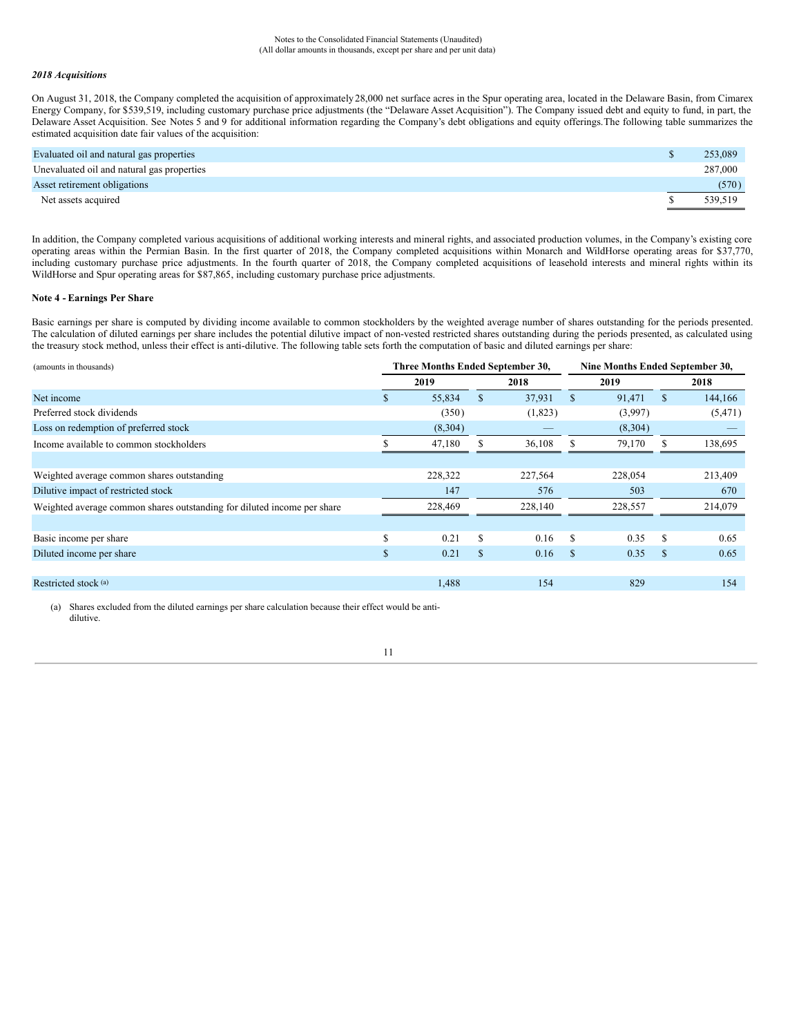### *2018 Acquisitions*

On August 31, 2018, the Company completed the acquisition of approximately 28,000 net surface acres in the Spur operating area, located in the Delaware Basin, from Cimarex Energy Company, for \$539,519, including customary purchase price adjustments (the "Delaware Asset Acquisition"). The Company issued debt and equity to fund, in part, the Delaware Asset Acquisition. See Notes 5 and 9 for additional information regarding the Company's debt obligations and equity offerings.The following table summarizes the estimated acquisition date fair values of the acquisition:

| Evaluated oil and natural gas properties   | 253,089 |
|--------------------------------------------|---------|
| Unevaluated oil and natural gas properties | 287,000 |
| Asset retirement obligations               | (570)   |
| Net assets acquired                        | 539,519 |

In addition, the Company completed various acquisitions of additional working interests and mineral rights, and associated production volumes, in the Company's existing core operating areas within the Permian Basin. In the first quarter of 2018, the Company completed acquisitions within Monarch and WildHorse operating areas for \$37,770, including customary purchase price adjustments. In the fourth quarter of 2018, the Company completed acquisitions of leasehold interests and mineral rights within its WildHorse and Spur operating areas for \$87,865, including customary purchase price adjustments.

### **Note 4 - Earnings Per Share**

Basic earnings per share is computed by dividing income available to common stockholders by the weighted average number of shares outstanding for the periods presented. The calculation of diluted earnings per share includes the potential dilutive impact of non-vested restricted shares outstanding during the periods presented, as calculated using the treasury stock method, unless their effect is anti-dilutive. The following table sets forth the computation of basic and diluted earnings per share:

| (amounts in thousands)                                                  |              | Three Months Ended September 30,<br>Nine Months Ended September 30, |     |         |               |         |               |          |
|-------------------------------------------------------------------------|--------------|---------------------------------------------------------------------|-----|---------|---------------|---------|---------------|----------|
|                                                                         |              | 2019                                                                |     | 2018    |               | 2019    |               | 2018     |
| Net income                                                              | Ъ.           | 55,834                                                              | \$  | 37,931  | <sup>\$</sup> | 91,471  | \$            | 144,166  |
| Preferred stock dividends                                               |              | (350)                                                               |     | (1,823) |               | (3,997) |               | (5, 471) |
| Loss on redemption of preferred stock                                   |              | (8,304)                                                             |     |         |               | (8,304) |               |          |
| Income available to common stockholders                                 |              | 47,180                                                              |     | 36,108  |               | 79,170  |               | 138,695  |
|                                                                         |              |                                                                     |     |         |               |         |               |          |
| Weighted average common shares outstanding                              |              | 228,322                                                             |     | 227,564 |               | 228,054 |               | 213,409  |
| Dilutive impact of restricted stock                                     |              | 147                                                                 |     | 576     |               | 503     |               | 670      |
| Weighted average common shares outstanding for diluted income per share |              | 228,469                                                             |     | 228,140 |               | 228,557 |               | 214,079  |
|                                                                         |              |                                                                     |     |         |               |         |               |          |
| Basic income per share                                                  | ъ            | 0.21                                                                | S   | 0.16    | -S            | 0.35    | S             | 0.65     |
| Diluted income per share                                                | $\mathbf{s}$ | 0.21                                                                | \$. | 0.16    | -S            | 0.35    | <sup>\$</sup> | 0.65     |
|                                                                         |              |                                                                     |     |         |               |         |               |          |
| Restricted stock (a)                                                    |              | 1,488                                                               |     | 154     |               | 829     |               | 154      |
|                                                                         |              |                                                                     |     |         |               |         |               |          |

(a) Shares excluded from the diluted earnings per share calculation because their effect would be antidilutive.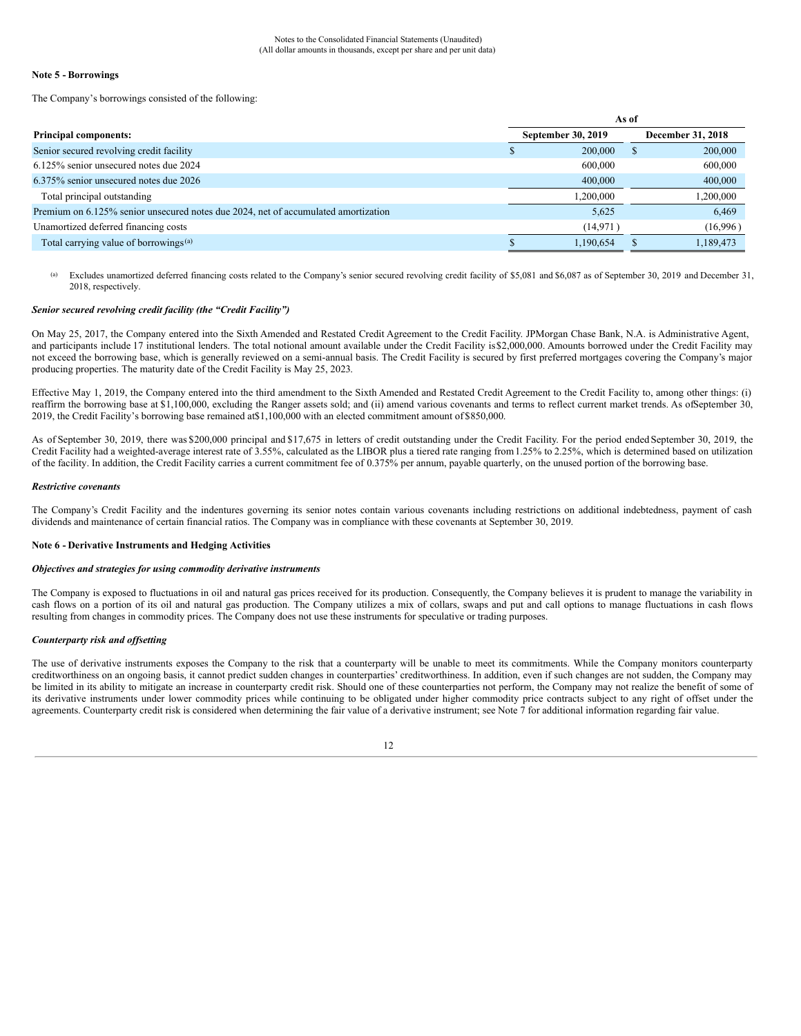### **Note 5 - Borrowings**

The Company's borrowings consisted of the following:

|                                                                                    | As of                     |           |                   |           |  |  |  |
|------------------------------------------------------------------------------------|---------------------------|-----------|-------------------|-----------|--|--|--|
| <b>Principal components:</b>                                                       | <b>September 30, 2019</b> |           | December 31, 2018 |           |  |  |  |
| Senior secured revolving credit facility                                           |                           | 200,000   |                   | 200,000   |  |  |  |
| 6.125% senior unsecured notes due 2024                                             |                           | 600,000   |                   | 600,000   |  |  |  |
| 6.375% senior unsecured notes due 2026                                             |                           | 400,000   |                   | 400,000   |  |  |  |
| Total principal outstanding                                                        |                           | 1.200.000 |                   | 1,200,000 |  |  |  |
| Premium on 6.125% senior unsecured notes due 2024, net of accumulated amortization |                           | 5,625     |                   | 6,469     |  |  |  |
| Unamortized deferred financing costs                                               |                           | (14, 971) |                   | (16,996)  |  |  |  |
| Total carrying value of borrowings <sup>(a)</sup>                                  |                           | 1.190.654 |                   | 1,189,473 |  |  |  |

(a) Excludes unamortized deferred financing costs related to the Company's senior secured revolving credit facility of \$5,081 and \$6,087 as of September 30, 2019 and December 31, 2018, respectively.

### *Senior secured revolving credit facility (the "Credit Facility")*

On May 25, 2017, the Company entered into the Sixth Amended and Restated Credit Agreement to the Credit Facility. JPMorgan Chase Bank, N.A. is Administrative Agent, and participants include 17 institutional lenders. The total notional amount available under the Credit Facility is \$2,000,000. Amounts borrowed under the Credit Facility may not exceed the borrowing base, which is generally reviewed on a semi-annual basis. The Credit Facility is secured by first preferred mortgages covering the Company's major producing properties. The maturity date of the Credit Facility is May 25, 2023.

Effective May 1, 2019, the Company entered into the third amendment to the Sixth Amended and Restated Credit Agreement to the Credit Facility to, among other things: (i) reaffirm the borrowing base at \$1,100,000, excluding the Ranger assets sold; and (ii) amend various covenants and terms to reflect current market trends. As ofSeptember 30, 2019, the Credit Facility's borrowing base remained at\$1,100,000 with an elected commitment amount of \$850,000.

As of September 30, 2019, there was \$200,000 principal and \$17,675 in letters of credit outstanding under the Credit Facility. For the period ended September 30, 2019, the Credit Facility had a weighted-average interest rate of 3.55%, calculated as the LIBOR plus a tiered rate ranging from1.25% to 2.25%, which is determined based on utilization of the facility. In addition, the Credit Facility carries a current commitment fee of 0.375% per annum, payable quarterly, on the unused portion of the borrowing base.

### *Restrictive covenants*

The Company's Credit Facility and the indentures governing its senior notes contain various covenants including restrictions on additional indebtedness, payment of cash dividends and maintenance of certain financial ratios. The Company was in compliance with these covenants at September 30, 2019.

### **Note 6 - Derivative Instruments and Hedging Activities**

### *Objectives and strategies for using commodity derivative instruments*

The Company is exposed to fluctuations in oil and natural gas prices received for its production. Consequently, the Company believes it is prudent to manage the variability in cash flows on a portion of its oil and natural gas production. The Company utilizes a mix of collars, swaps and put and call options to manage fluctuations in cash flows resulting from changes in commodity prices. The Company does not use these instruments for speculative or trading purposes.

### *Counterparty risk and of setting*

The use of derivative instruments exposes the Company to the risk that a counterparty will be unable to meet its commitments. While the Company monitors counterparty creditworthiness on an ongoing basis, it cannot predict sudden changes in counterparties' creditworthiness. In addition, even if such changes are not sudden, the Company may be limited in its ability to mitigate an increase in counterparty credit risk. Should one of these counterparties not perform, the Company may not realize the benefit of some of its derivative instruments under lower commodity prices while continuing to be obligated under higher commodity price contracts subject to any right of offset under the agreements. Counterparty credit risk is considered when determining the fair value of a derivative instrument; see Note 7 for additional information regarding fair value.

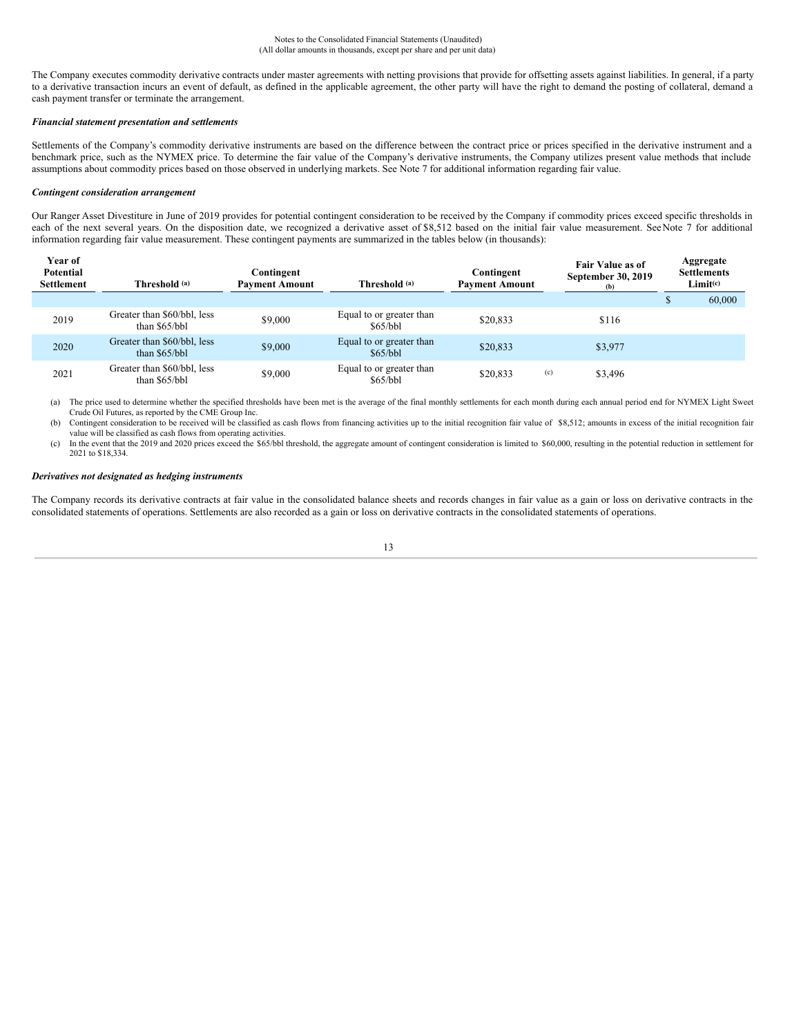The Company executes commodity derivative contracts under master agreements with netting provisions that provide for offsetting assets against liabilities. In general, if a party to a derivative transaction incurs an event of default, as defined in the applicable agreement, the other party will have the right to demand the posting of collateral, demand a cash payment transfer or terminate the arrangement.

### *Financial statement presentation and settlements*

Settlements of the Company's commodity derivative instruments are based on the difference between the contract price or prices specified in the derivative instrument and a benchmark price, such as the NYMEX price. To determine the fair value of the Company's derivative instruments, the Company utilizes present value methods that include assumptions about commodity prices based on those observed in underlying markets. See Note 7 for additional information regarding fair value.

### *Contingent consideration arrangement*

Our Ranger Asset Divestiture in June of 2019 provides for potential contingent consideration to be received by the Company if commodity prices exceed specific thresholds in each of the next several years. On the disposition date, we recognized a derivative asset of \$8,512 based on the initial fair value measurement. See Note 7 for additional information regarding fair value measurement. These contingent payments are summarized in the tables below (in thousands):

| Year of<br><b>Potential</b><br><b>Settlement</b> | Threshold (a)                                 | Contingent<br><b>Payment Amount</b> | Threshold (a)                        | Contingent<br><b>Payment Amount</b> | Fair Value as of<br>September 30, 2019<br>(b) | Aggregate<br><b>Settlements</b><br>Limit <sup>(c)</sup> |
|--------------------------------------------------|-----------------------------------------------|-------------------------------------|--------------------------------------|-------------------------------------|-----------------------------------------------|---------------------------------------------------------|
|                                                  |                                               |                                     |                                      |                                     |                                               | 60,000                                                  |
| 2019                                             | Greater than \$60/bbl, less<br>than \$65/bbl  | \$9,000                             | Equal to or greater than<br>\$65/bbl | \$20,833                            | \$116                                         |                                                         |
| 2020                                             | Greater than \$60/bbl, less<br>than $$65/bbl$ | \$9,000                             | Equal to or greater than<br>\$65/bbl | \$20,833                            | \$3,977                                       |                                                         |
| 2021                                             | Greater than \$60/bbl, less<br>than \$65/bbl  | \$9,000                             | Equal to or greater than<br>\$65/bbl | \$20,833                            | (c)<br>\$3,496                                |                                                         |

(a) The price used to determine whether the specified thresholds have been met is the average of the final monthly settlements for each month during each annual period end for NYMEX Light Sweet Crude Oil Futures, as reported by the CME Group Inc.

(b) Contingent consideration to be received will be classified as cash flows from financing activities up to the initial recognition fair value of \$8,512; amounts in excess of the initial recognition fair value will be classified as cash flows from operating activities.

(c) In the event that the 2019 and 2020 prices exceed the \$65/bbl threshold, the aggregate amount of contingent consideration is limited to \$60,000, resulting in the potential reduction in settlement for 2021 to \$18,334.

### *Derivatives not designated as hedging instruments*

The Company records its derivative contracts at fair value in the consolidated balance sheets and records changes in fair value as a gain or loss on derivative contracts in the consolidated statements of operations. Settlements are also recorded as a gain or loss on derivative contracts in the consolidated statements of operations.

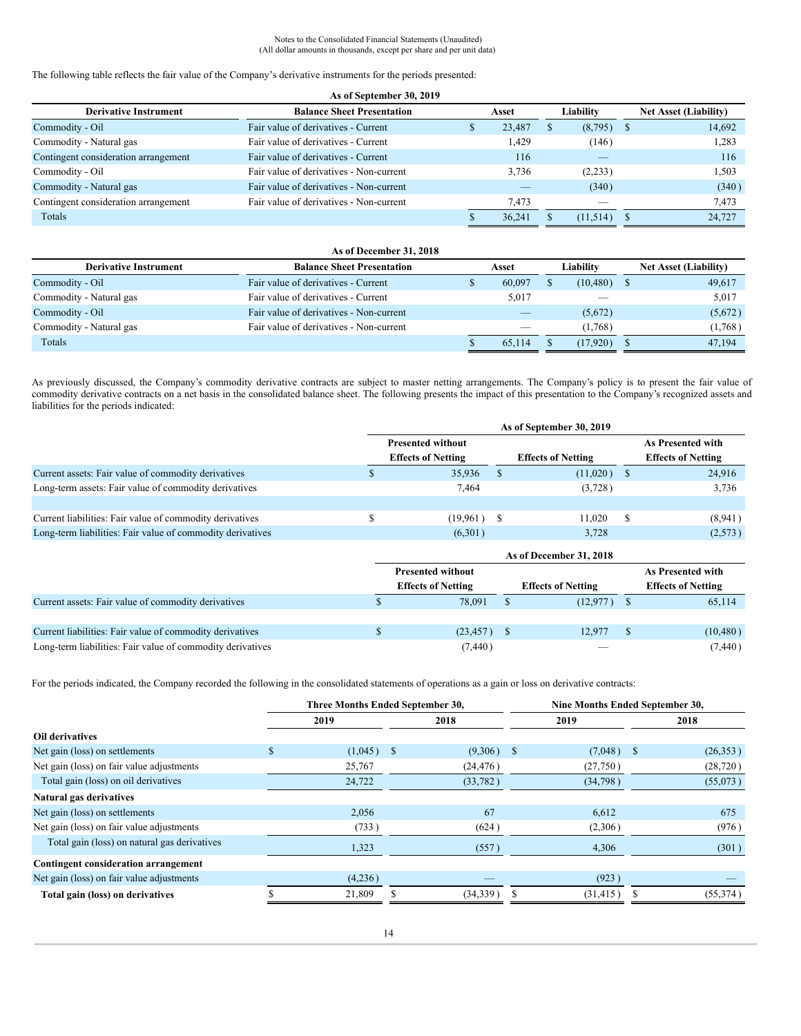**As of September 30, 2019**

The following table reflects the fair value of the Company's derivative instruments for the periods presented:

| As of September 30, 2019             |                                         |  |                    |  |                          |                              |        |  |  |
|--------------------------------------|-----------------------------------------|--|--------------------|--|--------------------------|------------------------------|--------|--|--|
| <b>Derivative Instrument</b>         | <b>Balance Sheet Presentation</b>       |  | Liability<br>Asset |  |                          | <b>Net Asset (Liability)</b> |        |  |  |
| Commodity - Oil                      | Fair value of derivatives - Current     |  | 23,487             |  | (8,795)                  |                              | 14.692 |  |  |
| Commodity - Natural gas              | Fair value of derivatives - Current     |  | 1.429              |  | (146)                    |                              | 1,283  |  |  |
| Contingent consideration arrangement | Fair value of derivatives - Current     |  | 116                |  |                          |                              | 116    |  |  |
| Commodity - Oil                      | Fair value of derivatives - Non-current |  | 3.736              |  | (2,233)                  |                              | 1,503  |  |  |
| Commodity - Natural gas              | Fair value of derivatives - Non-current |  |                    |  | (340)                    |                              | (340)  |  |  |
| Contingent consideration arrangement | Fair value of derivatives - Non-current |  | 7.473              |  | $\overline{\phantom{a}}$ |                              | 7.473  |  |  |
| Totals                               |                                         |  | 36.241             |  | (11,514)                 |                              | 24,727 |  |  |

| As of December 31, 2018      |                                         |       |                          |           |           |  |                              |  |  |
|------------------------------|-----------------------------------------|-------|--------------------------|-----------|-----------|--|------------------------------|--|--|
| <b>Derivative Instrument</b> | <b>Balance Sheet Presentation</b>       | Asset |                          | Liabilitv |           |  | <b>Net Asset (Liability)</b> |  |  |
| Commodity - Oil              | Fair value of derivatives - Current     |       | 60,097                   |           | (10, 480) |  | 49,617                       |  |  |
| Commodity - Natural gas      | Fair value of derivatives - Current     |       | 5,017                    |           |           |  | 5,017                        |  |  |
| Commodity - Oil              | Fair value of derivatives - Non-current |       |                          |           | (5,672)   |  | (5,672)                      |  |  |
| Commodity - Natural gas      | Fair value of derivatives - Non-current |       | $\overline{\phantom{a}}$ |           | (1,768)   |  | (1,768)                      |  |  |
| Totals                       |                                         |       | 65.114                   |           | (17.920)  |  | 47,194                       |  |  |

As previously discussed, the Company's commodity derivative contracts are subject to master netting arrangements. The Company's policy is to present the fair value of commodity derivative contracts on a net basis in the consolidated balance sheet. The following presents the impact of this presentation to the Company's recognized assets and liabilities for the periods indicated:

|                                                            | As of September 30, 2019  |  |                           |    |                           |  |  |  |  |
|------------------------------------------------------------|---------------------------|--|---------------------------|----|---------------------------|--|--|--|--|
|                                                            | <b>Presented without</b>  |  |                           |    | As Presented with         |  |  |  |  |
|                                                            | <b>Effects of Netting</b> |  | <b>Effects of Netting</b> |    | <b>Effects of Netting</b> |  |  |  |  |
| Current assets: Fair value of commodity derivatives        | 35,936                    |  | (11,020)                  |    | 24,916                    |  |  |  |  |
| Long-term assets: Fair value of commodity derivatives      | 7.464                     |  | (3,728)                   |    | 3,736                     |  |  |  |  |
|                                                            |                           |  |                           |    |                           |  |  |  |  |
| Current liabilities: Fair value of commodity derivatives   | $(19,961)$ \$             |  | 11.020                    | -S | (8,941)                   |  |  |  |  |
| Long-term liabilities: Fair value of commodity derivatives | (6,301)                   |  | 3.728                     |    | (2,573)                   |  |  |  |  |

|                                                            | As of December 31, 2018                                |  |          |  |                           |  |  |  |  |
|------------------------------------------------------------|--------------------------------------------------------|--|----------|--|---------------------------|--|--|--|--|
|                                                            | <b>Presented without</b>                               |  |          |  | As Presented with         |  |  |  |  |
|                                                            | <b>Effects of Netting</b><br><b>Effects of Netting</b> |  |          |  | <b>Effects of Netting</b> |  |  |  |  |
| Current assets: Fair value of commodity derivatives        | 78.091                                                 |  | (12,977) |  | 65,114                    |  |  |  |  |
|                                                            |                                                        |  |          |  |                           |  |  |  |  |
| Current liabilities: Fair value of commodity derivatives   | $(23, 457)$ \$                                         |  | 12.977   |  | (10, 480)                 |  |  |  |  |
| Long-term liabilities: Fair value of commodity derivatives | (7, 440)                                               |  |          |  | (7, 440)                  |  |  |  |  |

For the periods indicated, the Company recorded the following in the consolidated statements of operations as a gain or loss on derivative contracts:

|                                              |    | Three Months Ended September 30, |              | Nine Months Ended September 30, |  |           |  |
|----------------------------------------------|----|----------------------------------|--------------|---------------------------------|--|-----------|--|
|                                              |    | 2019                             | 2018         | 2019                            |  | 2018      |  |
| <b>Oil derivatives</b>                       |    |                                  |              |                                 |  |           |  |
| Net gain (loss) on settlements               | Ъ. | $(1,045)$ \$                     | $(9,306)$ \$ | $(7,048)$ \$                    |  | (26,353)  |  |
| Net gain (loss) on fair value adjustments    |    | 25,767                           | (24, 476)    | (27,750)                        |  | (28, 720) |  |
| Total gain (loss) on oil derivatives         |    | 24,722                           | (33, 782)    | (34,798)                        |  | (55,073)  |  |
| Natural gas derivatives                      |    |                                  |              |                                 |  |           |  |
| Net gain (loss) on settlements               |    | 2,056                            | 67           | 6,612                           |  | 675       |  |
| Net gain (loss) on fair value adjustments    |    | (733)                            | (624)        | (2,306)                         |  | (976)     |  |
| Total gain (loss) on natural gas derivatives |    | 1,323                            | (557)        | 4,306                           |  | (301)     |  |
| <b>Contingent consideration arrangement</b>  |    |                                  |              |                                 |  |           |  |
| Net gain (loss) on fair value adjustments    |    | (4,236)                          |              | (923)                           |  |           |  |
| Total gain (loss) on derivatives             |    | 21,809                           | (34, 339)    | (31, 415)                       |  | (55, 374) |  |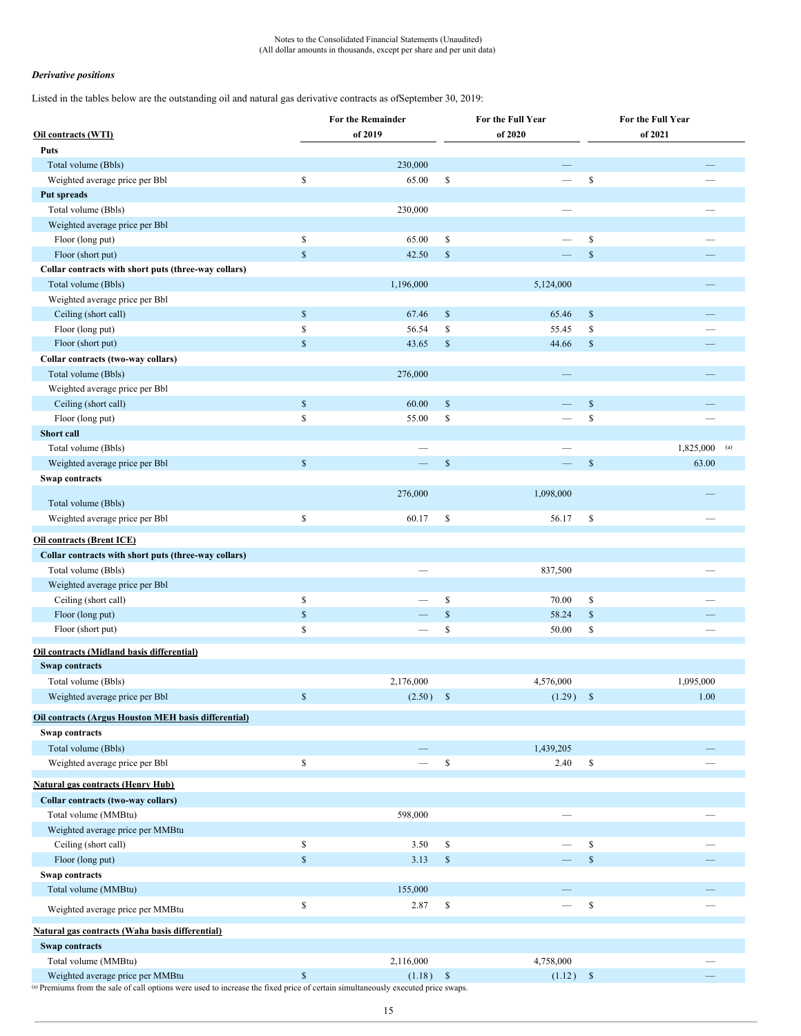### *Derivative positions*

Listed in the tables below are the outstanding oil and natural gas derivative contracts as ofSeptember 30, 2019:

|                                                                                                                                  |               | For the Remainder |              | For the Full Year | For the Full Year                 |                 |  |  |
|----------------------------------------------------------------------------------------------------------------------------------|---------------|-------------------|--------------|-------------------|-----------------------------------|-----------------|--|--|
| Oil contracts (WTI)                                                                                                              |               | of 2019           |              | of 2020           |                                   | of 2021         |  |  |
| Puts                                                                                                                             |               |                   |              |                   |                                   |                 |  |  |
| Total volume (Bbls)                                                                                                              |               | 230,000           |              |                   |                                   |                 |  |  |
| Weighted average price per Bbl                                                                                                   | \$            | 65.00             | \$           |                   | $\mathbb S$                       |                 |  |  |
| Put spreads                                                                                                                      |               |                   |              |                   |                                   |                 |  |  |
| Total volume (Bbls)                                                                                                              |               | 230,000           |              |                   |                                   |                 |  |  |
| Weighted average price per Bbl                                                                                                   |               |                   |              |                   |                                   |                 |  |  |
| Floor (long put)                                                                                                                 | \$            | 65.00             | \$           |                   | \$                                |                 |  |  |
| Floor (short put)                                                                                                                | $\mathsf{\$}$ | 42.50             | $\mathbb{S}$ |                   | $\mathbb{S}$                      |                 |  |  |
| Collar contracts with short puts (three-way collars)                                                                             |               |                   |              |                   |                                   |                 |  |  |
| Total volume (Bbls)                                                                                                              |               | 1,196,000         |              | 5,124,000         |                                   |                 |  |  |
| Weighted average price per Bbl                                                                                                   |               |                   |              |                   |                                   |                 |  |  |
| Ceiling (short call)                                                                                                             | $\mathbb{S}$  | 67.46             | $\mathbb{S}$ | 65.46             | $\mathbb{S}$                      |                 |  |  |
| Floor (long put)                                                                                                                 | \$            | 56.54             | \$           | 55.45             | \$                                |                 |  |  |
| Floor (short put)                                                                                                                | $\$$          | 43.65             | $\mathbb{S}$ | 44.66             | $\mathbb{S}$                      |                 |  |  |
| Collar contracts (two-way collars)                                                                                               |               |                   |              |                   |                                   |                 |  |  |
| Total volume (Bbls)                                                                                                              |               | 276,000           |              |                   |                                   |                 |  |  |
| Weighted average price per Bbl                                                                                                   |               |                   |              |                   |                                   |                 |  |  |
| Ceiling (short call)                                                                                                             | $\mathbb{S}$  | 60.00             | $\mathbb{S}$ |                   | $\mathbb{S}$                      |                 |  |  |
| Floor (long put)                                                                                                                 | \$            | 55.00             | \$           |                   | $\mathbb{S}$                      |                 |  |  |
| Short call                                                                                                                       |               |                   |              |                   |                                   |                 |  |  |
| Total volume (Bbls)                                                                                                              |               |                   |              |                   |                                   | $1,825,000$ (a) |  |  |
| Weighted average price per Bbl                                                                                                   | $\mathbb{S}$  |                   | $\mathbb{S}$ |                   | $\mathbb{S}$                      | 63.00           |  |  |
| Swap contracts                                                                                                                   |               |                   |              |                   |                                   |                 |  |  |
|                                                                                                                                  |               | 276,000           |              | 1,098,000         |                                   |                 |  |  |
| Total volume (Bbls)                                                                                                              |               |                   |              |                   |                                   |                 |  |  |
| Weighted average price per Bbl                                                                                                   | \$            | 60.17             | \$           | 56.17             | \$                                |                 |  |  |
| <b>Oil contracts (Brent ICE)</b>                                                                                                 |               |                   |              |                   |                                   |                 |  |  |
| Collar contracts with short puts (three-way collars)                                                                             |               |                   |              |                   |                                   |                 |  |  |
| Total volume (Bbls)                                                                                                              |               |                   |              | 837,500           |                                   |                 |  |  |
| Weighted average price per Bbl                                                                                                   |               |                   |              |                   |                                   |                 |  |  |
| Ceiling (short call)                                                                                                             | \$            |                   | \$           | 70.00             | \$                                |                 |  |  |
| Floor (long put)                                                                                                                 | $\mathbb{S}$  |                   | $\mathbb{S}$ | 58.24             | $\mathbb{S}$                      |                 |  |  |
| Floor (short put)                                                                                                                | \$            |                   | \$           | 50.00             | \$                                |                 |  |  |
|                                                                                                                                  |               |                   |              |                   |                                   |                 |  |  |
| Oil contracts (Midland basis differential)                                                                                       |               |                   |              |                   |                                   |                 |  |  |
| <b>Swap contracts</b>                                                                                                            |               |                   |              |                   |                                   |                 |  |  |
| Total volume (Bbls)                                                                                                              |               | 2,176,000         |              | 4,576,000         |                                   | 1,095,000       |  |  |
| Weighted average price per Bbl                                                                                                   | $\$$          | (2.50)            | $\mathbb{S}$ | (1.29)            | $\mathbb{S}$                      | 1.00            |  |  |
| <b>Oil contracts (Argus Houston MEH basis differential)</b>                                                                      |               |                   |              |                   |                                   |                 |  |  |
| Swap contracts                                                                                                                   |               |                   |              |                   |                                   |                 |  |  |
| Total volume (Bbls)                                                                                                              |               |                   |              | 1,439,205         |                                   |                 |  |  |
| Weighted average price per Bbl                                                                                                   | \$            | and a             | \$           | 2.40              | \$                                |                 |  |  |
| <b>Natural gas contracts (Henry Hub)</b>                                                                                         |               |                   |              |                   |                                   |                 |  |  |
|                                                                                                                                  |               |                   |              |                   |                                   |                 |  |  |
| Collar contracts (two-way collars)                                                                                               |               | 598,000           |              |                   |                                   |                 |  |  |
| Total volume (MMBtu)<br>Weighted average price per MMBtu                                                                         |               |                   |              |                   |                                   |                 |  |  |
|                                                                                                                                  |               |                   |              |                   |                                   |                 |  |  |
| Ceiling (short call)                                                                                                             | \$            | 3.50              | \$           |                   | \$<br>$\mathbb S$                 |                 |  |  |
| Floor (long put)                                                                                                                 | $\mathbb{S}$  | 3.13              | $\mathbb{S}$ |                   |                                   |                 |  |  |
| Swap contracts                                                                                                                   |               |                   |              |                   |                                   |                 |  |  |
| Total volume (MMBtu)                                                                                                             |               | 155,000           |              |                   |                                   |                 |  |  |
| Weighted average price per MMBtu                                                                                                 | \$            | 2.87              | \$           |                   | $\mathbb{S}% _{t}\left( t\right)$ |                 |  |  |
| Natural gas contracts (Waha basis differential)                                                                                  |               |                   |              |                   |                                   |                 |  |  |
| <b>Swap contracts</b>                                                                                                            |               |                   |              |                   |                                   |                 |  |  |
| Total volume (MMBtu)                                                                                                             |               | 2,116,000         |              | 4,758,000         |                                   |                 |  |  |
| Weighted average price per MMBtu                                                                                                 | $\mathsf{\$}$ | (1.18)            | $\mathbb{S}$ | (1.12)            | $\mathbb{S}$                      |                 |  |  |
| (a) Premiums from the sale of call options were used to increase the fixed price of certain simultaneously executed price swaps. |               |                   |              |                   |                                   |                 |  |  |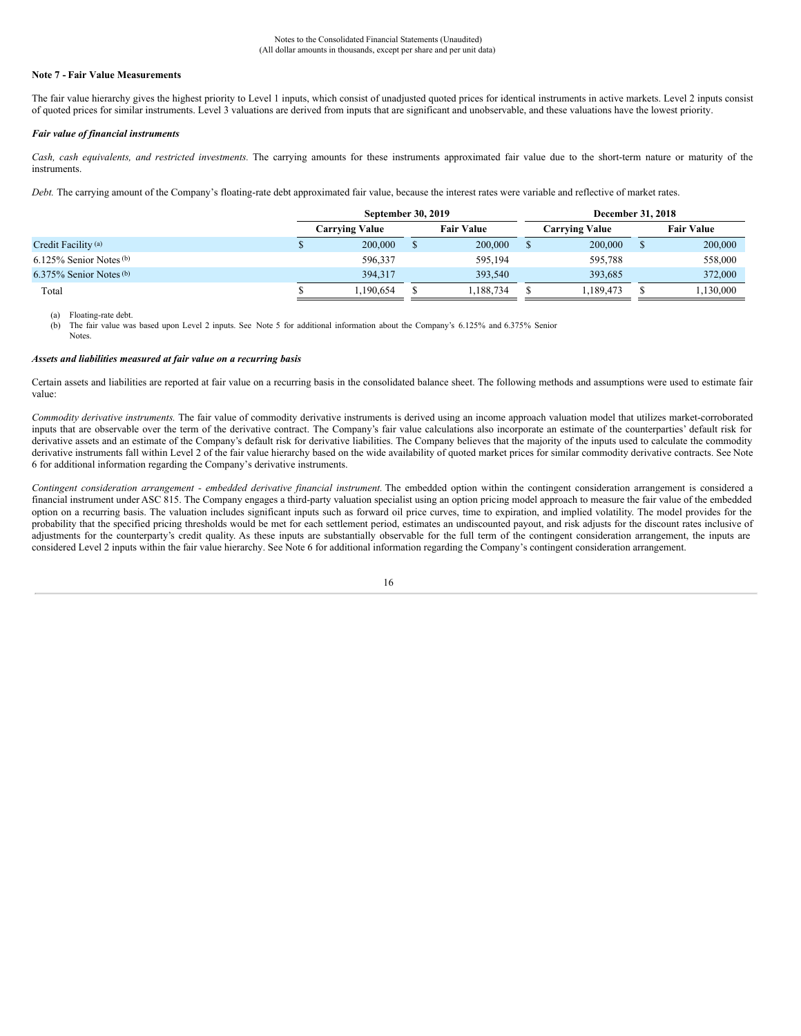### **Note 7 - Fair Value Measurements**

The fair value hierarchy gives the highest priority to Level 1 inputs, which consist of unadjusted quoted prices for identical instruments in active markets. Level 2 inputs consist of quoted prices for similar instruments. Level 3 valuations are derived from inputs that are significant and unobservable, and these valuations have the lowest priority.

#### *Fair value of financial instruments*

*Cash, cash equivalents, and restricted investments.* The carrying amounts for these instruments approximated fair value due to the short-term nature or maturity of the instruments.

*Debt.* The carrying amount of the Company's floating-rate debt approximated fair value, because the interest rates were variable and reflective of market rates.

|                              | <b>September 30, 2019</b> |  |                   |  | <b>December 31, 2018</b> |  |                   |  |  |
|------------------------------|---------------------------|--|-------------------|--|--------------------------|--|-------------------|--|--|
|                              | <b>Carrying Value</b>     |  | <b>Fair Value</b> |  | <b>Carrving Value</b>    |  | <b>Fair Value</b> |  |  |
| Credit Facility (a)          | 200,000                   |  | 200,000           |  | 200,000                  |  | 200,000           |  |  |
| $6.125\%$ Senior Notes (b)   | 596.337                   |  | 595.194           |  | 595.788                  |  | 558,000           |  |  |
| $6.375\%$ Senior Notes $(b)$ | 394.317                   |  | 393,540           |  | 393.685                  |  | 372,000           |  |  |
| Total                        | 1.190.654                 |  | 1,188,734         |  | 1.189.473                |  | 1,130,000         |  |  |

(a) Floating-rate debt.

(b) The fair value was based upon Level 2 inputs. See Note 5 for additional information about the Company's 6.125% and 6.375% Senior

**Notes**.

### *Assets and liabilities measured at fair value on a recurring basis*

Certain assets and liabilities are reported at fair value on a recurring basis in the consolidated balance sheet. The following methods and assumptions were used to estimate fair value:

*Commodity derivative instruments.* The fair value of commodity derivative instruments is derived using an income approach valuation model that utilizes market-corroborated inputs that are observable over the term of the derivative contract. The Company's fair value calculations also incorporate an estimate of the counterparties' default risk for derivative assets and an estimate of the Company's default risk for derivative liabilities. The Company believes that the majority of the inputs used to calculate the commodity derivative instruments fall within Level 2 of the fair value hierarchy based on the wide availability of quoted market prices for similar commodity derivative contracts. See Note 6 for additional information regarding the Company's derivative instruments.

*Contingent consideration arrangement - embedded derivative financial instrument.* The embedded option within the contingent consideration arrangement is considered a financial instrument under ASC 815. The Company engages a third-party valuation specialist using an option pricing model approach to measure the fair value of the embedded option on a recurring basis. The valuation includes significant inputs such as forward oil price curves, time to expiration, and implied volatility. The model provides for the probability that the specified pricing thresholds would be met for each settlement period, estimates an undiscounted payout, and risk adjusts for the discount rates inclusive of adjustments for the counterparty's credit quality. As these inputs are substantially observable for the full term of the contingent consideration arrangement, the inputs are considered Level 2 inputs within the fair value hierarchy. See Note 6 for additional information regarding the Company's contingent consideration arrangement.

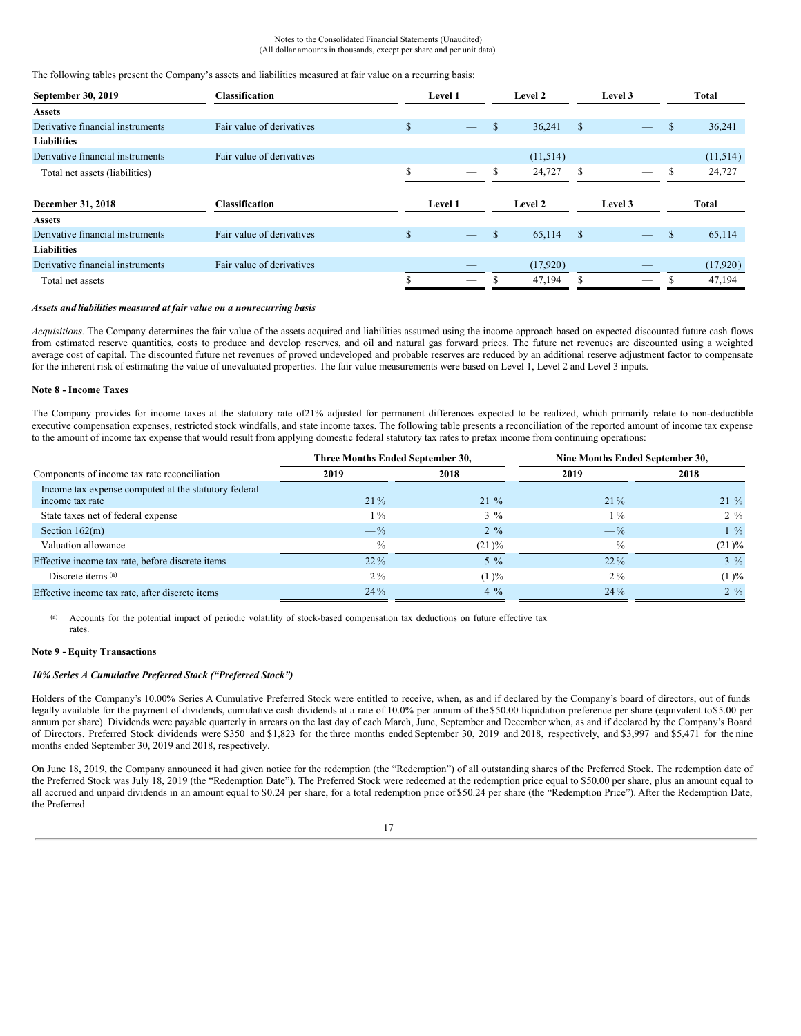#### Notes to the Consolidated Financial Statements (Unaudited) (All dollar amounts in thousands, except per share and per unit data)

#### The following tables present the Company's assets and liabilities measured at fair value on a recurring basis:

| September 30, 2019               | <b>Classification</b>     |             | Level 1                  | Level 2      |               | Level 3                  | Total    |          |
|----------------------------------|---------------------------|-------------|--------------------------|--------------|---------------|--------------------------|----------|----------|
| <b>Assets</b>                    |                           |             |                          |              |               |                          |          |          |
| Derivative financial instruments | Fair value of derivatives | \$          |                          | \$<br>36,241 | $\mathbb{S}$  |                          | S        | 36,241   |
| <b>Liabilities</b>               |                           |             |                          |              |               |                          |          |          |
| Derivative financial instruments | Fair value of derivatives |             |                          | (11,514)     |               |                          |          | (11,514) |
| Total net assets (liabilities)   |                           |             |                          | 24,727       | \$.           |                          |          | 24,727   |
|                                  |                           |             |                          |              |               |                          |          |          |
| December 31, 2018                | <b>Classification</b>     |             | Level 1                  | Level 2      |               | Level 3                  |          | Total    |
| <b>Assets</b>                    |                           |             |                          |              |               |                          |          |          |
| Derivative financial instruments | Fair value of derivatives | $\mathbf S$ | $\overline{\phantom{a}}$ | \$<br>65,114 | <sup>\$</sup> | $\overline{\phantom{0}}$ | <b>S</b> | 65,114   |
| <b>Liabilities</b>               |                           |             |                          |              |               |                          |          |          |
| Derivative financial instruments | Fair value of derivatives |             |                          | (17,920)     |               |                          |          | (17,920) |
| Total net assets                 |                           |             |                          | 47,194       |               |                          |          | 47,194   |

### *Assets and liabilities measured at fair value on a nonrecurring basis*

*Acquisitions.* The Company determines the fair value of the assets acquired and liabilities assumed using the income approach based on expected discounted future cash flows from estimated reserve quantities, costs to produce and develop reserves, and oil and natural gas forward prices. The future net revenues are discounted using a weighted average cost of capital. The discounted future net revenues of proved undeveloped and probable reserves are reduced by an additional reserve adjustment factor to compensate for the inherent risk of estimating the value of unevaluated properties. The fair value measurements were based on Level 1, Level 2 and Level 3 inputs.

### **Note 8 - Income Taxes**

The Company provides for income taxes at the statutory rate of21% adjusted for permanent differences expected to be realized, which primarily relate to non-deductible executive compensation expenses, restricted stock windfalls, and state income taxes. The following table presents a reconciliation of the reported amount of income tax expense to the amount of income tax expense that would result from applying domestic federal statutory tax rates to pretax income from continuing operations:

|                                                                         | Three Months Ended September 30, |                | Nine Months Ended September 30, |           |  |
|-------------------------------------------------------------------------|----------------------------------|----------------|---------------------------------|-----------|--|
| Components of income tax rate reconciliation                            | 2019                             | 2018           | 2019                            | 2018      |  |
| Income tax expense computed at the statutory federal<br>income tax rate | $21\%$                           | $21\%$         | $21\%$                          | $21 \%$   |  |
| State taxes net of federal expense                                      | $1\%$                            | $3\%$          | $1\%$                           | $2\%$     |  |
| Section $162(m)$                                                        | $-\frac{9}{6}$                   | $2\frac{9}{6}$ | $-\frac{9}{6}$                  | $1\%$     |  |
| Valuation allowance                                                     | $- \frac{6}{9}$                  | $(21) \%$      | $-$ %                           | $(21) \%$ |  |
| Effective income tax rate, before discrete items                        | $22\%$                           | $5\%$          | $22\%$                          | $3\%$     |  |
| Discrete items (a)                                                      | $2\%$                            | (1)%           | $2\%$                           | $(1) \%$  |  |
| Effective income tax rate, after discrete items                         | 24%                              | $4\%$          | 24%                             | $2\%$     |  |

(a) Accounts for the potential impact of periodic volatility of stock-based compensation tax deductions on future effective tax rates.

### **Note 9 - Equity Transactions**

### *10% Series A Cumulative Preferred Stock ("Preferred Stock")*

Holders of the Company's 10.00% Series A Cumulative Preferred Stock were entitled to receive, when, as and if declared by the Company's board of directors, out of funds legally available for the payment of dividends, cumulative cash dividends at a rate of 10.0% per annum of the \$50.00 liquidation preference per share (equivalent to\$5.00 per annum per share). Dividends were payable quarterly in arrears on the last day of each March, June, September and December when, as and if declared by the Company's Board of Directors. Preferred Stock dividends were \$350 and \$1,823 for the three months ended September 30, 2019 and 2018, respectively, and \$3,997 and \$5,471 for the nine months ended September 30, 2019 and 2018, respectively.

On June 18, 2019, the Company announced it had given notice for the redemption (the "Redemption") of all outstanding shares of the Preferred Stock. The redemption date of the Preferred Stock was July 18, 2019 (the "Redemption Date"). The Preferred Stock were redeemed at the redemption price equal to \$50.00 per share, plus an amount equal to all accrued and unpaid dividends in an amount equal to \$0.24 per share, for a total redemption price of \$50.24 per share (the "Redemption Price"). After the Redemption Date, the Preferred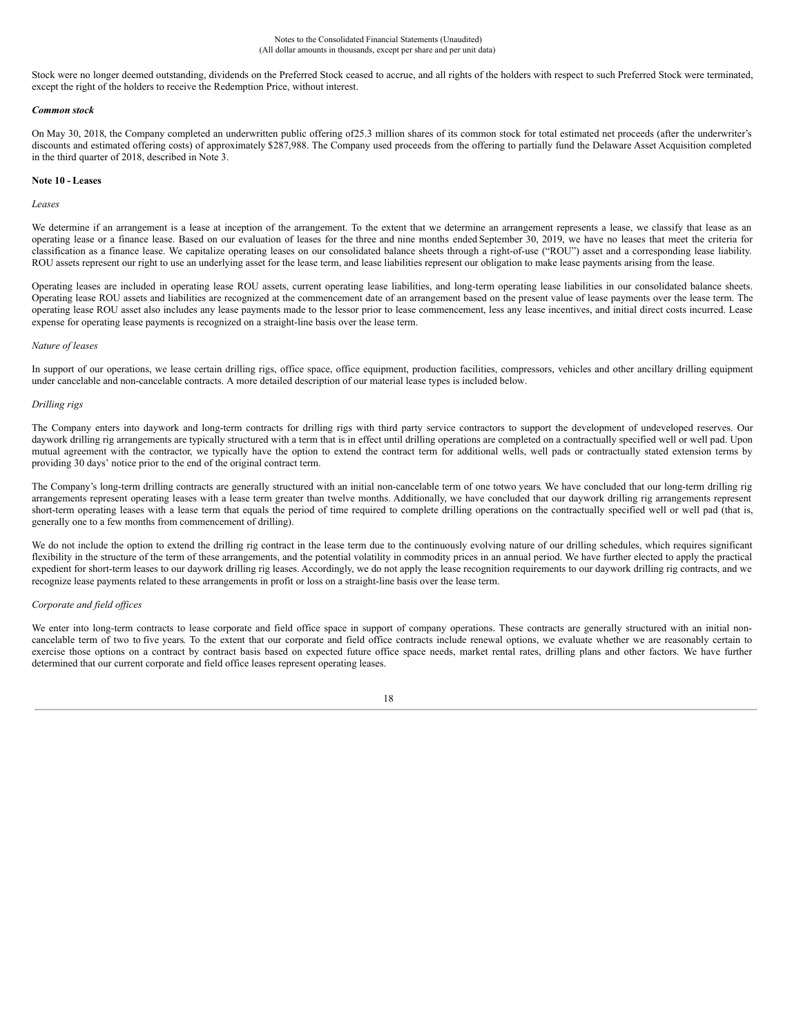Stock were no longer deemed outstanding, dividends on the Preferred Stock ceased to accrue, and all rights of the holders with respect to such Preferred Stock were terminated, except the right of the holders to receive the Redemption Price, without interest.

### *Common stock*

On May 30, 2018, the Company completed an underwritten public offering of25.3 million shares of its common stock for total estimated net proceeds (after the underwriter's discounts and estimated offering costs) of approximately \$287,988. The Company used proceeds from the offering to partially fund the Delaware Asset Acquisition completed in the third quarter of 2018, described in Note 3.

### **Note 10 - Leases**

### *Leases*

We determine if an arrangement is a lease at inception of the arrangement. To the extent that we determine an arrangement represents a lease, we classify that lease as an operating lease or a finance lease. Based on our evaluation of leases for the three and nine months ended September 30, 2019, we have no leases that meet the criteria for classification as a finance lease. We capitalize operating leases on our consolidated balance sheets through a right-of-use ("ROU") asset and a corresponding lease liability. ROU assets represent our right to use an underlying asset for the lease term, and lease liabilities represent our obligation to make lease payments arising from the lease.

Operating leases are included in operating lease ROU assets, current operating lease liabilities, and long-term operating lease liabilities in our consolidated balance sheets. Operating lease ROU assets and liabilities are recognized at the commencement date of an arrangement based on the present value of lease payments over the lease term. The operating lease ROU asset also includes any lease payments made to the lessor prior to lease commencement, less any lease incentives, and initial direct costs incurred. Lease expense for operating lease payments is recognized on a straight-line basis over the lease term.

### *Nature of leases*

In support of our operations, we lease certain drilling rigs, office space, office equipment, production facilities, compressors, vehicles and other ancillary drilling equipment under cancelable and non-cancelable contracts. A more detailed description of our material lease types is included below.

### *Drilling rigs*

The Company enters into daywork and long-term contracts for drilling rigs with third party service contractors to support the development of undeveloped reserves. Our daywork drilling rig arrangements are typically structured with a term that is in effect until drilling operations are completed on a contractually specified well or well pad. Upon mutual agreement with the contractor, we typically have the option to extend the contract term for additional wells, well pads or contractually stated extension terms by providing 30 days' notice prior to the end of the original contract term.

The Company's long-term drilling contracts are generally structured with an initial non-cancelable term of one totwo years. We have concluded that our long-term drilling rig arrangements represent operating leases with a lease term greater than twelve months. Additionally, we have concluded that our daywork drilling rig arrangements represent short-term operating leases with a lease term that equals the period of time required to complete drilling operations on the contractually specified well or well pad (that is, generally one to a few months from commencement of drilling).

We do not include the option to extend the drilling rig contract in the lease term due to the continuously evolving nature of our drilling schedules, which requires significant flexibility in the structure of the term of these arrangements, and the potential volatility in commodity prices in an annual period. We have further elected to apply the practical expedient for short-term leases to our daywork drilling rig leases. Accordingly, we do not apply the lease recognition requirements to our daywork drilling rig contracts, and we recognize lease payments related to these arrangements in profit or loss on a straight-line basis over the lease term.

### *Corporate and field of ices*

We enter into long-term contracts to lease corporate and field office space in support of company operations. These contracts are generally structured with an initial noncancelable term of two to five years. To the extent that our corporate and field office contracts include renewal options, we evaluate whether we are reasonably certain to exercise those options on a contract by contract basis based on expected future office space needs, market rental rates, drilling plans and other factors. We have further determined that our current corporate and field office leases represent operating leases.

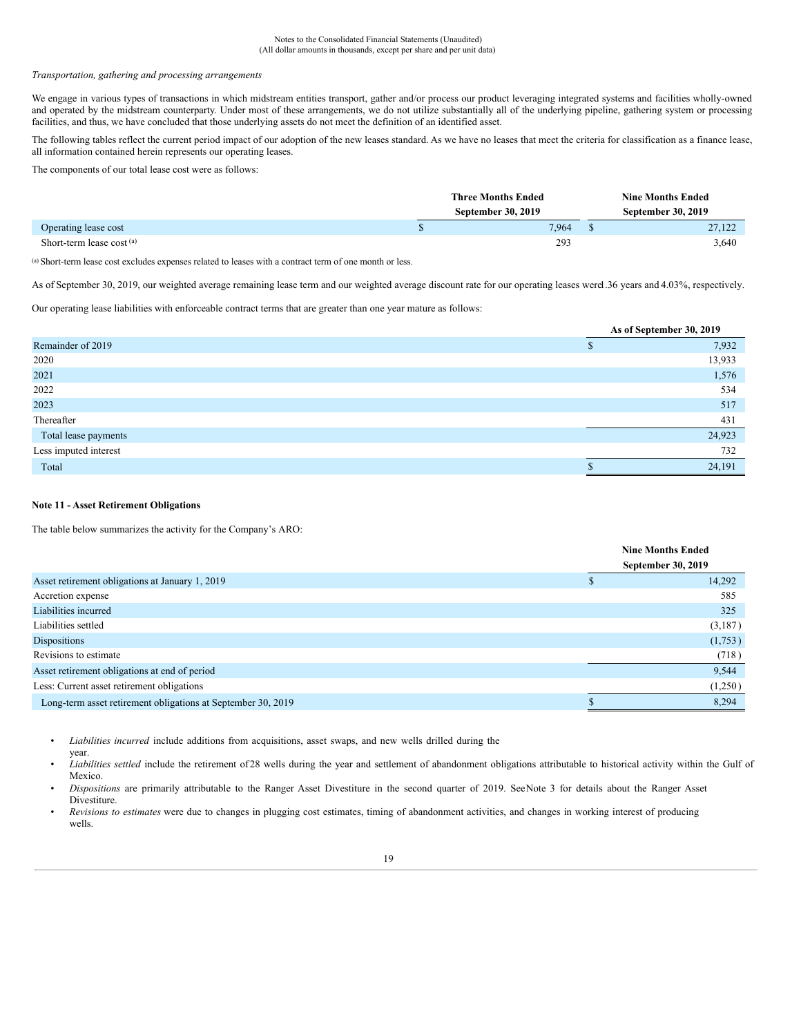#### Notes to the Consolidated Financial Statements (Unaudited) (All dollar amounts in thousands, except per share and per unit data)

#### *Transportation, gathering and processing arrangements*

We engage in various types of transactions in which midstream entities transport, gather and/or process our product leveraging integrated systems and facilities wholly-owned and operated by the midstream counterparty. Under most of these arrangements, we do not utilize substantially all of the underlying pipeline, gathering system or processing facilities, and thus, we have concluded that those underlying assets do not meet the definition of an identified asset.

The following tables reflect the current period impact of our adoption of the new leases standard. As we have no leases that meet the criteria for classification as a finance lease, all information contained herein represents our operating leases.

The components of our total lease cost were as follows:

|                            | <b>Three Months Ended</b> | <b>Nine Months Ended</b>  |  |  |
|----------------------------|---------------------------|---------------------------|--|--|
|                            | September 30, 2019        | <b>September 30, 2019</b> |  |  |
| Operating lease cost       | 7.964                     | 27.122                    |  |  |
| Short-term lease $cost(a)$ | 293                       | 3,640                     |  |  |

(a) Short-term lease cost excludes expenses related to leases with a contract term of one month or less.

As of September 30, 2019, our weighted average remaining lease term and our weighted average discount rate for our operating leases were1.36 years and 4.03%, respectively.

Our operating lease liabilities with enforceable contract terms that are greater than one year mature as follows:

|                       | As of September 30, 2019 |        |  |  |  |  |  |
|-----------------------|--------------------------|--------|--|--|--|--|--|
| Remainder of 2019     |                          | 7,932  |  |  |  |  |  |
| 2020                  |                          | 13,933 |  |  |  |  |  |
| 2021                  |                          | 1,576  |  |  |  |  |  |
| 2022                  |                          | 534    |  |  |  |  |  |
| 2023                  |                          | 517    |  |  |  |  |  |
| Thereafter            |                          | 431    |  |  |  |  |  |
| Total lease payments  |                          | 24,923 |  |  |  |  |  |
| Less imputed interest |                          | 732    |  |  |  |  |  |
| Total                 |                          | 24,191 |  |  |  |  |  |

### **Note 11 - Asset Retirement Obligations**

year.

The table below summarizes the activity for the Company's ARO:

|                                                              | <b>Nine Months Ended</b> |         |  |
|--------------------------------------------------------------|--------------------------|---------|--|
|                                                              | September 30, 2019       |         |  |
| Asset retirement obligations at January 1, 2019              |                          | 14,292  |  |
| Accretion expense                                            |                          | 585     |  |
| Liabilities incurred                                         |                          | 325     |  |
| Liabilities settled                                          |                          | (3,187) |  |
| <b>Dispositions</b>                                          |                          | (1,753) |  |
| Revisions to estimate                                        |                          | (718)   |  |
| Asset retirement obligations at end of period                |                          | 9,544   |  |
| Less: Current asset retirement obligations                   |                          | (1,250) |  |
| Long-term asset retirement obligations at September 30, 2019 |                          | 8,294   |  |

• *Liabilities incurred* include additions from acquisitions, asset swaps, and new wells drilled during the

• *Liabilities settled* include the retirement of 28 wells during the year and settlement of abandonment obligations attributable to historical activity within the Gulf of Mexico.

• *Dispositions* are primarily attributable to the Ranger Asset Divestiture in the second quarter of 2019. SeeNote 3 for details about the Ranger Asset Divestiture.

• *Revisions to estimates* were due to changes in plugging cost estimates, timing of abandonment activities, and changes in working interest of producing wells.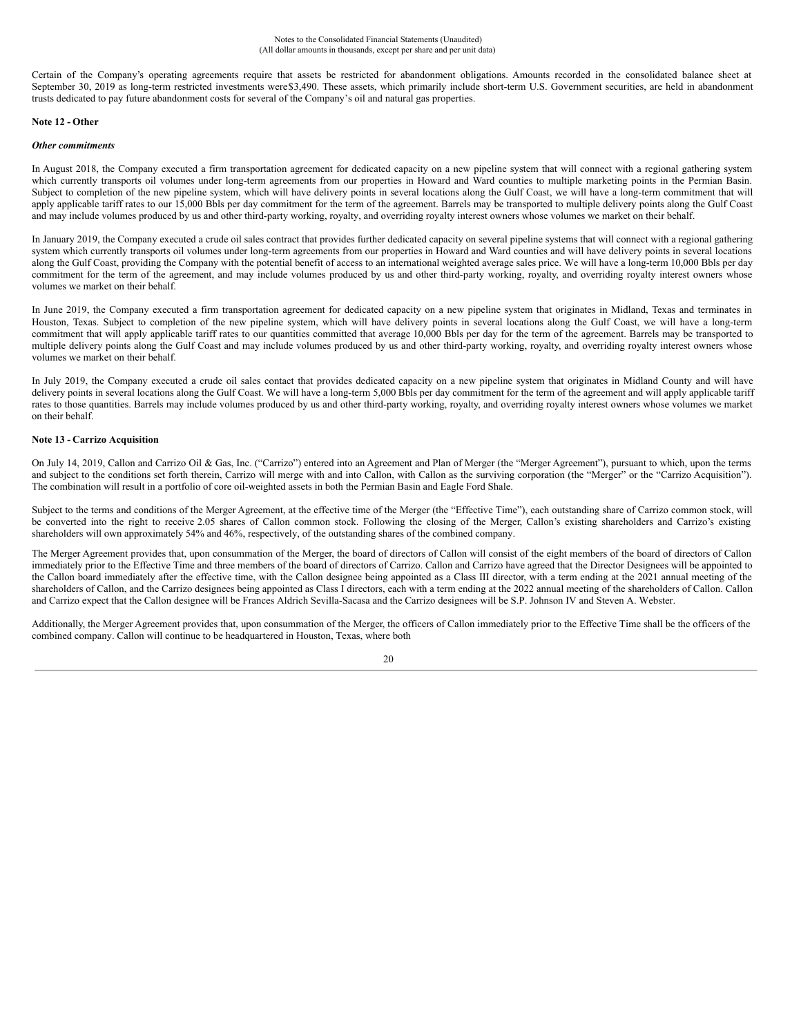Certain of the Company's operating agreements require that assets be restricted for abandonment obligations. Amounts recorded in the consolidated balance sheet at September 30, 2019 as long-term restricted investments were\$3,490. These assets, which primarily include short-term U.S. Government securities, are held in abandonment trusts dedicated to pay future abandonment costs for several of the Company's oil and natural gas properties.

### **Note 12 - Other**

### *Other commitments*

In August 2018, the Company executed a firm transportation agreement for dedicated capacity on a new pipeline system that will connect with a regional gathering system which currently transports oil volumes under long-term agreements from our properties in Howard and Ward counties to multiple marketing points in the Permian Basin. Subject to completion of the new pipeline system, which will have delivery points in several locations along the Gulf Coast, we will have a long-term commitment that will apply applicable tariff rates to our 15,000 Bbls per day commitment for the term of the agreement. Barrels may be transported to multiple delivery points along the Gulf Coast and may include volumes produced by us and other third-party working, royalty, and overriding royalty interest owners whose volumes we market on their behalf.

In January 2019, the Company executed a crude oil sales contract that provides further dedicated capacity on several pipeline systems that will connect with a regional gathering system which currently transports oil volumes under long-term agreements from our properties in Howard and Ward counties and will have delivery points in several locations along the Gulf Coast, providing the Company with the potential benefit of access to an international weighted average sales price. We will have a long-term 10,000 Bbls per day commitment for the term of the agreement, and may include volumes produced by us and other third-party working, royalty, and overriding royalty interest owners whose volumes we market on their behalf.

In June 2019, the Company executed a firm transportation agreement for dedicated capacity on a new pipeline system that originates in Midland, Texas and terminates in Houston, Texas. Subject to completion of the new pipeline system, which will have delivery points in several locations along the Gulf Coast, we will have a long-term commitment that will apply applicable tariff rates to our quantities committed that average 10,000 Bbls per day for the term of the agreement. Barrels may be transported to multiple delivery points along the Gulf Coast and may include volumes produced by us and other third-party working, royalty, and overriding royalty interest owners whose volumes we market on their behalf.

In July 2019, the Company executed a crude oil sales contact that provides dedicated capacity on a new pipeline system that originates in Midland County and will have delivery points in several locations along the Gulf Coast. We will have a long-term 5,000 Bbls per day commitment for the term of the agreement and will apply applicable tariff rates to those quantities. Barrels may include volumes produced by us and other third-party working, royalty, and overriding royalty interest owners whose volumes we market on their behalf.

### **Note 13 - Carrizo Acquisition**

On July 14, 2019, Callon and Carrizo Oil & Gas, Inc. ("Carrizo") entered into an Agreement and Plan of Merger (the "Merger Agreement"), pursuant to which, upon the terms and subject to the conditions set forth therein, Carrizo will merge with and into Callon, with Callon as the surviving corporation (the "Merger" or the "Carrizo Acquisition"). The combination will result in a portfolio of core oil-weighted assets in both the Permian Basin and Eagle Ford Shale.

Subject to the terms and conditions of the Merger Agreement, at the effective time of the Merger (the "Effective Time"), each outstanding share of Carrizo common stock, will be converted into the right to receive 2.05 shares of Callon common stock. Following the closing of the Merger, Callon's existing shareholders and Carrizo's existing shareholders will own approximately 54% and 46%, respectively, of the outstanding shares of the combined company.

The Merger Agreement provides that, upon consummation of the Merger, the board of directors of Callon will consist of the eight members of the board of directors of Callon immediately prior to the Effective Time and three members of the board of directors of Carrizo. Callon and Carrizo have agreed that the Director Designees will be appointed to the Callon board immediately after the effective time, with the Callon designee being appointed as a Class III director, with a term ending at the 2021 annual meeting of the shareholders of Callon, and the Carrizo designees being appointed as Class I directors, each with a term ending at the 2022 annual meeting of the shareholders of Callon. Callon and Carrizo expect that the Callon designee will be Frances Aldrich Sevilla-Sacasa and the Carrizo designees will be S.P. Johnson IV and Steven A. Webster.

Additionally, the Merger Agreement provides that, upon consummation of the Merger, the officers of Callon immediately prior to the Effective Time shall be the officers of the combined company. Callon will continue to be headquartered in Houston, Texas, where both

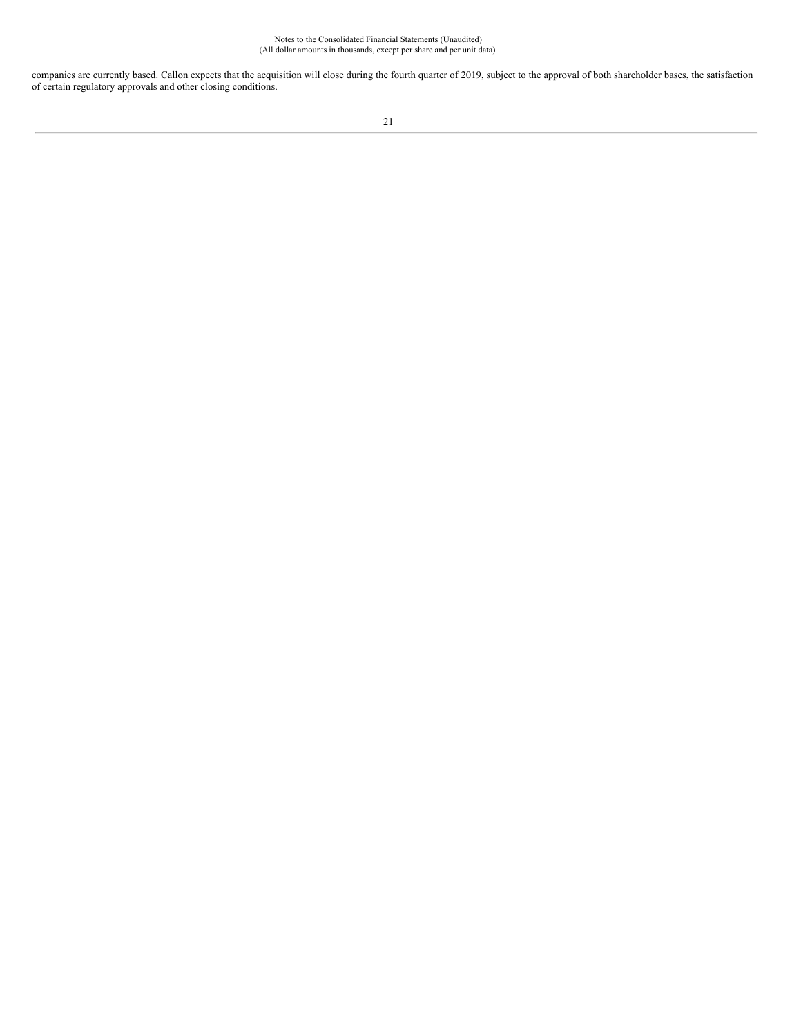Notes to the Consolidated Financial Statements (Unaudited) (All dollar amounts in thousands, except per share and per unit data)

companies are currently based. Callon expects that the acquisition will close during the fourth quarter of 2019, subject to the approval of both shareholder bases, the satisfaction of certain regulatory approvals and other closing conditions.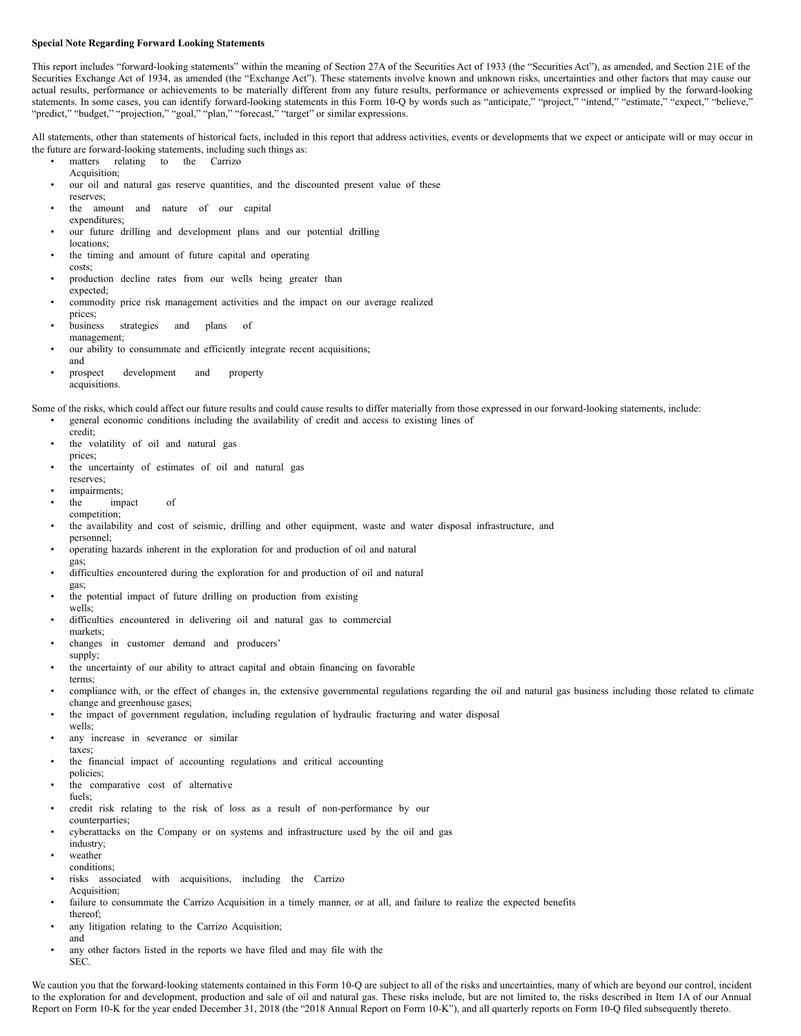### **Special Note Regarding Forward Looking Statements**

This report includes "forward-looking statements" within the meaning of Section 27A of the Securities Act of 1933 (the "Securities Act"), as amended, and Section 21E of the Securities Exchange Act of 1934, as amended (the "Exchange Act"). These statements involve known and unknown risks, uncertainties and other factors that may cause our actual results, performance or achievements to be materially different from any future results, performance or achievements expressed or implied by the forward-looking statements. In some cases, you can identify forward-looking statements in this Form 10-Q by words such as "anticipate," "project," "intend," "estimate," "expect," "believe, "predict," "budget," "projection," "goal," "plan," "forecast," "target" or similar expressions.

All statements, other than statements of historical facts, included in this report that address activities, events or developments that we expect or anticipate will or may occur in the future are forward-looking statements, including such things as:

- matters relating to the Carrizo
- Acquisition;
- our oil and natural gas reserve quantities, and the discounted present value of these reserves;
- the amount and nature of our capital expenditures;
- our future drilling and development plans and our potential drilling locations;
- the timing and amount of future capital and operating costs;
- production decline rates from our wells being greater than expected;
- commodity price risk management activities and the impact on our average realized prices;
- business strategies and plans of management;
- our ability to consummate and efficiently integrate recent acquisitions; and
- prospect development and property acquisitions.

Some of the risks, which could affect our future results and could cause results to differ materially from those expressed in our forward-looking statements, include: • general economic conditions including the availability of credit and access to existing lines of

- credit;
- the volatility of oil and natural gas prices;
- the uncertainty of estimates of oil and natural gas
- reserves; impairments;
- the impact of
- competition;
- the availability and cost of seismic, drilling and other equipment, waste and water disposal infrastructure, and
- personnel; • operating hazards inherent in the exploration for and production of oil and natural
- gas; difficulties encountered during the exploration for and production of oil and natural gas;
- the potential impact of future drilling on production from existing wells;
- difficulties encountered in delivering oil and natural gas to commercial markets;
- changes in customer demand and producers' supply;
- the uncertainty of our ability to attract capital and obtain financing on favorable
- terms; • compliance with, or the effect of changes in, the extensive governmental regulations regarding the oil and natural gas business including those related to climate change and greenhouse gases;
- the impact of government regulation, including regulation of hydraulic fracturing and water disposal wells;
- any increase in severance or similar
- taxes;
- the financial impact of accounting regulations and critical accounting policies;
- the comparative cost of alternative
- fuels;
- credit risk relating to the risk of loss as a result of non-performance by our counterparties;
- cyberattacks on the Company or on systems and infrastructure used by the oil and gas
- industry;
- weather conditions;
- risks associated with acquisitions, including the Carrizo Acquisition;
- failure to consummate the Carrizo Acquisition in a timely manner, or at all, and failure to realize the expected benefits thereof;
- any litigation relating to the Carrizo Acquisition; and
- any other factors listed in the reports we have filed and may file with the SEC.

We caution you that the forward-looking statements contained in this Form 10-Q are subject to all of the risks and uncertainties, many of which are beyond our control, incident to the exploration for and development, production and sale of oil and natural gas. These risks include, but are not limited to, the risks described in Item 1A of our Annual Report on Form 10-K for the year ended December 31, 2018 (the "2018 Annual Report on Form 10-K"), and all quarterly reports on Form 10-Q filed subsequently thereto.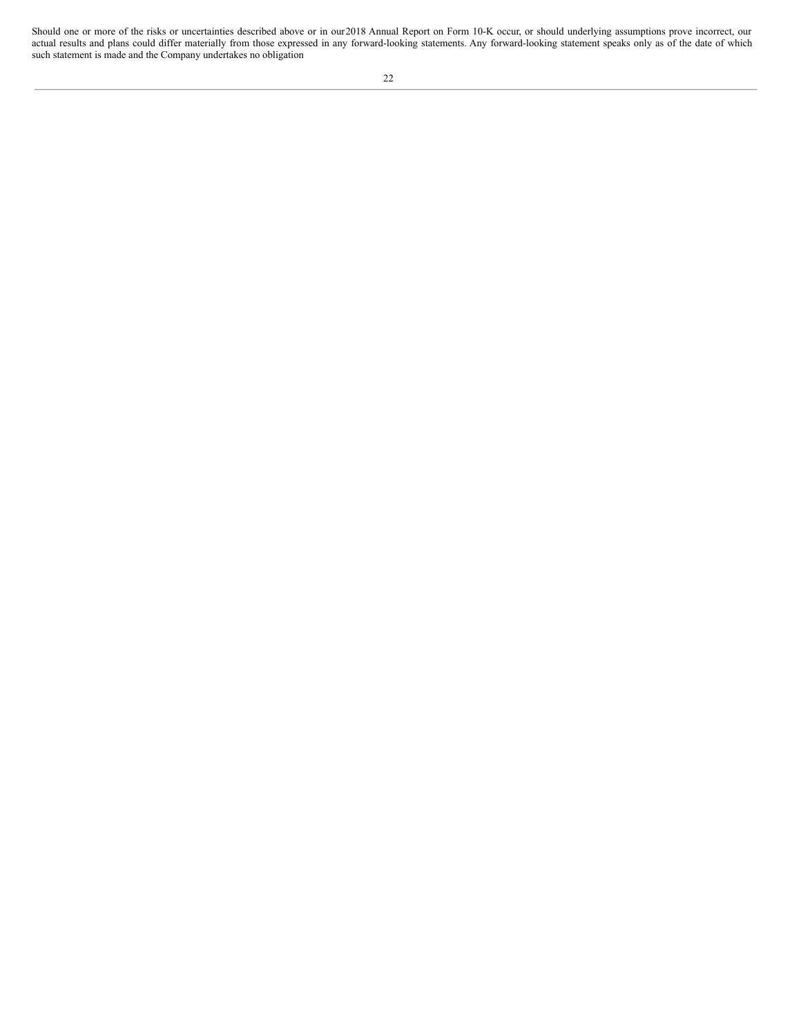Should one or more of the risks or uncertainties described above or in our2018 Annual Report on Form 10-K occur, or should underlying assumptions prove incorrect, our actual results and plans could differ materially from those expressed in any forward-looking statements. Any forward-looking statement speaks only as of the date of which such statement is made and the Company undertakes no obligation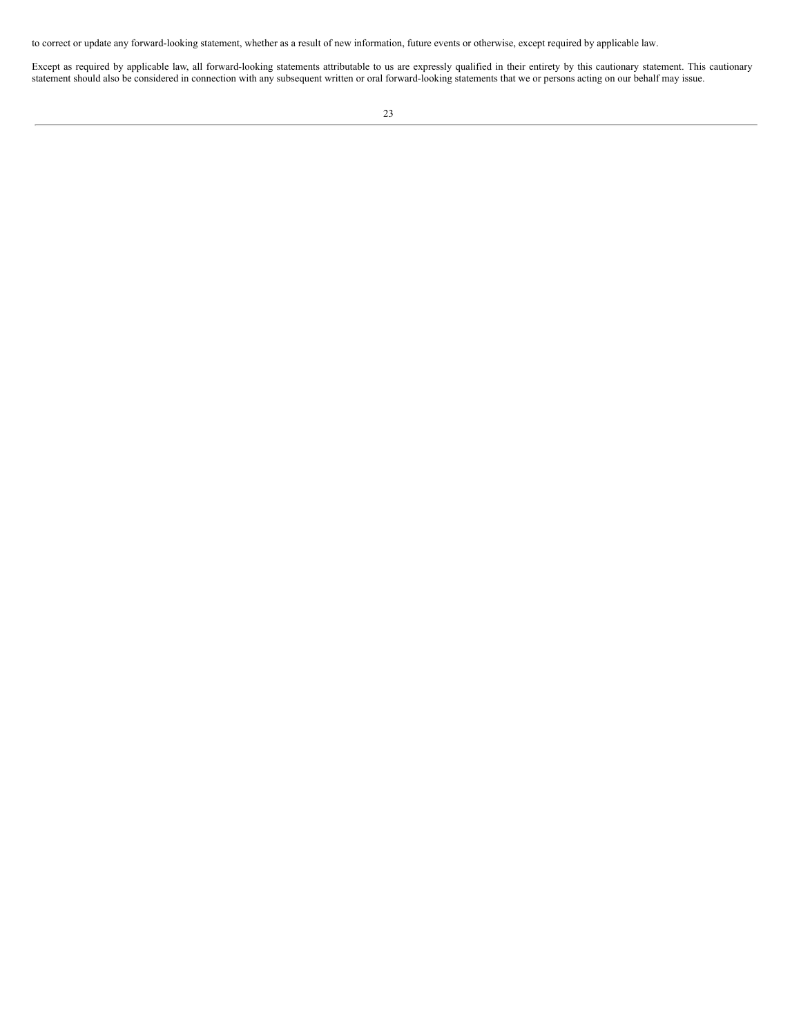to correct or update any forward-looking statement, whether as a result of new information, future events or otherwise, except required by applicable law.

Except as required by applicable law, all forward-looking statements attributable to us are expressly qualified in their entirety by this cautionary statement. This cautionary statement should also be considered in connection with any subsequent written or oral forward-looking statements that we or persons acting on our behalf may issue.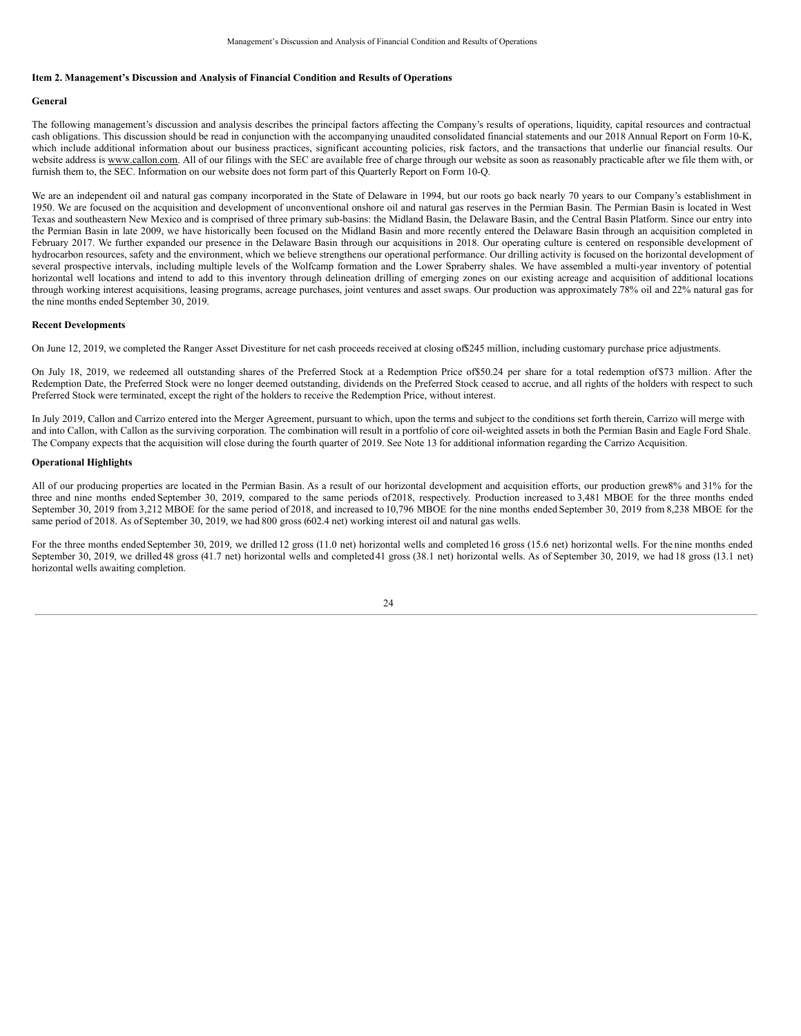### **Item 2. Management's Discussion and Analysis of Financial Condition and Results of Operations**

#### **General**

The following management's discussion and analysis describes the principal factors affecting the Company's results of operations, liquidity, capital resources and contractual cash obligations. This discussion should be read in conjunction with the accompanying unaudited consolidated financial statements and our 2018 Annual Report on Form 10-K, which include additional information about our business practices, significant accounting policies, risk factors, and the transactions that underlie our financial results. Our website address is www.callon.com. All of our filings with the SEC are available free of charge through our website as soon as reasonably practicable after we file them with, or furnish them to, the SEC. Information on our website does not form part of this Quarterly Report on Form 10-Q.

We are an independent oil and natural gas company incorporated in the State of Delaware in 1994, but our roots go back nearly 70 years to our Company's establishment in 1950. We are focused on the acquisition and development of unconventional onshore oil and natural gas reserves in the Permian Basin. The Permian Basin is located in West Texas and southeastern New Mexico and is comprised of three primary sub-basins: the Midland Basin, the Delaware Basin, and the Central Basin Platform. Since our entry into the Permian Basin in late 2009, we have historically been focused on the Midland Basin and more recently entered the Delaware Basin through an acquisition completed in February 2017. We further expanded our presence in the Delaware Basin through our acquisitions in 2018. Our operating culture is centered on responsible development of hydrocarbon resources, safety and the environment, which we believe strengthens our operational performance. Our drilling activity is focused on the horizontal development of several prospective intervals, including multiple levels of the Wolfcamp formation and the Lower Spraberry shales. We have assembled a multi-year inventory of potential horizontal well locations and intend to add to this inventory through delineation drilling of emerging zones on our existing acreage and acquisition of additional locations through working interest acquisitions, leasing programs, acreage purchases, joint ventures and asset swaps. Our production was approximately 78% oil and 22% natural gas for the nine months ended September 30, 2019.

### **Recent Developments**

On June 12, 2019, we completed the Ranger Asset Divestiture for net cash proceeds received at closing of\$245 million, including customary purchase price adjustments.

On July 18, 2019, we redeemed all outstanding shares of the Preferred Stock at a Redemption Price of\$50.24 per share for a total redemption of\$73 million. After the Redemption Date, the Preferred Stock were no longer deemed outstanding, dividends on the Preferred Stock ceased to accrue, and all rights of the holders with respect to such Preferred Stock were terminated, except the right of the holders to receive the Redemption Price, without interest.

In July 2019, Callon and Carrizo entered into the Merger Agreement, pursuant to which, upon the terms and subject to the conditions set forth therein, Carrizo will merge with and into Callon, with Callon as the surviving corporation. The combination will result in a portfolio of core oil-weighted assets in both the Permian Basin and Eagle Ford Shale. The Company expects that the acquisition will close during the fourth quarter of 2019. See Note 13 for additional information regarding the Carrizo Acquisition.

### **Operational Highlights**

All of our producing properties are located in the Permian Basin. As a result of our horizontal development and acquisition efforts, our production grew8% and 31% for the three and nine months ended September 30, 2019, compared to the same periods of2018, respectively. Production increased to 3,481 MBOE for the three months ended September 30, 2019 from 3,212 MBOE for the same period of 2018, and increased to 10,796 MBOE for the nine months ended September 30, 2019 from 8,238 MBOE for the same period of 2018. As of September 30, 2019, we had 800 gross (602.4 net) working interest oil and natural gas wells.

For the three months ended September 30, 2019, we drilled 12 gross (11.0 net) horizontal wells and completed 16 gross (15.6 net) horizontal wells. For the nine months ended September 30, 2019, we drilled 48 gross (41.7 net) horizontal wells and completed 41 gross (38.1 net) horizontal wells. As of September 30, 2019, we had 18 gross (13.1 net) horizontal wells awaiting completion.

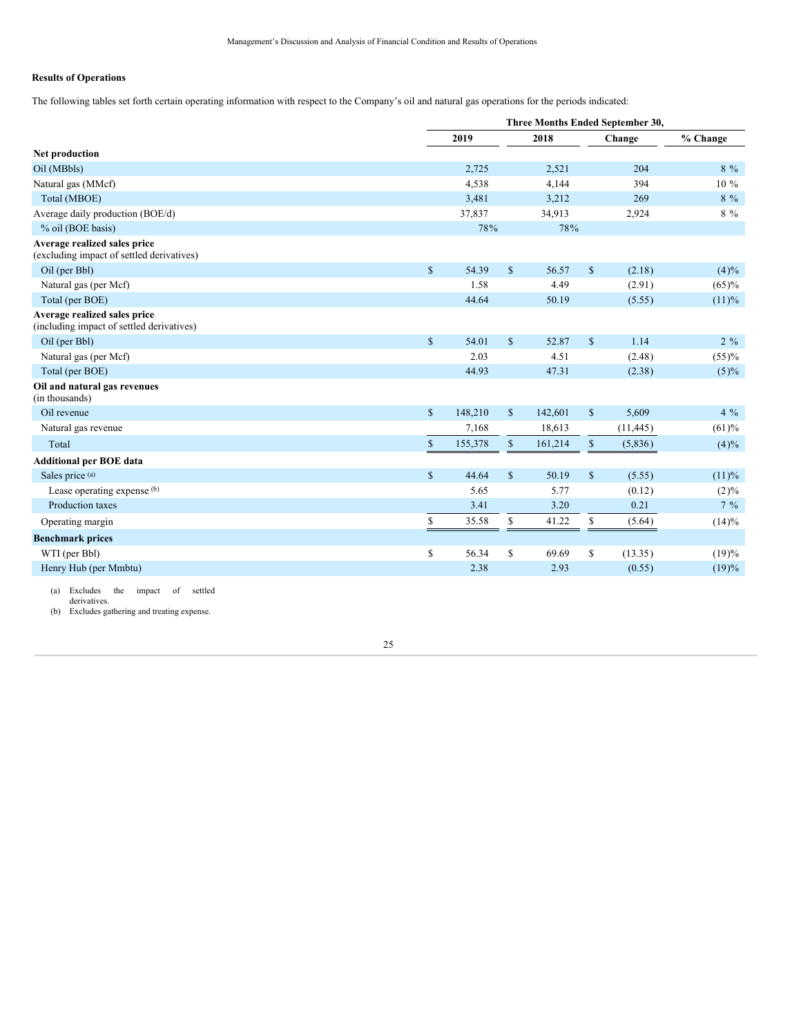### **Results of Operations**

The following tables set forth certain operating information with respect to the Company's oil and natural gas operations for the periods indicated:

|                                                                           |              | Three Months Ended September 30, |              |         |               |           |           |  |  |
|---------------------------------------------------------------------------|--------------|----------------------------------|--------------|---------|---------------|-----------|-----------|--|--|
|                                                                           |              | 2019                             |              | 2018    |               | Change    | % Change  |  |  |
| Net production                                                            |              |                                  |              |         |               |           |           |  |  |
| Oil (MBbls)                                                               |              | 2,725                            |              | 2,521   |               | 204       | $8\%$     |  |  |
| Natural gas (MMcf)                                                        |              | 4,538                            |              | 4,144   |               | 394       | $10\%$    |  |  |
| Total (MBOE)                                                              |              | 3,481                            |              | 3,212   |               | 269       | $8\%$     |  |  |
| Average daily production (BOE/d)                                          |              | 37,837                           |              | 34,913  |               | 2,924     | $8\%$     |  |  |
| % oil (BOE basis)                                                         |              | 78%                              |              | 78%     |               |           |           |  |  |
| Average realized sales price<br>(excluding impact of settled derivatives) |              |                                  |              |         |               |           |           |  |  |
| Oil (per Bbl)                                                             | $\mathbb{S}$ | 54.39                            | $\mathbb{S}$ | 56.57   | $\mathbb{S}$  | (2.18)    | $(4)\%$   |  |  |
| Natural gas (per Mcf)                                                     |              | 1.58                             |              | 4.49    |               | (2.91)    | $(65) \%$ |  |  |
| Total (per BOE)                                                           |              | 44.64                            |              | 50.19   |               | (5.55)    | (11)%     |  |  |
| Average realized sales price<br>(including impact of settled derivatives) |              |                                  |              |         |               |           |           |  |  |
| Oil (per Bbl)                                                             | $\mathbb{S}$ | 54.01                            | $\mathbb{S}$ | 52.87   | $\mathsf{\$}$ | 1.14      | $2\%$     |  |  |
| Natural gas (per Mcf)                                                     |              | 2.03                             |              | 4.51    |               | (2.48)    | $(55) \%$ |  |  |
| Total (per BOE)                                                           |              | 44.93                            |              | 47.31   |               | (2.38)    | $(5)\%$   |  |  |
| Oil and natural gas revenues<br>(in thousands)                            |              |                                  |              |         |               |           |           |  |  |
| Oil revenue                                                               | $\mathbb{S}$ | 148,210                          | $\mathbb{S}$ | 142,601 | $\mathbb{S}$  | 5,609     | $4\%$     |  |  |
| Natural gas revenue                                                       |              | 7,168                            |              | 18,613  |               | (11, 445) | (61)%     |  |  |
| Total                                                                     | $\mathbb{S}$ | 155,378                          | $\mathbb{S}$ | 161,214 | $\mathbb{S}$  | (5,836)   | $(4)\%$   |  |  |
| <b>Additional per BOE data</b>                                            |              |                                  |              |         |               |           |           |  |  |
| Sales price (a)                                                           | $\mathbb{S}$ | 44.64                            | $\mathbb{S}$ | 50.19   | $\mathcal{S}$ | (5.55)    | (11)%     |  |  |
| Lease operating expense (b)                                               |              | 5.65                             |              | 5.77    |               | (0.12)    | $(2)\%$   |  |  |
| Production taxes                                                          |              | 3.41                             |              | 3.20    |               | 0.21      | $7\%$     |  |  |
| Operating margin                                                          | \$           | 35.58                            | \$           | 41.22   | \$            | (5.64)    | $(14)\%$  |  |  |
| <b>Benchmark prices</b>                                                   |              |                                  |              |         |               |           |           |  |  |
| WTI (per Bbl)                                                             | \$           | 56.34                            | \$           | 69.69   | \$            | (13.35)   | (19)%     |  |  |
| Henry Hub (per Mmbtu)                                                     |              | 2.38                             |              | 2.93    |               | (0.55)    | (19)%     |  |  |
|                                                                           |              |                                  |              |         |               |           |           |  |  |

(a) Excludes the impact of settled

derivatives. (b) Excludes gathering and treating expense.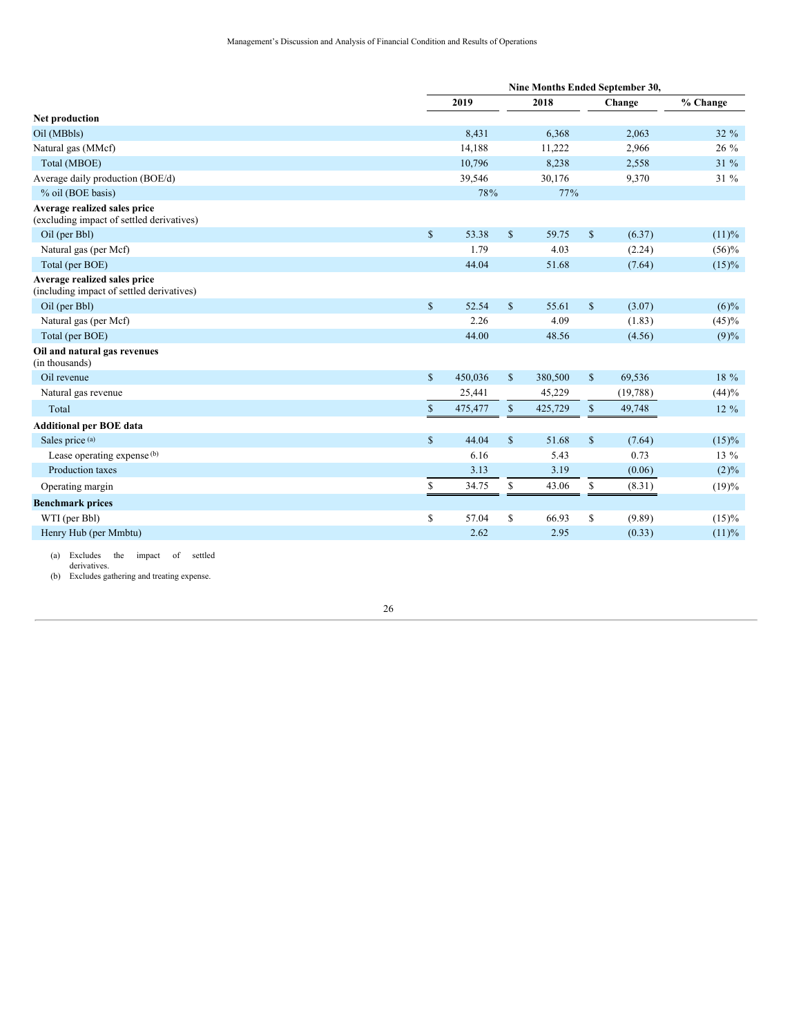|                                                                           |              | Nine Months Ended September 30, |              |         |               |           |          |  |  |  |
|---------------------------------------------------------------------------|--------------|---------------------------------|--------------|---------|---------------|-----------|----------|--|--|--|
|                                                                           |              | 2019                            |              | 2018    |               | Change    | % Change |  |  |  |
| Net production                                                            |              |                                 |              |         |               |           |          |  |  |  |
| Oil (MBbls)                                                               |              | 8,431                           |              | 6,368   |               | 2,063     | 32 %     |  |  |  |
| Natural gas (MMcf)                                                        |              | 14,188                          |              | 11,222  |               | 2,966     | 26 %     |  |  |  |
| Total (MBOE)                                                              |              | 10,796                          |              | 8,238   |               | 2,558     | 31 %     |  |  |  |
| Average daily production (BOE/d)                                          |              | 39,546                          |              | 30,176  |               | 9,370     | 31 %     |  |  |  |
| % oil (BOE basis)                                                         |              | 78%                             |              | 77%     |               |           |          |  |  |  |
| Average realized sales price<br>(excluding impact of settled derivatives) |              |                                 |              |         |               |           |          |  |  |  |
| Oil (per Bbl)                                                             | $\mathbb{S}$ | 53.38                           | $\mathbb{S}$ | 59.75   | $\mathbb{S}$  | (6.37)    | (11)%    |  |  |  |
| Natural gas (per Mcf)                                                     |              | 1.79                            |              | 4.03    |               | (2.24)    | $(56)\%$ |  |  |  |
| Total (per BOE)                                                           |              | 44.04                           |              | 51.68   |               | (7.64)    | $(15)\%$ |  |  |  |
| Average realized sales price<br>(including impact of settled derivatives) |              |                                 |              |         |               |           |          |  |  |  |
| Oil (per Bbl)                                                             | \$           | 52.54                           | $\mathbb{S}$ | 55.61   | $\mathbb{S}$  | (3.07)    | $(6)\%$  |  |  |  |
| Natural gas (per Mcf)                                                     |              | 2.26                            |              | 4.09    |               | (1.83)    | $(45)\%$ |  |  |  |
| Total (per BOE)                                                           |              | 44.00                           |              | 48.56   |               | (4.56)    | (9)%     |  |  |  |
| Oil and natural gas revenues<br>(in thousands)                            |              |                                 |              |         |               |           |          |  |  |  |
| Oil revenue                                                               | $\mathbb{S}$ | 450,036                         | $\mathbb{S}$ | 380,500 | $\mathcal{S}$ | 69,536    | 18 %     |  |  |  |
| Natural gas revenue                                                       |              | 25,441                          |              | 45,229  |               | (19, 788) | (44)%    |  |  |  |
| Total                                                                     | \$           | 475,477                         | $\mathbb{S}$ | 425,729 | $\mathbb{S}$  | 49,748    | 12 %     |  |  |  |
| <b>Additional per BOE data</b>                                            |              |                                 |              |         |               |           |          |  |  |  |
| Sales price (a)                                                           | $\mathbb{S}$ | 44.04                           | $\mathbb{S}$ | 51.68   | $\mathcal{S}$ | (7.64)    | $(15)\%$ |  |  |  |
| Lease operating expense (b)                                               |              | 6.16                            |              | 5.43    |               | 0.73      | $13\%$   |  |  |  |
| Production taxes                                                          |              | 3.13                            |              | 3.19    |               | (0.06)    | $(2)\%$  |  |  |  |
| Operating margin                                                          | \$           | 34.75                           | \$           | 43.06   | \$            | (8.31)    | (19)%    |  |  |  |
| <b>Benchmark prices</b>                                                   |              |                                 |              |         |               |           |          |  |  |  |
| WTI (per Bbl)                                                             | \$           | 57.04                           | \$           | 66.93   | \$            | (9.89)    | $(15)\%$ |  |  |  |
| Henry Hub (per Mmbtu)                                                     |              | 2.62                            |              | 2.95    |               | (0.33)    | (11)%    |  |  |  |
| $\sim$ $\sim$ $\sim$ $\sim$ $\sim$<br>$-141.1$                            |              |                                 |              |         |               |           |          |  |  |  |

(a) Excludes the impact of settled derivatives. (b) Excludes gathering and treating expense.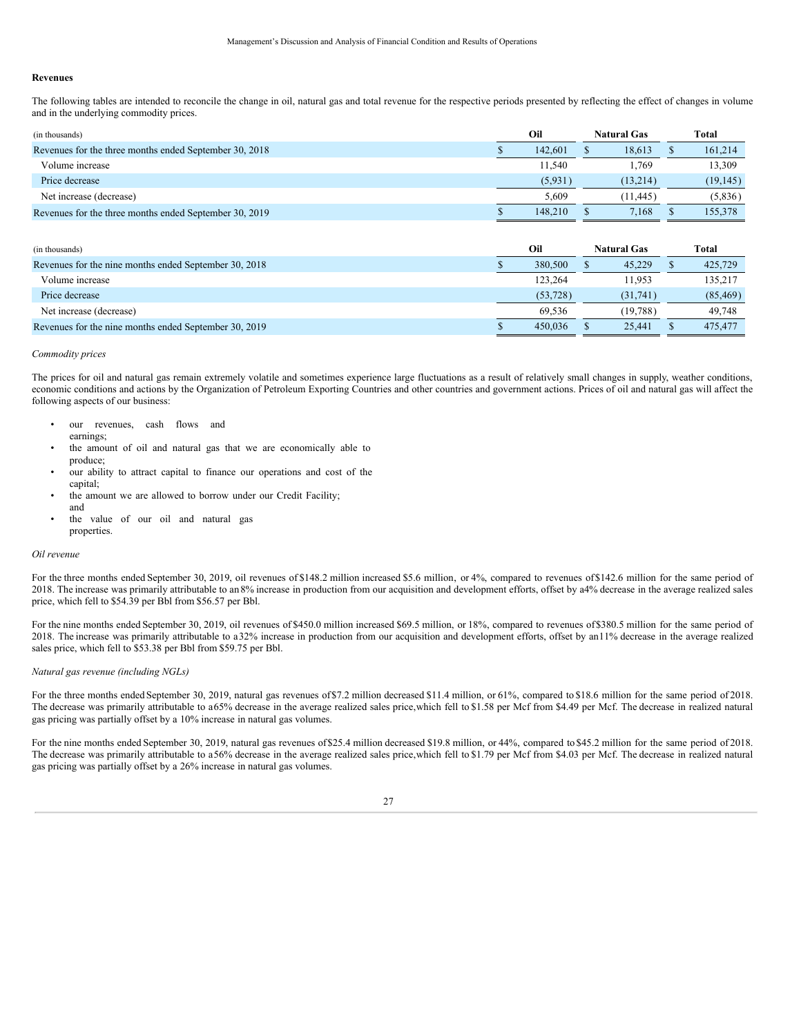#### **Revenues**

The following tables are intended to reconcile the change in oil, natural gas and total revenue for the respective periods presented by reflecting the effect of changes in volume and in the underlying commodity prices.

| (in thousands)                                         | Oil |         | <b>Natural Gas</b> | Total |           |  |
|--------------------------------------------------------|-----|---------|--------------------|-------|-----------|--|
| Revenues for the three months ended September 30, 2018 |     | 142,601 | 18.613             |       | 161,214   |  |
| Volume increase                                        |     | 11.540  | 1.769              |       | 13,309    |  |
| Price decrease                                         |     | (5,931) | (13.214)           |       | (19, 145) |  |
| Net increase (decrease)                                |     | 5.609   | (11.445)           |       | (5,836)   |  |
| Revenues for the three months ended September 30, 2019 |     | 148,210 | 7.168              |       | 155,378   |  |

| (in thousands)                                        | Oil |           | <b>Natural Gas</b> | Total     |
|-------------------------------------------------------|-----|-----------|--------------------|-----------|
| Revenues for the nine months ended September 30, 2018 |     | 380,500   | 45.229             | 425,729   |
| Volume increase                                       |     | 123,264   | 11.953             | 135,217   |
| Price decrease                                        |     | (53, 728) | (31.741)           | (85, 469) |
| Net increase (decrease)                               |     | 69.536    | (19.788)           | 49.748    |
| Revenues for the nine months ended September 30, 2019 |     | 450,036   | 25,441             | 475,477   |

### *Commodity prices*

The prices for oil and natural gas remain extremely volatile and sometimes experience large fluctuations as a result of relatively small changes in supply, weather conditions, economic conditions and actions by the Organization of Petroleum Exporting Countries and other countries and government actions. Prices of oil and natural gas will affect the following aspects of our business:

- our revenues, cash flows and
	- earnings;
- the amount of oil and natural gas that we are economically able to produce;
- our ability to attract capital to finance our operations and cost of the capital;
- the amount we are allowed to borrow under our Credit Facility; and
- the value of our oil and natural gas properties.

### *Oil revenue*

For the three months ended September 30, 2019, oil revenues of \$148.2 million increased \$5.6 million, or 4%, compared to revenues of \$142.6 million for the same period of 2018. The increase was primarily attributable to an 8% increase in production from our acquisition and development efforts, offset by a4% decrease in the average realized sales price, which fell to \$54.39 per Bbl from \$56.57 per Bbl.

For the nine months ended September 30, 2019, oil revenues of \$450.0 million increased \$69.5 million, or 18%, compared to revenues of \$380.5 million for the same period of 2018. The increase was primarily attributable to a32% increase in production from our acquisition and development efforts, offset by an11% decrease in the average realized sales price, which fell to \$53.38 per Bbl from \$59.75 per Bbl.

#### *Natural gas revenue (including NGLs)*

For the three months ended September 30, 2019, natural gas revenues of \$7.2 million decreased \$11.4 million, or 61%, compared to \$18.6 million for the same period of 2018. The decrease was primarily attributable to a65% decrease in the average realized sales price,which fell to \$1.58 per Mcf from \$4.49 per Mcf. The decrease in realized natural gas pricing was partially offset by a 10% increase in natural gas volumes.

For the nine months ended September 30, 2019, natural gas revenues of \$25.4 million decreased \$19.8 million, or 44%, compared to \$45.2 million for the same period of 2018. The decrease was primarily attributable to a56% decrease in the average realized sales price,which fell to \$1.79 per Mcf from \$4.03 per Mcf. The decrease in realized natural gas pricing was partially offset by a 26% increase in natural gas volumes.

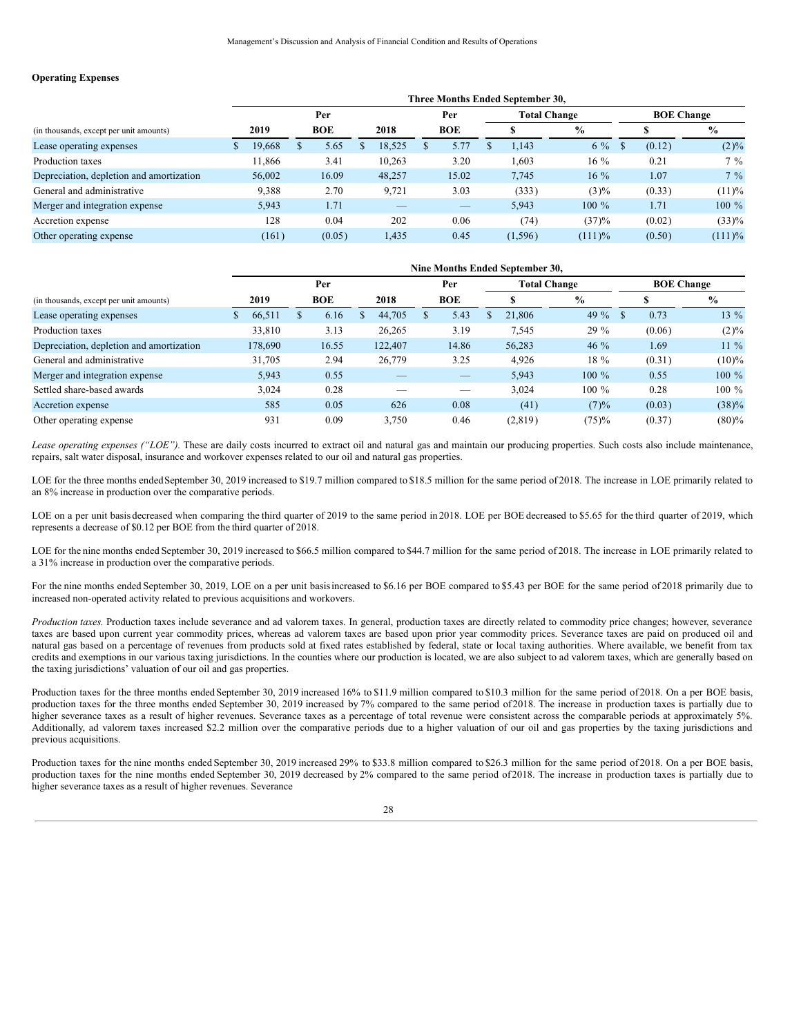### **Operating Expenses**

|                                          |    | Three Months Ended September 30, |  |            |  |        |  |            |  |          |                     |                   |        |               |  |
|------------------------------------------|----|----------------------------------|--|------------|--|--------|--|------------|--|----------|---------------------|-------------------|--------|---------------|--|
|                                          |    | Per                              |  |            |  |        |  | Per        |  |          | <b>Total Change</b> | <b>BOE Change</b> |        |               |  |
| (in thousands, except per unit amounts)  |    | 2019                             |  | <b>BOE</b> |  | 2018   |  | <b>BOE</b> |  |          | $\frac{0}{0}$       |                   |        | $\frac{0}{0}$ |  |
| Lease operating expenses                 | D. | 19,668                           |  | 5.65       |  | 18,525 |  | 5.77       |  | 1.143    | $6\%$               |                   | (0.12) | $(2)\%$       |  |
| Production taxes                         |    | 11.866                           |  | 3.41       |  | 10,263 |  | 3.20       |  | 1,603    | $16\%$              |                   | 0.21   | $7\%$         |  |
| Depreciation, depletion and amortization |    | 56,002                           |  | 16.09      |  | 48,257 |  | 15.02      |  | 7,745    | $16\%$              |                   | 1.07   | $7\%$         |  |
| General and administrative               |    | 9,388                            |  | 2.70       |  | 9.721  |  | 3.03       |  | (333)    | $(3)\%$             |                   | (0.33) | (11)%         |  |
| Merger and integration expense           |    | 5,943                            |  | 1.71       |  |        |  |            |  | 5,943    | $100 \%$            |                   | 1.71   | $100 \%$      |  |
| Accretion expense                        |    | 128                              |  | 0.04       |  | 202    |  | 0.06       |  | (74)     | (37)%               |                   | (0.02) | (33)%         |  |
| Other operating expense                  |    | (161)                            |  | (0.05)     |  | 1,435  |  | 0.45       |  | (1, 596) | $(111)$ %           |                   | (0.50) | $(111)$ %     |  |

|                                          |    | Nine Months Ended September 30, |  |            |  |         |  |            |  |         |                     |                   |        |               |  |
|------------------------------------------|----|---------------------------------|--|------------|--|---------|--|------------|--|---------|---------------------|-------------------|--------|---------------|--|
|                                          |    | Per                             |  |            |  |         |  | Per        |  |         | <b>Total Change</b> | <b>BOE Change</b> |        |               |  |
| (in thousands, except per unit amounts)  |    | 2019                            |  | <b>BOE</b> |  | 2018    |  | <b>BOE</b> |  | Æ       | $\frac{6}{9}$       |                   |        | $\frac{6}{9}$ |  |
| Lease operating expenses                 | S. | 66,511                          |  | 6.16       |  | 44,705  |  | 5.43       |  | 21,806  | 49 $\%$             |                   | 0.73   | $13\%$        |  |
| Production taxes                         |    | 33,810                          |  | 3.13       |  | 26,265  |  | 3.19       |  | 7,545   | $29 \%$             |                   | (0.06) | $(2)\%$       |  |
| Depreciation, depletion and amortization |    | 178,690                         |  | 16.55      |  | 122,407 |  | 14.86      |  | 56,283  | $46\%$              |                   | 1.69   | $11\%$        |  |
| General and administrative               |    | 31.705                          |  | 2.94       |  | 26,779  |  | 3.25       |  | 4,926   | $18\%$              |                   | (0.31) | $(10)\%$      |  |
| Merger and integration expense           |    | 5,943                           |  | 0.55       |  | _       |  | _          |  | 5,943   | $100 \%$            |                   | 0.55   | $100 \%$      |  |
| Settled share-based awards               |    | 3,024                           |  | 0.28       |  |         |  |            |  | 3,024   | $100\%$             |                   | 0.28   | $100\%$       |  |
| Accretion expense                        |    | 585                             |  | 0.05       |  | 626     |  | 0.08       |  | (41)    | (7)%                |                   | (0.03) | $(38)\%$      |  |
| Other operating expense                  |    | 931                             |  | 0.09       |  | 3,750   |  | 0.46       |  | (2,819) | $(75) \%$           |                   | (0.37) | $(80) \%$     |  |

*Lease operating expenses ("LOE").* These are daily costs incurred to extract oil and natural gas and maintain our producing properties. Such costs also include maintenance, repairs, salt water disposal, insurance and workover expenses related to our oil and natural gas properties.

LOE for the three months ended September 30, 2019 increased to \$19.7 million compared to \$18.5 million for the same period of 2018. The increase in LOE primarily related to an 8% increase in production over the comparative periods.

LOE on a per unit basis decreased when comparing the third quarter of 2019 to the same period in 2018. LOE per BOE decreased to \$5.65 for the third quarter of 2019, which represents a decrease of \$0.12 per BOE from the third quarter of 2018.

LOE for the nine months ended September 30, 2019 increased to \$66.5 million compared to \$44.7 million for the same period of 2018. The increase in LOE primarily related to a 31% increase in production over the comparative periods.

For the nine months ended September 30, 2019, LOE on a per unit basis increased to \$6.16 per BOE compared to \$5.43 per BOE for the same period of 2018 primarily due to increased non-operated activity related to previous acquisitions and workovers.

*Production taxes*. Production taxes include severance and ad valorem taxes. In general, production taxes are directly related to commodity price changes; however, severance taxes are based upon current year commodity prices, whereas ad valorem taxes are based upon prior year commodity prices. Severance taxes are paid on produced oil and natural gas based on a percentage of revenues from products sold at fixed rates established by federal, state or local taxing authorities. Where available, we benefit from tax credits and exemptions in our various taxing jurisdictions. In the counties where our production is located, we are also subject to ad valorem taxes, which are generally based on the taxing jurisdictions' valuation of our oil and gas properties.

Production taxes for the three months endedSeptember 30, 2019 increased 16% to \$11.9 million compared to \$10.3 million for the same period of 2018. On a per BOE basis, production taxes for the three months ended September 30, 2019 increased by 7% compared to the same period of2018. The increase in production taxes is partially due to higher severance taxes as a result of higher revenues. Severance taxes as a percentage of total revenue were consistent across the comparable periods at approximately 5%. Additionally, ad valorem taxes increased \$2.2 million over the comparative periods due to a higher valuation of our oil and gas properties by the taxing jurisdictions and previous acquisitions.

Production taxes for the nine months ended September 30, 2019 increased 29% to \$33.8 million compared to \$26.3 million for the same period of 2018. On a per BOE basis, production taxes for the nine months ended September 30, 2019 decreased by 2% compared to the same period of2018. The increase in production taxes is partially due to higher severance taxes as a result of higher revenues. Severance

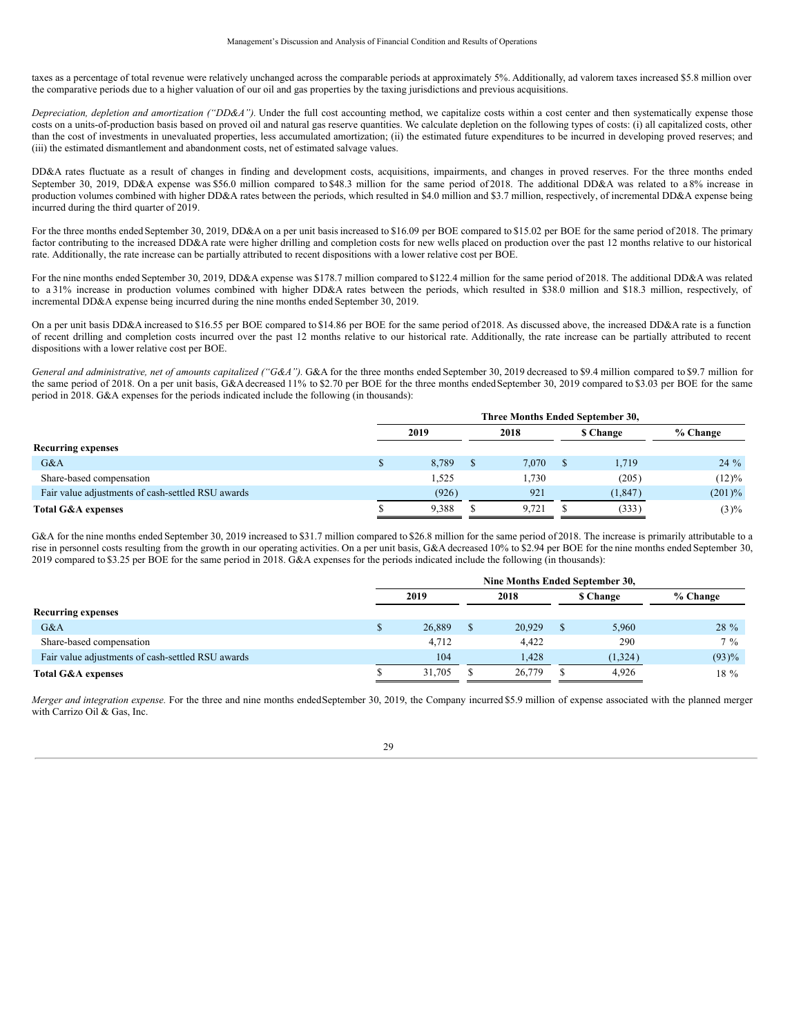taxes as a percentage of total revenue were relatively unchanged across the comparable periods at approximately 5%. Additionally, ad valorem taxes increased \$5.8 million over the comparative periods due to a higher valuation of our oil and gas properties by the taxing jurisdictions and previous acquisitions.

*Depreciation, depletion and amortization ("DD&A").* Under the full cost accounting method, we capitalize costs within a cost center and then systematically expense those costs on a units-of-production basis based on proved oil and natural gas reserve quantities. We calculate depletion on the following types of costs: (i) all capitalized costs, other than the cost of investments in unevaluated properties, less accumulated amortization; (ii) the estimated future expenditures to be incurred in developing proved reserves; and (iii) the estimated dismantlement and abandonment costs, net of estimated salvage values.

DD&A rates fluctuate as a result of changes in finding and development costs, acquisitions, impairments, and changes in proved reserves. For the three months ended September 30, 2019, DD&A expense was \$56.0 million compared to \$48.3 million for the same period of 2018. The additional DD&A was related to a 8% increase in production volumes combined with higher DD&A rates between the periods, which resulted in \$4.0 million and \$3.7 million, respectively, of incremental DD&A expense being incurred during the third quarter of 2019.

For the three months ended September 30, 2019, DD&A on a per unit basis increased to \$16.09 per BOE compared to \$15.02 per BOE for the same period of 2018. The primary factor contributing to the increased DD&A rate were higher drilling and completion costs for new wells placed on production over the past 12 months relative to our historical rate. Additionally, the rate increase can be partially attributed to recent dispositions with a lower relative cost per BOE.

For the nine months ended September 30, 2019, DD&A expense was \$178.7 million compared to \$122.4 million for the same period of 2018. The additional DD&A was related to a 31% increase in production volumes combined with higher DD&A rates between the periods, which resulted in \$38.0 million and \$18.3 million, respectively, of incremental DD&A expense being incurred during the nine months ended September 30, 2019.

On a per unit basis DD&A increased to \$16.55 per BOE compared to \$14.86 per BOE for the same period of 2018. As discussed above, the increased DD&A rate is a function of recent drilling and completion costs incurred over the past 12 months relative to our historical rate. Additionally, the rate increase can be partially attributed to recent dispositions with a lower relative cost per BOE.

*General and administrative, net of amounts capitalized ("G&A").* G&A for the three months ended September 30, 2019 decreased to \$9.4 million compared to \$9.7 million for the same period of 2018. On a per unit basis, G&A decreased 11% to \$2.70 per BOE for the three months ended September 30, 2019 compared to \$3.03 per BOE for the same period in 2018. G&A expenses for the periods indicated include the following (in thousands):

|                                                   | Three Months Ended September 30, |  |       |  |           |            |  |  |  |  |  |
|---------------------------------------------------|----------------------------------|--|-------|--|-----------|------------|--|--|--|--|--|
|                                                   | 2019                             |  | 2018  |  | \$ Change | $%$ Change |  |  |  |  |  |
| <b>Recurring expenses</b>                         |                                  |  |       |  |           |            |  |  |  |  |  |
| G&A                                               | 8.789                            |  | 7.070 |  | 1,719     | $24\%$     |  |  |  |  |  |
| Share-based compensation                          | 1,525                            |  | 1.730 |  | (205)     | $(12)\%$   |  |  |  |  |  |
| Fair value adjustments of cash-settled RSU awards | (926)                            |  | 921   |  | (1, 847)  | $(201)\%$  |  |  |  |  |  |
| <b>Total G&amp;A expenses</b>                     | 9.388                            |  | 9.721 |  | (333)     | $(3)\%$    |  |  |  |  |  |

G&A for the nine months ended September 30, 2019 increased to \$31.7 million compared to \$26.8 million for the same period of 2018. The increase is primarily attributable to a rise in personnel costs resulting from the growth in our operating activities. On a per unit basis, G&A decreased 10% to \$2.94 per BOE for the nine months ended September 30, 2019 compared to \$3.25 per BOE for the same period in 2018. G&A expenses for the periods indicated include the following (in thousands):

|                                                   |   | Nine Months Ended September 30, |  |        |  |                 |          |  |  |  |  |  |
|---------------------------------------------------|---|---------------------------------|--|--------|--|-----------------|----------|--|--|--|--|--|
|                                                   |   | 2019                            |  | 2018   |  | <b>S</b> Change | % Change |  |  |  |  |  |
| <b>Recurring expenses</b>                         |   |                                 |  |        |  |                 |          |  |  |  |  |  |
| G&A                                               | D | 26,889                          |  | 20,929 |  | 5,960           | $28 \%$  |  |  |  |  |  |
| Share-based compensation                          |   | 4.712                           |  | 4.422  |  | 290             | $7\%$    |  |  |  |  |  |
| Fair value adjustments of cash-settled RSU awards |   | 104                             |  | 1.428  |  | (1, 324)        | (93)%    |  |  |  |  |  |
| <b>Total G&amp;A expenses</b>                     |   | 31.705                          |  | 26,779 |  | 4.926           | 18 %     |  |  |  |  |  |

*Merger and integration expense*. For the three and nine months endedSeptember 30, 2019, the Company incurred \$5.9 million of expense associated with the planned merger with Carrizo Oil & Gas, Inc.

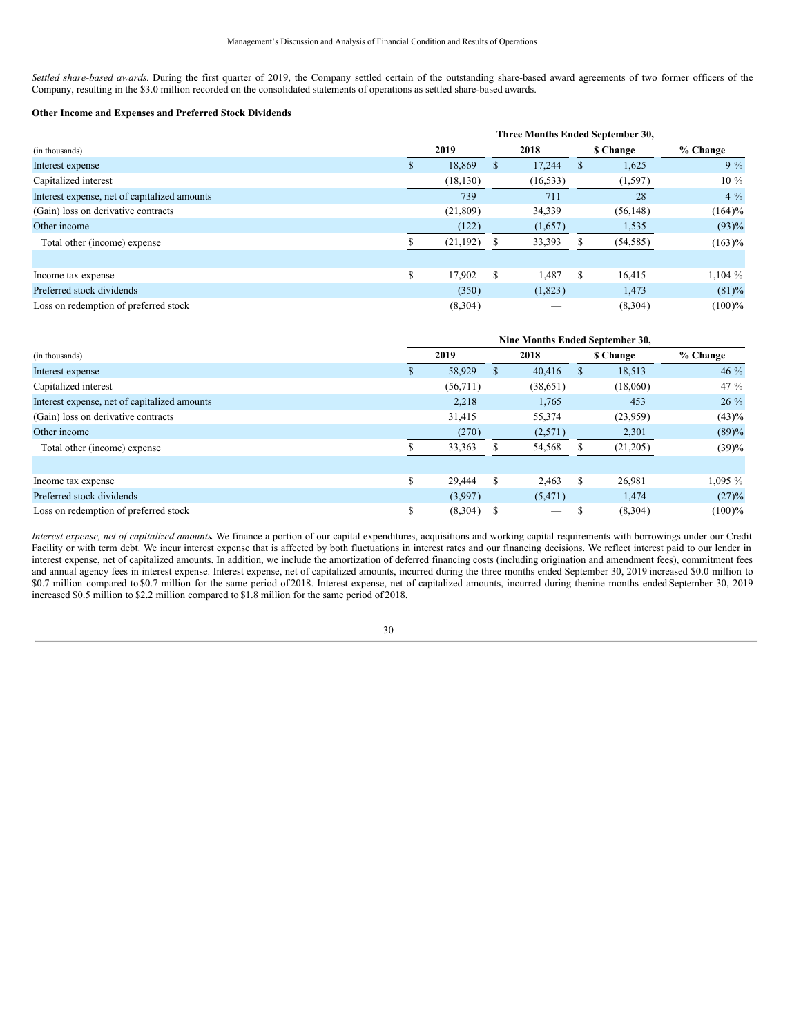*Settled share-based awards.* During the first quarter of 2019, the Company settled certain of the outstanding share-based award agreements of two former officers of the Company, resulting in the \$3.0 million recorded on the consolidated statements of operations as settled share-based awards.

### **Other Income and Expenses and Preferred Stock Dividends**

|                                              |    | Three Months Ended September 30, |               |           |   |           |            |  |  |  |  |  |
|----------------------------------------------|----|----------------------------------|---------------|-----------|---|-----------|------------|--|--|--|--|--|
| (in thousands)                               |    | 2019                             |               | 2018      |   | \$ Change | $%$ Change |  |  |  |  |  |
| Interest expense                             | D. | 18,869                           | ъ             | 17,244    | Ф | 1,625     | $9\%$      |  |  |  |  |  |
| Capitalized interest                         |    | (18, 130)                        |               | (16, 533) |   | (1, 597)  | $10\%$     |  |  |  |  |  |
| Interest expense, net of capitalized amounts |    | 739                              |               | 711       |   | 28        | $4\%$      |  |  |  |  |  |
| (Gain) loss on derivative contracts          |    | (21, 809)                        |               | 34,339    |   | (56, 148) | (164)%     |  |  |  |  |  |
| Other income                                 |    | (122)                            |               | (1,657)   |   | 1,535     | (93)%      |  |  |  |  |  |
| Total other (income) expense                 |    | (21, 192)                        |               | 33,393    |   | (54, 585) | (163)%     |  |  |  |  |  |
|                                              |    |                                  |               |           |   |           |            |  |  |  |  |  |
| Income tax expense                           | \$ | 17.902                           | <sup>\$</sup> | l.487     | S | 16,415    | 1,104%     |  |  |  |  |  |
| Preferred stock dividends                    |    | (350)                            |               | (1,823)   |   | 1,473     | $(81) \%$  |  |  |  |  |  |
| Loss on redemption of preferred stock        |    | (8,304)                          |               |           |   | (8,304)   | $(100)\%$  |  |  |  |  |  |

|                                              |    | Nine Months Ended September 30, |               |           |    |           |            |  |  |  |  |
|----------------------------------------------|----|---------------------------------|---------------|-----------|----|-----------|------------|--|--|--|--|
| (in thousands)                               |    | 2019                            |               | 2018      |    | \$ Change | $%$ Change |  |  |  |  |
| Interest expense                             | ъ  | 58,929                          | <b>S</b>      | 40,416    | \$ | 18,513    | $46\%$     |  |  |  |  |
| Capitalized interest                         |    | (56,711)                        |               | (38, 651) |    | (18,060)  | 47 $%$     |  |  |  |  |
| Interest expense, net of capitalized amounts |    | 2,218                           |               | 1,765     |    | 453       | $26\%$     |  |  |  |  |
| (Gain) loss on derivative contracts          |    | 31,415                          |               | 55,374    |    | (23,959)  | $(43)\%$   |  |  |  |  |
| Other income                                 |    | (270)                           |               | (2,571)   |    | 2,301     | (89)%      |  |  |  |  |
| Total other (income) expense                 |    | 33,363                          |               | 54,568    |    | (21,205)  | (39)%      |  |  |  |  |
|                                              |    |                                 |               |           |    |           |            |  |  |  |  |
| Income tax expense                           | \$ | 29,444                          | <sup>\$</sup> | 2.463     | \$ | 26.981    | $1,095\%$  |  |  |  |  |
| Preferred stock dividends                    |    | (3,997)                         |               | (5,471)   |    | 1,474     | (27)%      |  |  |  |  |
| Loss on redemption of preferred stock        | \$ | (8,304)                         |               |           |    | (8,304)   | $(100)\%$  |  |  |  |  |

*Interest expense, net of capitalized amounts.* We finance a portion of our capital expenditures, acquisitions and working capital requirements with borrowings under our Credit Facility or with term debt. We incur interest expense that is affected by both fluctuations in interest rates and our financing decisions. We reflect interest paid to our lender in interest expense, net of capitalized amounts. In addition, we include the amortization of deferred financing costs (including origination and amendment fees), commitment fees and annual agency fees in interest expense. Interest expense, net of capitalized amounts, incurred during the three months ended September 30, 2019 increased \$0.0 million to \$0.7 million compared to \$0.7 million for the same period of 2018. Interest expense, net of capitalized amounts, incurred during thenine months ended September 30, 2019 increased \$0.5 million to \$2.2 million compared to \$1.8 million for the same period of 2018.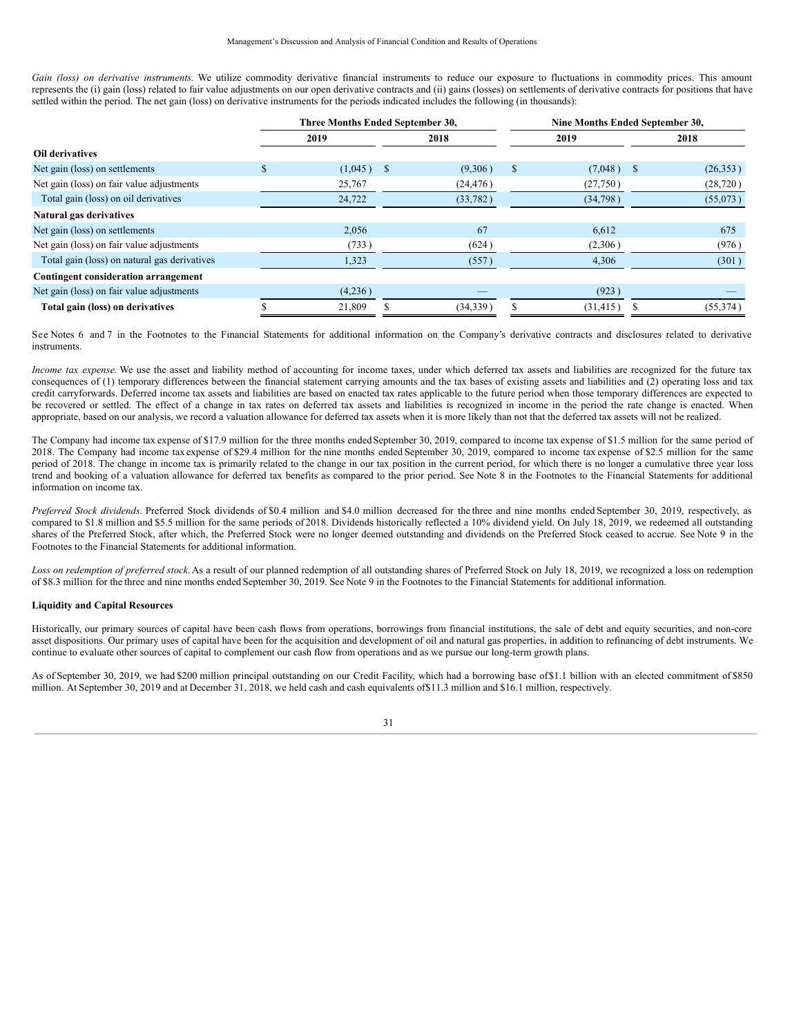*Gain (loss) on derivative instruments.* We utilize commodity derivative financial instruments to reduce our exposure to fluctuations in commodity prices. This amount represents the (i) gain (loss) related to fair value adjustments on our open derivative contracts and (ii) gains (losses) on settlements of derivative contracts for positions that have settled within the period. The net gain (loss) on derivative instruments for the periods indicated includes the following (in thousands):

|                                              | Three Months Ended September 30, |          |           | Nine Months Ended September 30, |           |               |           |  |
|----------------------------------------------|----------------------------------|----------|-----------|---------------------------------|-----------|---------------|-----------|--|
|                                              | 2019                             |          | 2018      |                                 | 2019      |               | 2018      |  |
| Oil derivatives                              |                                  |          |           |                                 |           |               |           |  |
| Net gain (loss) on settlements               | \$<br>(1,045)                    | <b>S</b> | (9,306)   | $\mathbb{S}$                    | (7,048)   | <sup>\$</sup> | (26,353)  |  |
| Net gain (loss) on fair value adjustments    | 25,767                           |          | (24, 476) |                                 | (27,750)  |               | (28, 720) |  |
| Total gain (loss) on oil derivatives         | 24,722                           |          | (33, 782) |                                 | (34,798)  |               | (55,073)  |  |
| Natural gas derivatives                      |                                  |          |           |                                 |           |               |           |  |
| Net gain (loss) on settlements               | 2,056                            |          | 67        |                                 | 6,612     |               | 675       |  |
| Net gain (loss) on fair value adjustments    | (733)                            |          | (624)     |                                 | (2,306)   |               | (976)     |  |
| Total gain (loss) on natural gas derivatives | 1,323                            |          | (557)     |                                 | 4,306     |               | (301)     |  |
| <b>Contingent consideration arrangement</b>  |                                  |          |           |                                 |           |               |           |  |
| Net gain (loss) on fair value adjustments    | (4,236)                          |          |           |                                 | (923)     |               |           |  |
| Total gain (loss) on derivatives             | 21,809                           |          | (34, 339) |                                 | (31, 415) |               | (55, 374) |  |

See Notes 6 and 7 in the Footnotes to the Financial Statements for additional information on the Company's derivative contracts and disclosures related to derivative instruments.

*Income tax expense*. We use the asset and liability method of accounting for income taxes, under which deferred tax assets and liabilities are recognized for the future tax consequences of (1) temporary differences between the financial statement carrying amounts and the tax bases of existing assets and liabilities and (2) operating loss and tax credit carryforwards. Deferred income tax assets and liabilities are based on enacted tax rates applicable to the future period when those temporary differences are expected to be recovered or settled. The effect of a change in tax rates on deferred tax assets and liabilities is recognized in income in the period the rate change is enacted. When appropriate, based on our analysis, we record a valuation allowance for deferred tax assets when it is more likely than not that the deferred tax assets will not be realized.

The Company had income tax expense of \$17.9 million for the three months ended September 30, 2019, compared to income tax expense of \$1.5 million for the same period of 2018. The Company had income tax expense of \$29.4 million for the nine months ended September 30, 2019, compared to income tax expense of \$2.5 million for the same period of 2018. The change in income tax is primarily related to the change in our tax position in the current period, for which there is no longer a cumulative three year loss trend and booking of a valuation allowance for deferred tax benefits as compared to the prior period. See Note 8 in the Footnotes to the Financial Statements for additional information on income tax.

*Preferred Stock dividends.* Preferred Stock dividends of \$0.4 million and \$4.0 million decreased for the three and nine months ended September 30, 2019, respectively, as compared to \$1.8 million and \$5.5 million for the same periods of 2018. Dividends historically reflected a 10% dividend yield. On July 18, 2019, we redeemed all outstanding shares of the Preferred Stock, after which, the Preferred Stock were no longer deemed outstanding and dividends on the Preferred Stock ceased to accrue. See Note 9 in the Footnotes to the Financial Statements for additional information.

Loss on redemption of preferred stock. As a result of our planned redemption of all outstanding shares of Preferred Stock on July 18, 2019, we recognized a loss on redemption of \$8.3 million for the three and nine months ended September 30, 2019. See Note 9 in the Footnotes to the Financial Statements for additional information.

### **Liquidity and Capital Resources**

Historically, our primary sources of capital have been cash flows from operations, borrowings from financial institutions, the sale of debt and equity securities, and non-core asset dispositions. Our primary uses of capital have been for the acquisition and development of oil and natural gas properties, in addition to refinancing of debt instruments. We continue to evaluate other sources of capital to complement our cash flow from operations and as we pursue our long-term growth plans.

As of September 30, 2019, we had \$200 million principal outstanding on our Credit Facility, which had a borrowing base of\$1.1 billion with an elected commitment of \$850 million. At September 30, 2019 and at December 31, 2018, we held cash and cash equivalents of\$11.3 million and \$16.1 million, respectively.

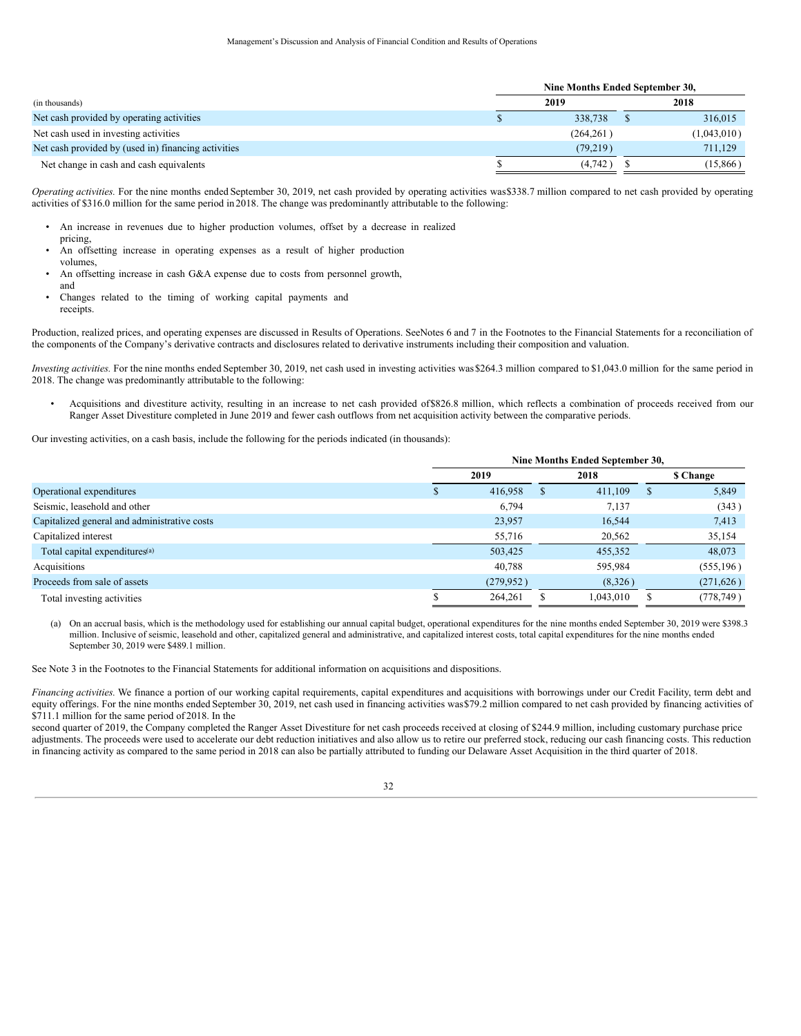|                                                     |            | Nine Months Ended September 30, |             |  |  |
|-----------------------------------------------------|------------|---------------------------------|-------------|--|--|
| (in thousands)                                      | 2019       |                                 | 2018        |  |  |
| Net cash provided by operating activities           | 338,738    |                                 | 316,015     |  |  |
| Net cash used in investing activities               | (264, 261) |                                 | (1,043,010) |  |  |
| Net cash provided by (used in) financing activities | (79,219)   |                                 | 711,129     |  |  |
| Net change in cash and cash equivalents             | (4,742)    |                                 | (15, 866)   |  |  |

*Operating activities.* For the nine months ended September 30, 2019, net cash provided by operating activities was\$338.7 million compared to net cash provided by operating activities of \$316.0 million for the same period in 2018. The change was predominantly attributable to the following:

- An increase in revenues due to higher production volumes, offset by a decrease in realized pricing,
- An offsetting increase in operating expenses as a result of higher production
- volumes, An offsetting increase in cash G&A expense due to costs from personnel growth,
- and
- Changes related to the timing of working capital payments and receipts.

Production, realized prices, and operating expenses are discussed in Results of Operations. SeeNotes 6 and 7 in the Footnotes to the Financial Statements for a reconciliation of the components of the Company's derivative contracts and disclosures related to derivative instruments including their composition and valuation.

*Investing activities.* For the nine months ended September 30, 2019, net cash used in investing activities was\$264.3 million compared to \$1,043.0 million for the same period in 2018. The change was predominantly attributable to the following:

• Acquisitions and divestiture activity, resulting in an increase to net cash provided of\$826.8 million, which reflects a combination of proceeds received from our Ranger Asset Divestiture completed in June 2019 and fewer cash outflows from net acquisition activity between the comparative periods.

Our investing activities, on a cash basis, include the following for the periods indicated (in thousands):

|                                              | Nine Months Ended September 30, |            |          |           |           |            |
|----------------------------------------------|---------------------------------|------------|----------|-----------|-----------|------------|
|                                              | 2019                            |            | 2018     |           | \$ Change |            |
| Operational expenditures                     | ъ                               | 416,958    | <b>S</b> | 411,109   |           | 5,849      |
| Seismic, leasehold and other                 |                                 | 6,794      |          | 7,137     |           | (343)      |
| Capitalized general and administrative costs |                                 | 23,957     |          | 16,544    |           | 7,413      |
| Capitalized interest                         |                                 | 55,716     |          | 20,562    |           | 35,154     |
| Total capital expenditures <sup>(a)</sup>    |                                 | 503,425    |          | 455,352   |           | 48,073     |
| Acquisitions                                 |                                 | 40,788     |          | 595,984   |           | (555, 196) |
| Proceeds from sale of assets                 |                                 | (279, 952) |          | (8,326)   |           | (271, 626) |
| Total investing activities                   |                                 | 264,261    |          | 1,043,010 |           | (778, 749) |

(a) On an accrual basis, which is the methodology used for establishing our annual capital budget, operational expenditures for the nine months ended September 30, 2019 were \$398.3 million. Inclusive of seismic, leasehold and other, capitalized general and administrative, and capitalized interest costs, total capital expenditures for the nine months ended September 30, 2019 were \$489.1 million.

See Note 3 in the Footnotes to the Financial Statements for additional information on acquisitions and dispositions.

*Financing activities.* We finance a portion of our working capital requirements, capital expenditures and acquisitions with borrowings under our Credit Facility, term debt and equity offerings. For the nine months ended September 30, 2019, net cash used in financing activities was \$79.2 million compared to net cash provided by financing activities of \$711.1 million for the same period of 2018. In the

second quarter of 2019, the Company completed the Ranger Asset Divestiture for net cash proceeds received at closing of \$244.9 million, including customary purchase price adjustments. The proceeds were used to accelerate our debt reduction initiatives and also allow us to retire our preferred stock, reducing our cash financing costs. This reduction in financing activity as compared to the same period in 2018 can also be partially attributed to funding our Delaware Asset Acquisition in the third quarter of 2018.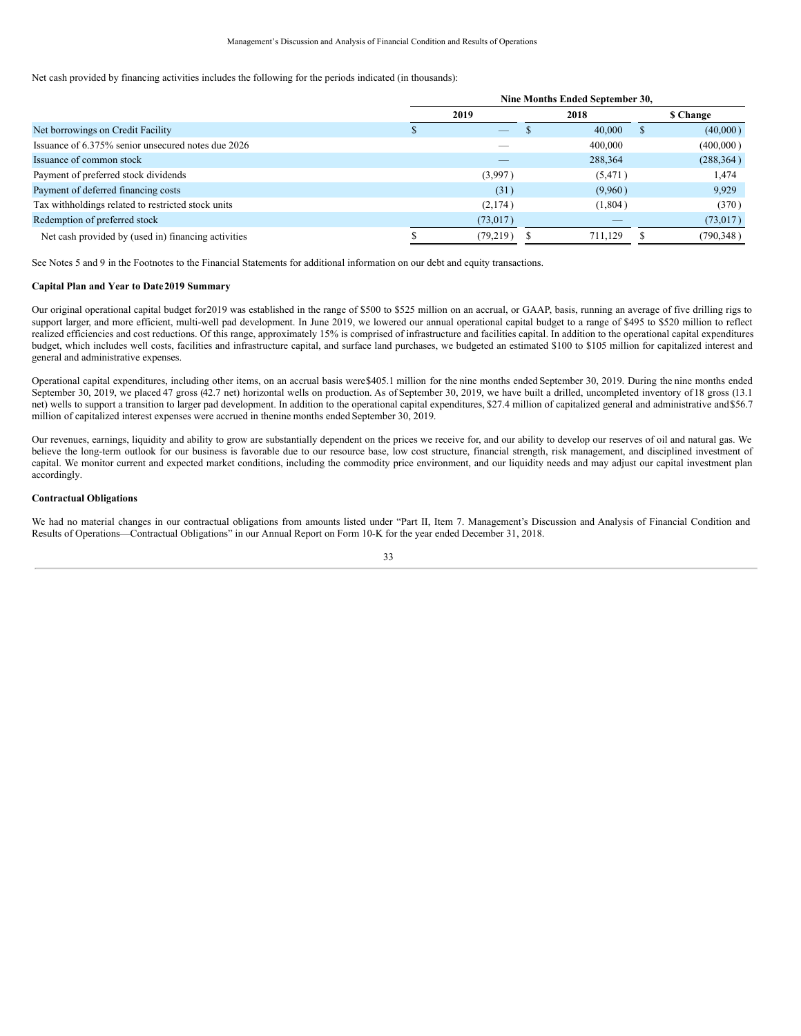Net cash provided by financing activities includes the following for the periods indicated (in thousands):

|                                                     | Nine Months Ended September 30, |           |      |          |              |            |
|-----------------------------------------------------|---------------------------------|-----------|------|----------|--------------|------------|
|                                                     | 2019                            |           | 2018 |          | \$ Change    |            |
| Net borrowings on Credit Facility                   |                                 |           |      | 40,000   | $\mathbf{r}$ | (40,000)   |
| Issuance of 6.375% senior unsecured notes due 2026  |                                 |           |      | 400,000  |              | (400,000)  |
| Issuance of common stock                            |                                 |           |      | 288,364  |              | (288, 364) |
| Payment of preferred stock dividends                |                                 | (3,997)   |      | (5, 471) |              | 1,474      |
| Payment of deferred financing costs                 |                                 | (31)      |      | (9,960)  |              | 9,929      |
| Tax withholdings related to restricted stock units  |                                 | (2,174)   |      | (1,804)  |              | (370)      |
| Redemption of preferred stock                       |                                 | (73, 017) |      |          |              | (73,017)   |
| Net cash provided by (used in) financing activities |                                 | (79, 219) |      | 711.129  |              | (790, 348) |

See Notes 5 and 9 in the Footnotes to the Financial Statements for additional information on our debt and equity transactions.

### **Capital Plan and Year to Date2019 Summary**

Our original operational capital budget for2019 was established in the range of \$500 to \$525 million on an accrual, or GAAP, basis, running an average of five drilling rigs to support larger, and more efficient, multi-well pad development. In June 2019, we lowered our annual operational capital budget to a range of \$495 to \$520 million to reflect realized efficiencies and cost reductions. Of this range, approximately 15% is comprised of infrastructure and facilities capital. In addition to the operational capital expenditures budget, which includes well costs, facilities and infrastructure capital, and surface land purchases, we budgeted an estimated \$100 to \$105 million for capitalized interest and general and administrative expenses.

Operational capital expenditures, including other items, on an accrual basis were\$405.1 million for the nine months ended September 30, 2019. During the nine months ended September 30, 2019, we placed 47 gross (42.7 net) horizontal wells on production. As of September 30, 2019, we have built a drilled, uncompleted inventory of18 gross (13.1 net) wells to support a transition to larger pad development. In addition to the operational capital expenditures, \$27.4 million of capitalized general and administrative and\$56.7 million of capitalized interest expenses were accrued in thenine months ended September 30, 2019.

Our revenues, earnings, liquidity and ability to grow are substantially dependent on the prices we receive for, and our ability to develop our reserves of oil and natural gas. We believe the long-term outlook for our business is favorable due to our resource base, low cost structure, financial strength, risk management, and disciplined investment of capital. We monitor current and expected market conditions, including the commodity price environment, and our liquidity needs and may adjust our capital investment plan accordingly.

### **Contractual Obligations**

We had no material changes in our contractual obligations from amounts listed under "Part II, Item 7. Management's Discussion and Analysis of Financial Condition and Results of Operations—Contractual Obligations" in our Annual Report on Form 10-K for the year ended December 31, 2018.

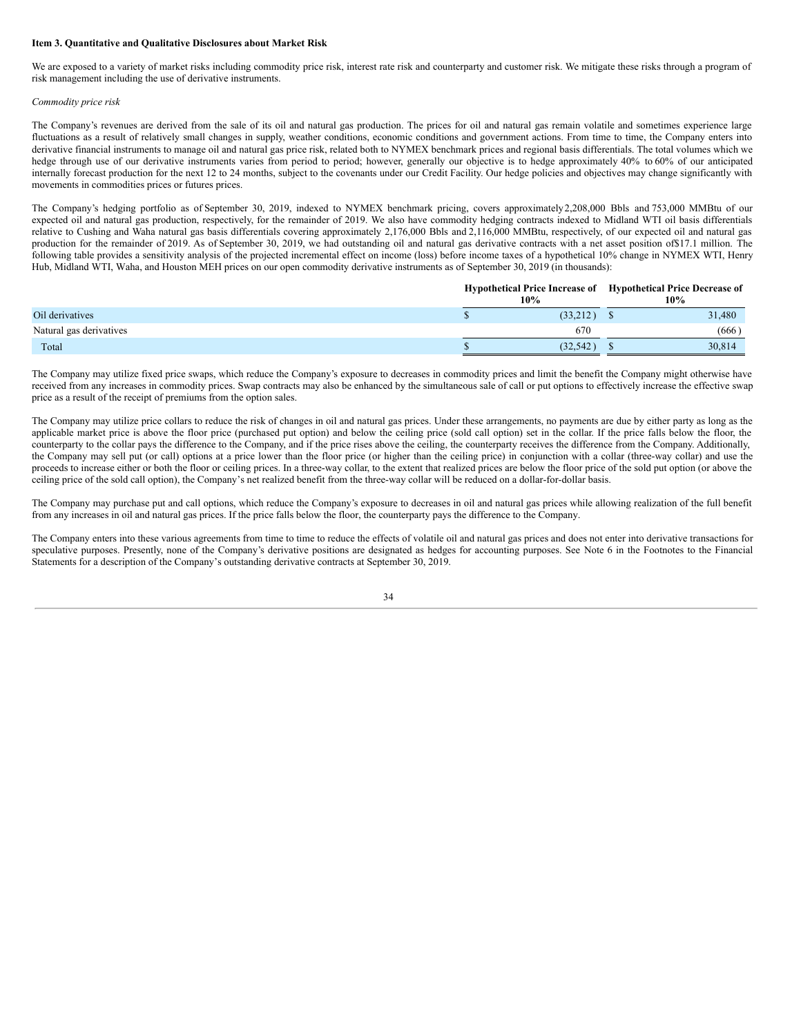### **Item 3. Quantitative and Qualitative Disclosures about Market Risk**

We are exposed to a variety of market risks including commodity price risk, interest rate risk and counterparty and customer risk. We mitigate these risks through a program of risk management including the use of derivative instruments.

### *Commodity price risk*

The Company's revenues are derived from the sale of its oil and natural gas production. The prices for oil and natural gas remain volatile and sometimes experience large fluctuations as a result of relatively small changes in supply, weather conditions, economic conditions and government actions. From time to time, the Company enters into derivative financial instruments to manage oil and natural gas price risk, related both to NYMEX benchmark prices and regional basis differentials. The total volumes which we hedge through use of our derivative instruments varies from period to period; however, generally our objective is to hedge approximately 40% to 60% of our anticipated internally forecast production for the next 12 to 24 months, subject to the covenants under our Credit Facility. Our hedge policies and objectives may change significantly with movements in commodities prices or futures prices.

The Company's hedging portfolio as of September 30, 2019, indexed to NYMEX benchmark pricing, covers approximately2,208,000 Bbls and 753,000 MMBtu of our expected oil and natural gas production, respectively, for the remainder of 2019. We also have commodity hedging contracts indexed to Midland WTI oil basis differentials relative to Cushing and Waha natural gas basis differentials covering approximately 2,176,000 Bbls and 2,116,000 MMBtu, respectively, of our expected oil and natural gas production for the remainder of 2019. As of September 30, 2019, we had outstanding oil and natural gas derivative contracts with a net asset position of\$17.1 million. The following table provides a sensitivity analysis of the projected incremental effect on income (loss) before income taxes of a hypothetical 10% change in NYMEX WTI, Henry Hub, Midland WTI, Waha, and Houston MEH prices on our open commodity derivative instruments as of September 30, 2019 (in thousands):

|                         |  | 10%       | Hypothetical Price Increase of Hypothetical Price Decrease of<br>10% |  |  |
|-------------------------|--|-----------|----------------------------------------------------------------------|--|--|
| Oil derivatives         |  | (33,212)  | 31,480                                                               |  |  |
| Natural gas derivatives |  | 670       | (666)                                                                |  |  |
| Total                   |  | (32, 542) | 30.814                                                               |  |  |

The Company may utilize fixed price swaps, which reduce the Company's exposure to decreases in commodity prices and limit the benefit the Company might otherwise have received from any increases in commodity prices. Swap contracts may also be enhanced by the simultaneous sale of call or put options to effectively increase the effective swap price as a result of the receipt of premiums from the option sales.

The Company may utilize price collars to reduce the risk of changes in oil and natural gas prices. Under these arrangements, no payments are due by either party as long as the applicable market price is above the floor price (purchased put option) and below the ceiling price (sold call option) set in the collar. If the price falls below the floor, the counterparty to the collar pays the difference to the Company, and if the price rises above the ceiling, the counterparty receives the difference from the Company. Additionally, the Company may sell put (or call) options at a price lower than the floor price (or higher than the ceiling price) in conjunction with a collar (three-way collar) and use the proceeds to increase either or both the floor or ceiling prices. In a three-way collar, to the extent that realized prices are below the floor price of the sold put option (or above the ceiling price of the sold call option), the Company's net realized benefit from the three-way collar will be reduced on a dollar-for-dollar basis.

The Company may purchase put and call options, which reduce the Company's exposure to decreases in oil and natural gas prices while allowing realization of the full benefit from any increases in oil and natural gas prices. If the price falls below the floor, the counterparty pays the difference to the Company.

The Company enters into these various agreements from time to time to reduce the effects of volatile oil and natural gas prices and does not enter into derivative transactions for speculative purposes. Presently, none of the Company's derivative positions are designated as hedges for accounting purposes. See Note 6 in the Footnotes to the Financial Statements for a description of the Company's outstanding derivative contracts at September 30, 2019.

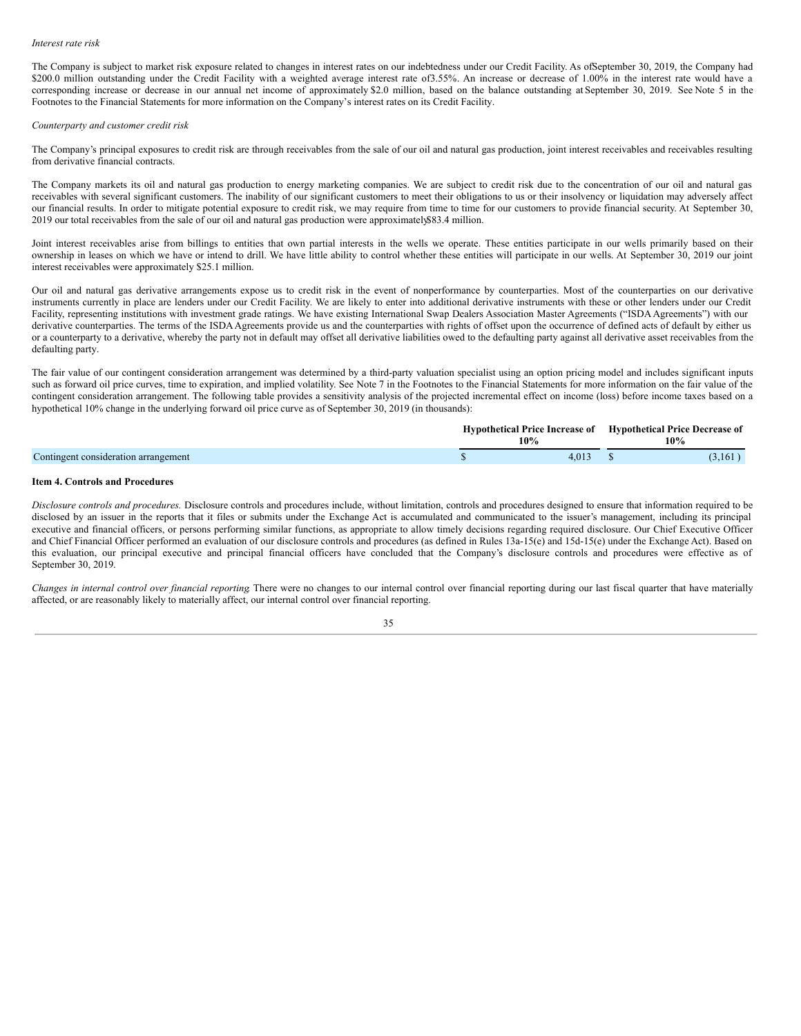#### *Interest rate risk*

The Company is subject to market risk exposure related to changes in interest rates on our indebtedness under our Credit Facility. As ofSeptember 30, 2019, the Company had \$200.0 million outstanding under the Credit Facility with a weighted average interest rate of 3.55%. An increase or decrease of 1.00% in the interest rate would have a corresponding increase or decrease in our annual net income of approximately \$2.0 million, based on the balance outstanding at September 30, 2019. See Note 5 in the Footnotes to the Financial Statements for more information on the Company's interest rates on its Credit Facility.

#### *Counterparty and customer credit risk*

The Company's principal exposures to credit risk are through receivables from the sale of our oil and natural gas production, joint interest receivables and receivables resulting from derivative financial contracts.

The Company markets its oil and natural gas production to energy marketing companies. We are subject to credit risk due to the concentration of our oil and natural gas receivables with several significant customers. The inability of our significant customers to meet their obligations to us or their insolvency or liquidation may adversely affect our financial results. In order to mitigate potential exposure to credit risk, we may require from time to time for our customers to provide financial security. At September 30, 2019 our total receivables from the sale of our oil and natural gas production were approximately\$83.4 million.

Joint interest receivables arise from billings to entities that own partial interests in the wells we operate. These entities participate in our wells primarily based on their ownership in leases on which we have or intend to drill. We have little ability to control whether these entities will participate in our wells. At September 30, 2019 our joint interest receivables were approximately \$25.1 million.

Our oil and natural gas derivative arrangements expose us to credit risk in the event of nonperformance by counterparties. Most of the counterparties on our derivative instruments currently in place are lenders under our Credit Facility. We are likely to enter into additional derivative instruments with these or other lenders under our Credit Facility, representing institutions with investment grade ratings. We have existing International Swap Dealers Association Master Agreements ("ISDA Agreements") with our derivative counterparties. The terms of the ISDA Agreements provide us and the counterparties with rights of offset upon the occurrence of defined acts of default by either us or a counterparty to a derivative, whereby the party not in default may offset all derivative liabilities owed to the defaulting party against all derivative asset receivables from the defaulting party.

The fair value of our contingent consideration arrangement was determined by a third-party valuation specialist using an option pricing model and includes significant inputs such as forward oil price curves, time to expiration, and implied volatility. See Note 7 in the Footnotes to the Financial Statements for more information on the fair value of the contingent consideration arrangement. The following table provides a sensitivity analysis of the projected incremental effect on income (loss) before income taxes based on a hypothetical 10% change in the underlying forward oil price curve as of September 30, 2019 (in thousands):

|                                      | 10% |       | <b>Hypothetical Price Increase of Hypothetical Price Decrease of</b><br>10% |          |  |
|--------------------------------------|-----|-------|-----------------------------------------------------------------------------|----------|--|
| Contingent consideration arrangement |     | 4.013 |                                                                             | (3, 161) |  |

### **Item 4. Controls and Procedures**

*Disclosure controls and procedures.* Disclosure controls and procedures include, without limitation, controls and procedures designed to ensure that information required to be disclosed by an issuer in the reports that it files or submits under the Exchange Act is accumulated and communicated to the issuer's management, including its principal executive and financial officers, or persons performing similar functions, as appropriate to allow timely decisions regarding required disclosure. Our Chief Executive Officer and Chief Financial Officer performed an evaluation of our disclosure controls and procedures (as defined in Rules 13a-15(e) and 15d-15(e) under the Exchange Act). Based on this evaluation, our principal executive and principal financial officers have concluded that the Company's disclosure controls and procedures were effective as of September 30, 2019.

Changes in internal control over financial reporting. There were no changes to our internal control over financial reporting during our last fiscal quarter that have materially affected, or are reasonably likely to materially affect, our internal control over financial reporting.

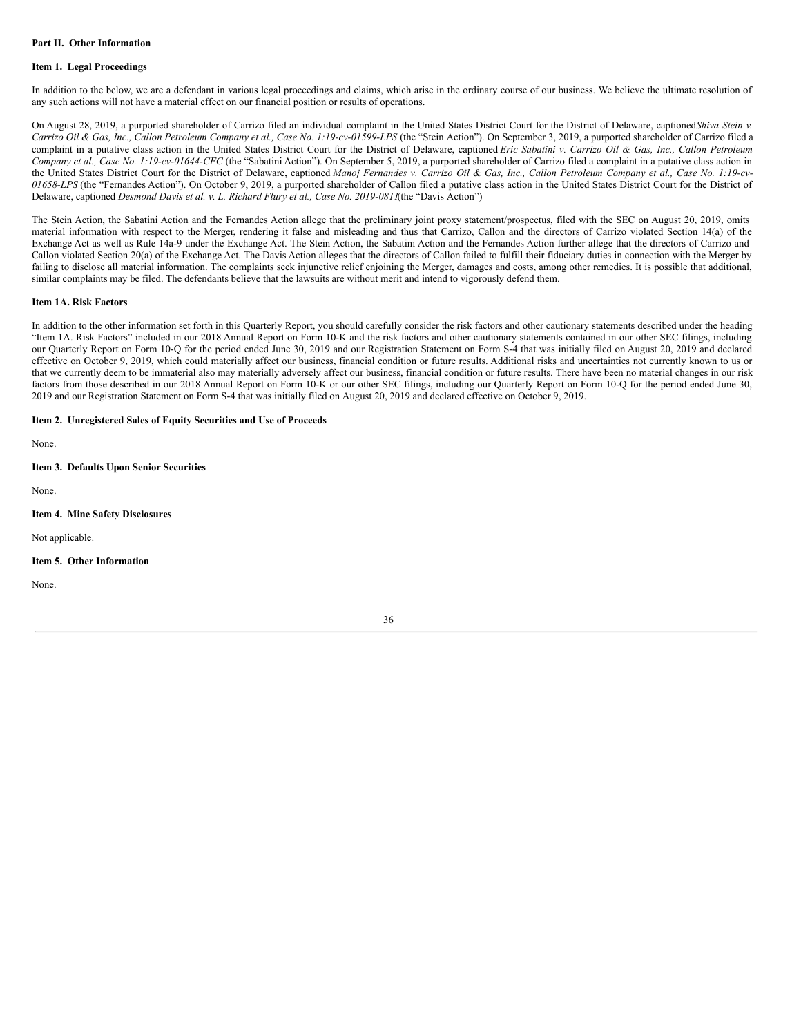### **Part II. Other Information**

### **Item 1. Legal Proceedings**

In addition to the below, we are a defendant in various legal proceedings and claims, which arise in the ordinary course of our business. We believe the ultimate resolution of any such actions will not have a material effect on our financial position or results of operations.

On August 28, 2019, a purported shareholder of Carrizo filed an individual complaint in the United States District Court for the District of Delaware, captioned*Shiva Stein v.* Carrizo Oil & Gas, Inc., Callon Petroleum Company et al., Case No. 1:19-cv-01599-LPS (the "Stein Action"). On September 3, 2019, a purported shareholder of Carrizo filed a complaint in a putative class action in the United States District Court for the District of Delaware, captioned Eric Sabatini v. Carrizo Oil & Gas, Inc., Callon Petroleum *Company et al., Case No. 1:19-cv-01644-CFC* (the "Sabatini Action"). On September 5, 2019, a purported shareholder of Carrizo filed a complaint in a putative class action in the United States District Court for the District of Delaware, captioned Manoj Fernandes v. Carrizo Oil & Gas, Inc., Callon Petroleum Company et al., Case No. 1:19-cv-*01658-LPS* (the "Fernandes Action"). On October 9, 2019, a purported shareholder of Callon filed a putative class action in the United States District Court for the District of Delaware, captioned *Desmond Davis et al. v. L. Richard Flury et al., Case No. 2019-0811*(the "Davis Action")

The Stein Action, the Sabatini Action and the Fernandes Action allege that the preliminary joint proxy statement/prospectus, filed with the SEC on August 20, 2019, omits material information with respect to the Merger, rendering it false and misleading and thus that Carrizo, Callon and the directors of Carrizo violated Section 14(a) of the Exchange Act as well as Rule 14a-9 under the Exchange Act. The Stein Action, the Sabatini Action and the Fernandes Action further allege that the directors of Carrizo and Callon violated Section 20(a) of the Exchange Act. The Davis Action alleges that the directors of Callon failed to fulfill their fiduciary duties in connection with the Merger by failing to disclose all material information. The complaints seek injunctive relief enjoining the Merger, damages and costs, among other remedies. It is possible that additional, similar complaints may be filed. The defendants believe that the lawsuits are without merit and intend to vigorously defend them.

#### **Item 1A. Risk Factors**

In addition to the other information set forth in this Quarterly Report, you should carefully consider the risk factors and other cautionary statements described under the heading "Item 1A. Risk Factors" included in our 2018 Annual Report on Form 10-K and the risk factors and other cautionary statements contained in our other SEC filings, including our Quarterly Report on Form 10-Q for the period ended June 30, 2019 and our Registration Statement on Form S-4 that was initially filed on August 20, 2019 and declared effective on October 9, 2019, which could materially affect our business, financial condition or future results. Additional risks and uncertainties not currently known to us or that we currently deem to be immaterial also may materially adversely affect our business, financial condition or future results. There have been no material changes in our risk factors from those described in our 2018 Annual Report on Form 10-K or our other SEC filings, including our Quarterly Report on Form 10-Q for the period ended June 30, 2019 and our Registration Statement on Form S-4 that was initially filed on August 20, 2019 and declared effective on October 9, 2019.

### **Item 2. Unregistered Sales of Equity Securities and Use of Proceeds**

None.

### **Item 3. Defaults Upon Senior Securities**

None.

### **Item 4. Mine Safety Disclosures**

Not applicable.

#### **Item 5. Other Information**

None.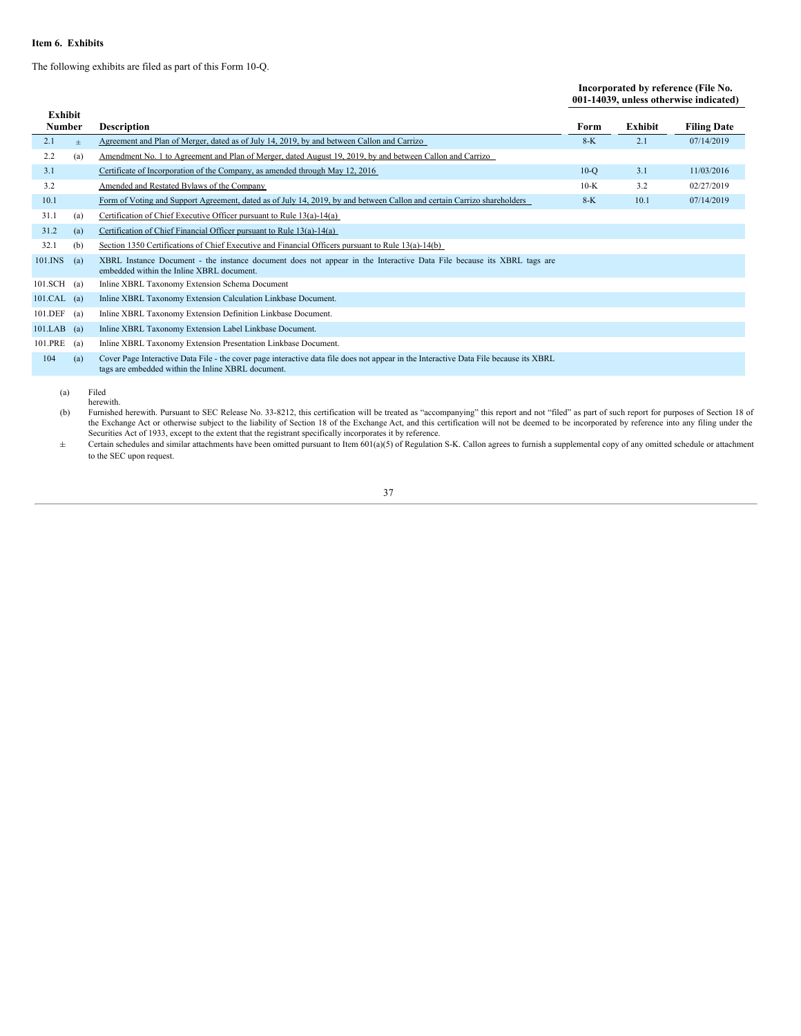### **Item 6. Exhibits**

The following exhibits are filed as part of this Form 10-Q.

### **Incorporated by reference (File No. 001-14039, unless otherwise indicated)**

| <b>Exhibit</b> |     |                                                                                                                                                                                             |        |         |                    |
|----------------|-----|---------------------------------------------------------------------------------------------------------------------------------------------------------------------------------------------|--------|---------|--------------------|
| Number         |     | <b>Description</b>                                                                                                                                                                          | Form   | Exhibit | <b>Filing Date</b> |
| 2.1            | $+$ | Agreement and Plan of Merger, dated as of July 14, 2019, by and between Callon and Carrizo                                                                                                  | $8-K$  | 2.1     | 07/14/2019         |
| 2.2            | (a) | Amendment No. 1 to Agreement and Plan of Merger, dated August 19, 2019, by and between Callon and Carrizo                                                                                   |        |         |                    |
| 3.1            |     | Certificate of Incorporation of the Company, as amended through May 12, 2016                                                                                                                | $10-o$ | 3.1     | 11/03/2016         |
| 3.2            |     | Amended and Restated Bylaws of the Company                                                                                                                                                  | $10-K$ | 3.2     | 02/27/2019         |
| 10.1           |     | Form of Voting and Support Agreement, dated as of July 14, 2019, by and between Callon and certain Carrizo shareholders                                                                     | $8-K$  | 10.1    | 07/14/2019         |
| 31.1           | (a) | Certification of Chief Executive Officer pursuant to Rule 13(a)-14(a)                                                                                                                       |        |         |                    |
| 31.2           | (a) | Certification of Chief Financial Officer pursuant to Rule 13(a)-14(a)                                                                                                                       |        |         |                    |
| 32.1           | (b) | Section 1350 Certifications of Chief Executive and Financial Officers pursuant to Rule 13(a)-14(b)                                                                                          |        |         |                    |
| 101.INS        | (a) | XBRL Instance Document - the instance document does not appear in the Interactive Data File because its XBRL tags are<br>embedded within the Inline XBRL document.                          |        |         |                    |
| $101.SCH$ (a)  |     | Inline XBRL Taxonomy Extension Schema Document                                                                                                                                              |        |         |                    |
| $101.CAL$ (a)  |     | Inline XBRL Taxonomy Extension Calculation Linkbase Document.                                                                                                                               |        |         |                    |
| 101.DEF        | (a) | Inline XBRL Taxonomy Extension Definition Linkbase Document.                                                                                                                                |        |         |                    |
| $101.LAB$ (a)  |     | Inline XBRL Taxonomy Extension Label Linkbase Document.                                                                                                                                     |        |         |                    |
| 101.PRE        | (a) | Inline XBRL Taxonomy Extension Presentation Linkbase Document.                                                                                                                              |        |         |                    |
| 104            | (a) | Cover Page Interactive Data File - the cover page interactive data file does not appear in the Interactive Data File because its XBRL<br>tags are embedded within the Inline XBRL document. |        |         |                    |
|                |     |                                                                                                                                                                                             |        |         |                    |

(a) Filed herewith.

(b) Furnished herewith. Pursuant to SEC Release No. 33-8212, this certification will be treated as "accompanying" this report and not "filed" as part of such report for purposes of Section 18 of the Exchange Act or otherwi

 $\pm$  Certain schedules and similar attachments have been omitted pursuant to Item 601(a)(5) of Regulation S-K. Callon agrees to furnish a supplemental copy of any omitted schedule or attachment to the SEC upon request.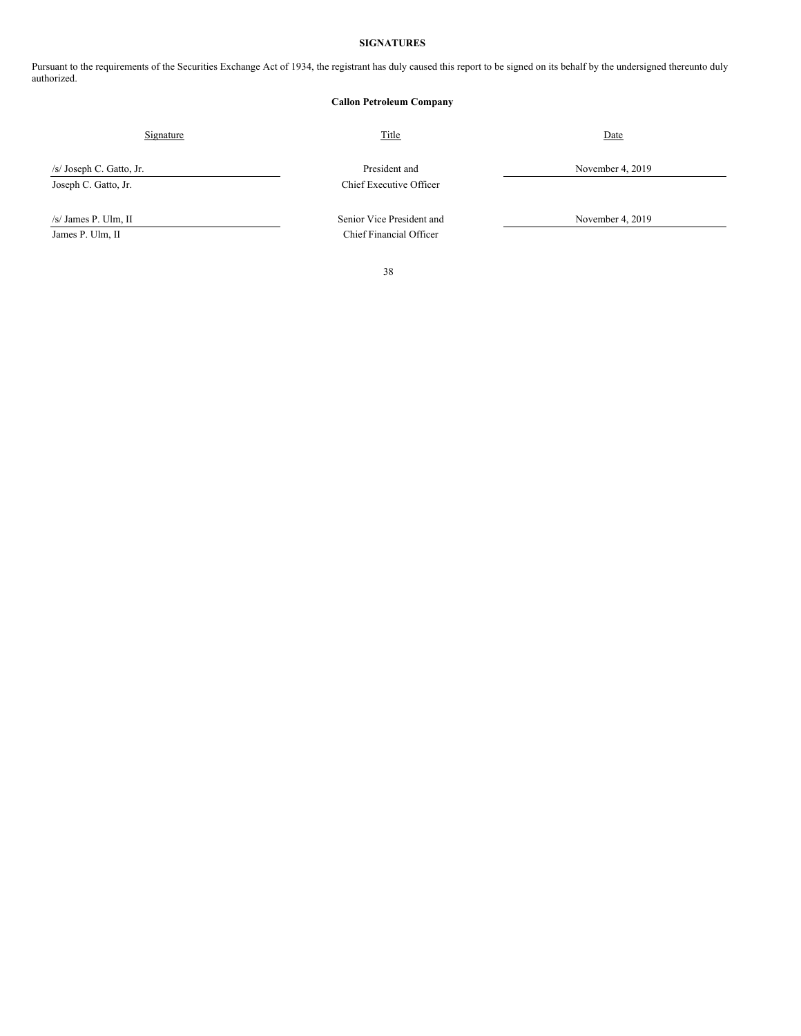### **SIGNATURES**

Pursuant to the requirements of the Securities Exchange Act of 1934, the registrant has duly caused this report to be signed on its behalf by the undersigned thereunto duly authorized.

### **Callon Petroleum Company**

Signature Date Date of Title Contract and Title Date Date Date Date Date

/s/ Joseph C. Gatto, Jr. President and November 4, 2019 Joseph C. Gatto, Jr. Chief Executive Officer

James P. Ulm, II Chief Financial Officer

/s/ James P. Ulm, II Senior Vice President and November 4, 2019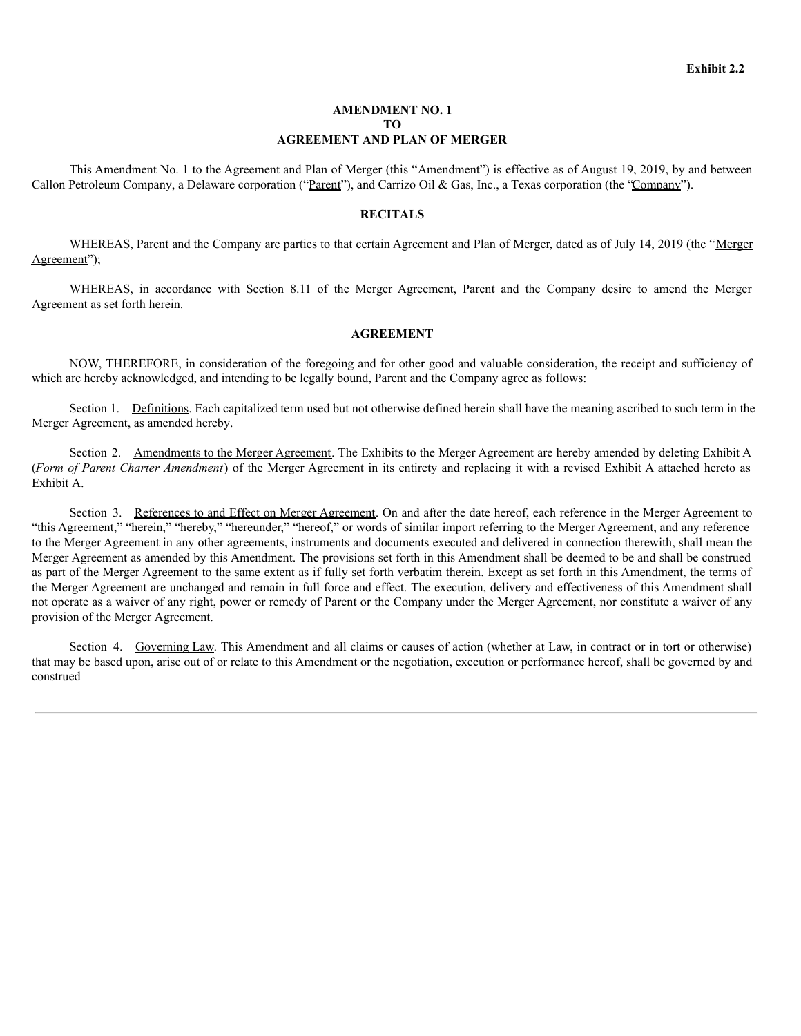### **AMENDMENT NO. 1 TO AGREEMENT AND PLAN OF MERGER**

This Amendment No. 1 to the Agreement and Plan of Merger (this "Amendment") is effective as of August 19, 2019, by and between Callon Petroleum Company, a Delaware corporation ("Parent"), and Carrizo Oil & Gas, Inc., a Texas corporation (the "Company").

### **RECITALS**

WHEREAS, Parent and the Company are parties to that certain Agreement and Plan of Merger, dated as of July 14, 2019 (the "Merger Agreement");

WHEREAS, in accordance with Section 8.11 of the Merger Agreement, Parent and the Company desire to amend the Merger Agreement as set forth herein.

### **AGREEMENT**

NOW, THEREFORE, in consideration of the foregoing and for other good and valuable consideration, the receipt and sufficiency of which are hereby acknowledged, and intending to be legally bound, Parent and the Company agree as follows:

Section 1. Definitions. Each capitalized term used but not otherwise defined herein shall have the meaning ascribed to such term in the Merger Agreement, as amended hereby.

Section 2. Amendments to the Merger Agreement. The Exhibits to the Merger Agreement are hereby amended by deleting Exhibit A (*Form of Parent Charter Amendment*) of the Merger Agreement in its entirety and replacing it with a revised Exhibit A attached hereto as Exhibit A.

Section 3. References to and Effect on Merger Agreement. On and after the date hereof, each reference in the Merger Agreement to "this Agreement," "herein," "hereby," "hereunder," "hereof," or words of similar import referring to the Merger Agreement, and any reference to the Merger Agreement in any other agreements, instruments and documents executed and delivered in connection therewith, shall mean the Merger Agreement as amended by this Amendment. The provisions set forth in this Amendment shall be deemed to be and shall be construed as part of the Merger Agreement to the same extent as if fully set forth verbatim therein. Except as set forth in this Amendment, the terms of the Merger Agreement are unchanged and remain in full force and effect. The execution, delivery and effectiveness of this Amendment shall not operate as a waiver of any right, power or remedy of Parent or the Company under the Merger Agreement, nor constitute a waiver of any provision of the Merger Agreement.

Section 4. Governing Law. This Amendment and all claims or causes of action (whether at Law, in contract or in tort or otherwise) that may be based upon, arise out of or relate to this Amendment or the negotiation, execution or performance hereof, shall be governed by and construed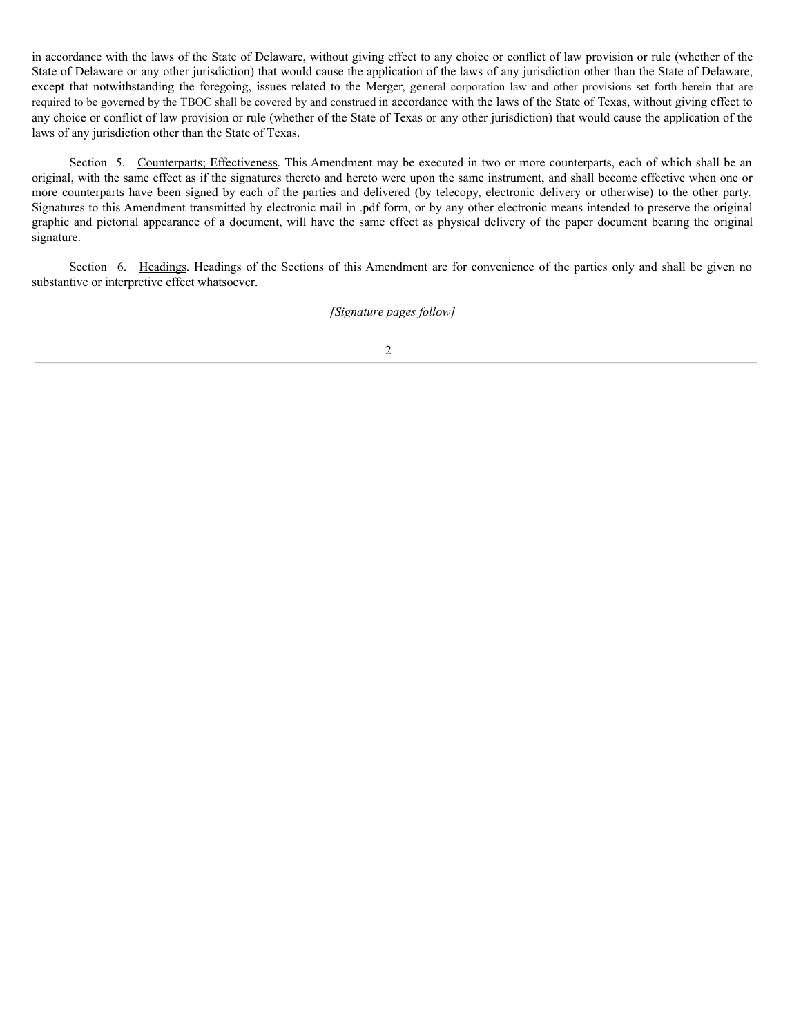in accordance with the laws of the State of Delaware, without giving effect to any choice or conflict of law provision or rule (whether of the State of Delaware or any other jurisdiction) that would cause the application of the laws of any jurisdiction other than the State of Delaware, except that notwithstanding the foregoing, issues related to the Merger, general corporation law and other provisions set forth herein that are required to be governed by the TBOC shall be covered by and construed in accordance with the laws of the State of Texas, without giving effect to any choice or conflict of law provision or rule (whether of the State of Texas or any other jurisdiction) that would cause the application of the laws of any jurisdiction other than the State of Texas.

Section 5. Counterparts; Effectiveness. This Amendment may be executed in two or more counterparts, each of which shall be an original, with the same effect as if the signatures thereto and hereto were upon the same instrument, and shall become effective when one or more counterparts have been signed by each of the parties and delivered (by telecopy, electronic delivery or otherwise) to the other party. Signatures to this Amendment transmitted by electronic mail in .pdf form, or by any other electronic means intended to preserve the original graphic and pictorial appearance of a document, will have the same effect as physical delivery of the paper document bearing the original signature.

Section 6. Headings. Headings of the Sections of this Amendment are for convenience of the parties only and shall be given no substantive or interpretive effect whatsoever.

## *[Signature pages follow]*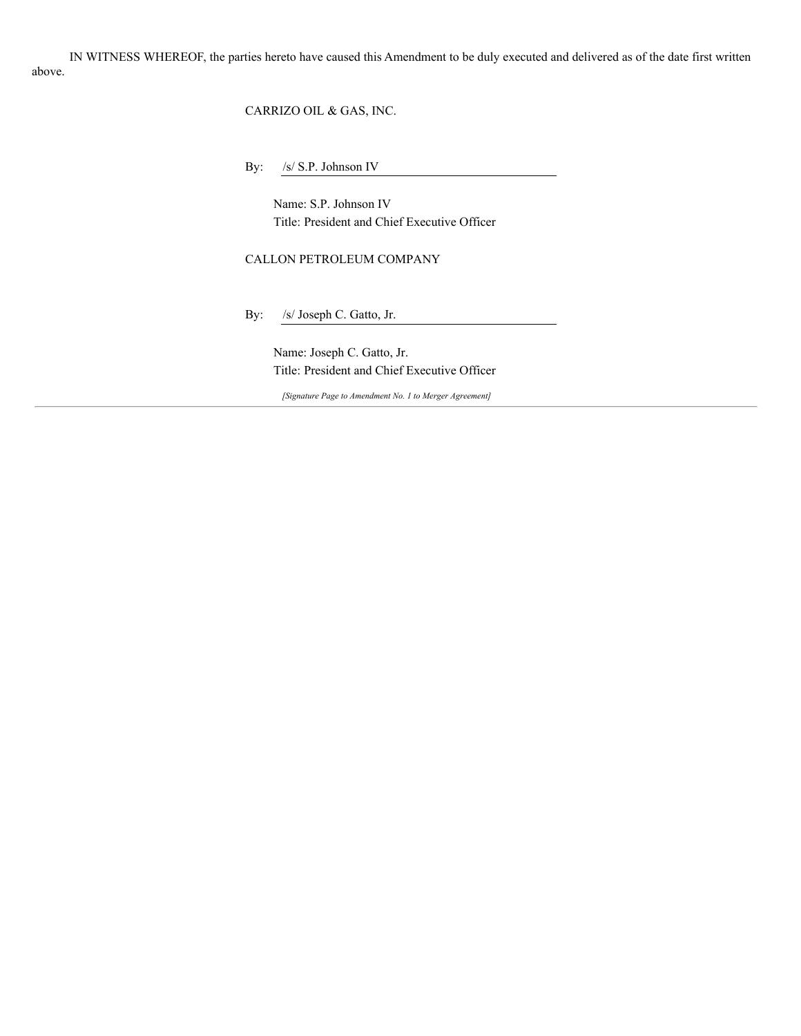<span id="page-41-0"></span>IN WITNESS WHEREOF, the parties hereto have caused this Amendment to be duly executed and delivered as of the date first written above.

CARRIZO OIL & GAS, INC.

By: /s/ S.P. Johnson IV

Name: S.P. Johnson IV Title: President and Chief Executive Officer

CALLON PETROLEUM COMPANY

By: /s/ Joseph C. Gatto, Jr.

Name: Joseph C. Gatto, Jr. Title: President and Chief Executive Officer

*[Signature Page to Amendment No. 1 to Merger Agreement]*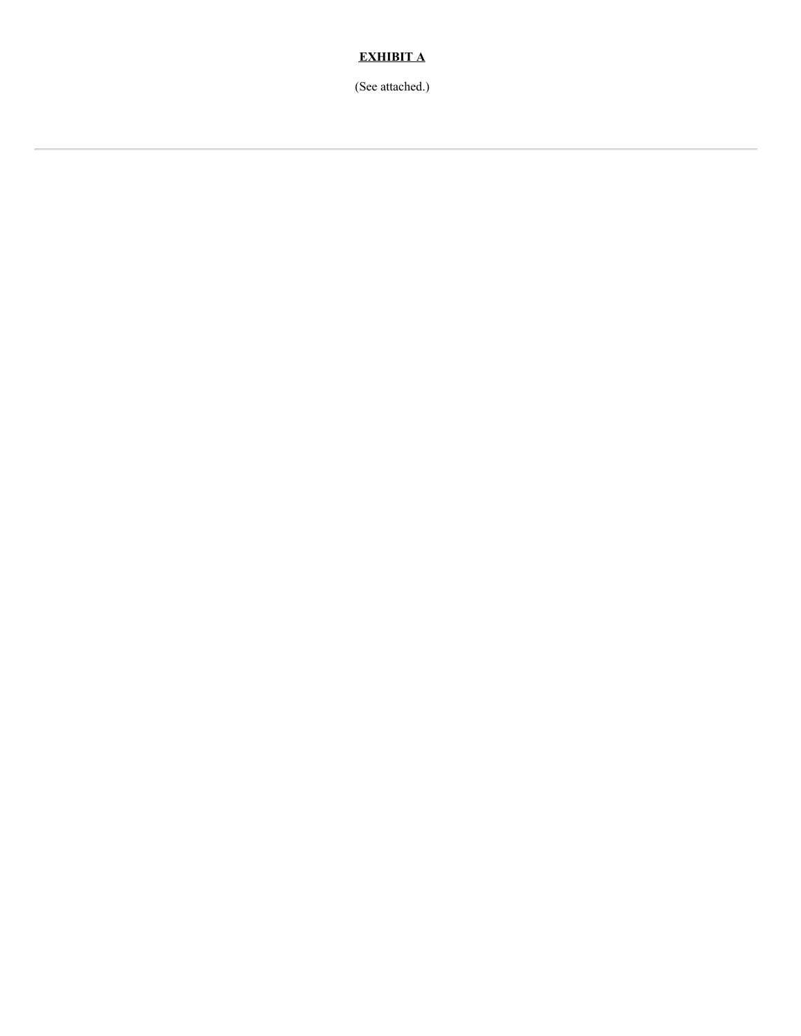# **EXHIBIT A**

(See attached.)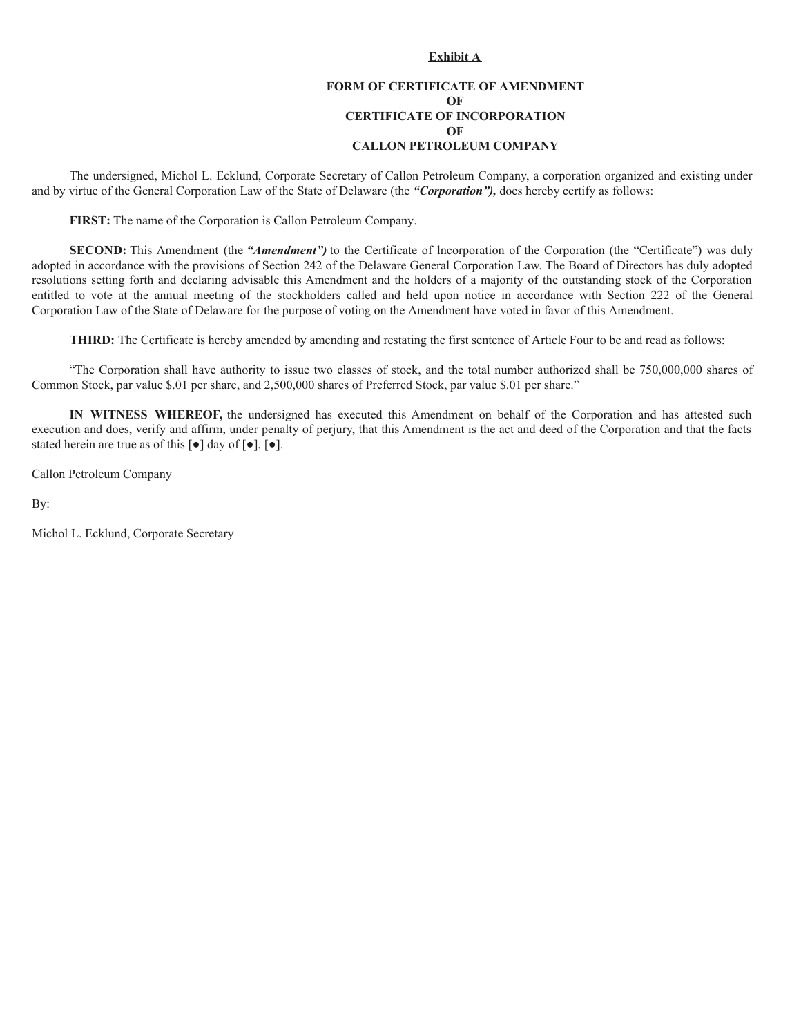### **Exhibit A**

# **FORM OF CERTIFICATE OF AMENDMENT OF CERTIFICATE OF INCORPORATION OF CALLON PETROLEUM COMPANY**

The undersigned, Michol L. Ecklund, Corporate Secretary of Callon Petroleum Company, a corporation organized and existing under and by virtue of the General Corporation Law of the State of Delaware (the *"Corporation"),* does hereby certify as follows:

**FIRST:** The name of the Corporation is Callon Petroleum Company.

**SECOND:** This Amendment (the *"Amendment")* to the Certificate of lncorporation of the Corporation (the "Certificate") was duly adopted in accordance with the provisions of Section 242 of the Delaware General Corporation Law. The Board of Directors has duly adopted resolutions setting forth and declaring advisable this Amendment and the holders of a majority of the outstanding stock of the Corporation entitled to vote at the annual meeting of the stockholders called and held upon notice in accordance with Section 222 of the General Corporation Law of the State of Delaware for the purpose of voting on the Amendment have voted in favor of this Amendment.

**THIRD:** The Certificate is hereby amended by amending and restating the first sentence of Article Four to be and read as follows:

"The Corporation shall have authority to issue two classes of stock, and the total number authorized shall be 750,000,000 shares of Common Stock, par value \$.01 per share, and 2,500,000 shares of Preferred Stock, par value \$.01 per share."

**IN WITNESS WHEREOF,** the undersigned has executed this Amendment on behalf of the Corporation and has attested such execution and does, verify and affirm, under penalty of perjury, that this Amendment is the act and deed of the Corporation and that the facts stated herein are true as of this  $\lceil \bullet \rceil$  day of  $\lceil \bullet \rceil$ ,  $\lceil \bullet \rceil$ .

Callon Petroleum Company

By:

Michol L. Ecklund, Corporate Secretary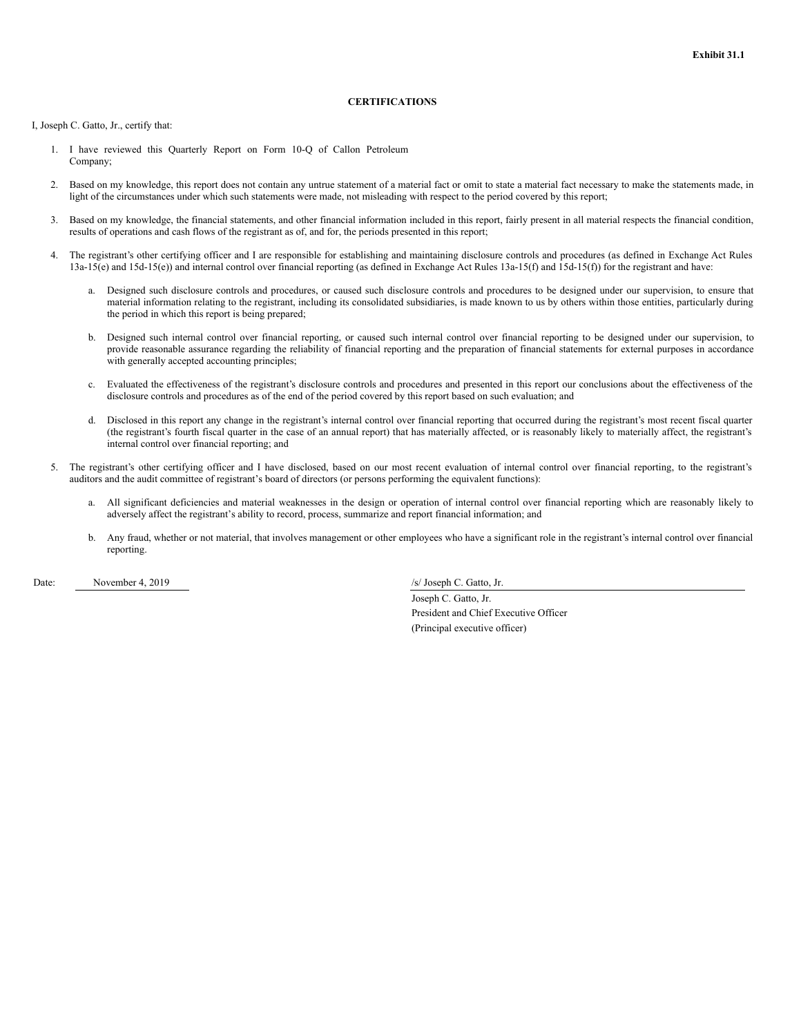### **CERTIFICATIONS**

<span id="page-44-0"></span>I, Joseph C. Gatto, Jr., certify that:

- 1. I have reviewed this Quarterly Report on Form 10-Q of Callon Petroleum Company;
- 2. Based on my knowledge, this report does not contain any untrue statement of a material fact or omit to state a material fact necessary to make the statements made, in light of the circumstances under which such statements were made, not misleading with respect to the period covered by this report;
- 3. Based on my knowledge, the financial statements, and other financial information included in this report, fairly present in all material respects the financial condition, results of operations and cash flows of the registrant as of, and for, the periods presented in this report;
- 4. The registrant's other certifying officer and I are responsible for establishing and maintaining disclosure controls and procedures (as defined in Exchange Act Rules 13a-15(e) and 15d-15(e)) and internal control over financial reporting (as defined in Exchange Act Rules 13a-15(f) and 15d-15(f)) for the registrant and have:
	- a. Designed such disclosure controls and procedures, or caused such disclosure controls and procedures to be designed under our supervision, to ensure that material information relating to the registrant, including its consolidated subsidiaries, is made known to us by others within those entities, particularly during the period in which this report is being prepared;
	- b. Designed such internal control over financial reporting, or caused such internal control over financial reporting to be designed under our supervision, to provide reasonable assurance regarding the reliability of financial reporting and the preparation of financial statements for external purposes in accordance with generally accepted accounting principles;
	- c. Evaluated the effectiveness of the registrant's disclosure controls and procedures and presented in this report our conclusions about the effectiveness of the disclosure controls and procedures as of the end of the period covered by this report based on such evaluation; and
	- d. Disclosed in this report any change in the registrant's internal control over financial reporting that occurred during the registrant's most recent fiscal quarter (the registrant's fourth fiscal quarter in the case of an annual report) that has materially affected, or is reasonably likely to materially affect, the registrant's internal control over financial reporting; and
- 5. The registrant's other certifying officer and I have disclosed, based on our most recent evaluation of internal control over financial reporting, to the registrant's auditors and the audit committee of registrant's board of directors (or persons performing the equivalent functions):
	- a. All significant deficiencies and material weaknesses in the design or operation of internal control over financial reporting which are reasonably likely to adversely affect the registrant's ability to record, process, summarize and report financial information; and
	- b. Any fraud, whether or not material, that involves management or other employees who have a significant role in the registrant's internal control over financial reporting.

Date: November 4, 2019 /s/ Joseph C. Gatto, Jr.

Joseph C. Gatto, Jr. President and Chief Executive Officer (Principal executive officer)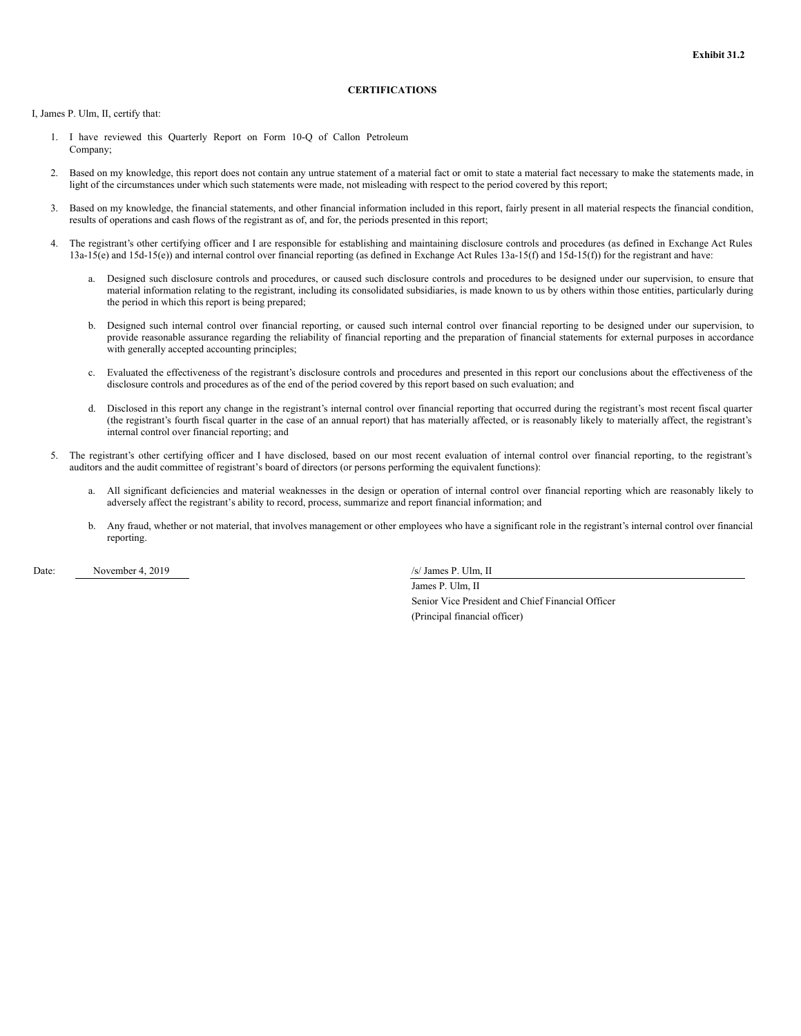### **CERTIFICATIONS**

<span id="page-45-0"></span>I, James P. Ulm, II, certify that:

- 1. I have reviewed this Quarterly Report on Form 10-Q of Callon Petroleum Company;
- 2. Based on my knowledge, this report does not contain any untrue statement of a material fact or omit to state a material fact necessary to make the statements made, in light of the circumstances under which such statements were made, not misleading with respect to the period covered by this report;
- 3. Based on my knowledge, the financial statements, and other financial information included in this report, fairly present in all material respects the financial condition, results of operations and cash flows of the registrant as of, and for, the periods presented in this report;
- 4. The registrant's other certifying officer and I are responsible for establishing and maintaining disclosure controls and procedures (as defined in Exchange Act Rules 13a-15(e) and 15d-15(e)) and internal control over financial reporting (as defined in Exchange Act Rules 13a-15(f) and 15d-15(f)) for the registrant and have:
	- a. Designed such disclosure controls and procedures, or caused such disclosure controls and procedures to be designed under our supervision, to ensure that material information relating to the registrant, including its consolidated subsidiaries, is made known to us by others within those entities, particularly during the period in which this report is being prepared;
	- b. Designed such internal control over financial reporting, or caused such internal control over financial reporting to be designed under our supervision, to provide reasonable assurance regarding the reliability of financial reporting and the preparation of financial statements for external purposes in accordance with generally accepted accounting principles;
	- c. Evaluated the effectiveness of the registrant's disclosure controls and procedures and presented in this report our conclusions about the effectiveness of the disclosure controls and procedures as of the end of the period covered by this report based on such evaluation; and
	- d. Disclosed in this report any change in the registrant's internal control over financial reporting that occurred during the registrant's most recent fiscal quarter (the registrant's fourth fiscal quarter in the case of an annual report) that has materially affected, or is reasonably likely to materially affect, the registrant's internal control over financial reporting; and
- 5. The registrant's other certifying officer and I have disclosed, based on our most recent evaluation of internal control over financial reporting, to the registrant's auditors and the audit committee of registrant's board of directors (or persons performing the equivalent functions):
	- a. All significant deficiencies and material weaknesses in the design or operation of internal control over financial reporting which are reasonably likely to adversely affect the registrant's ability to record, process, summarize and report financial information; and
	- b. Any fraud, whether or not material, that involves management or other employees who have a significant role in the registrant's internal control over financial reporting.

Date: November 4, 2019 /s/ James P. Ulm, II

James P. Ulm, II Senior Vice President and Chief Financial Officer (Principal financial officer)